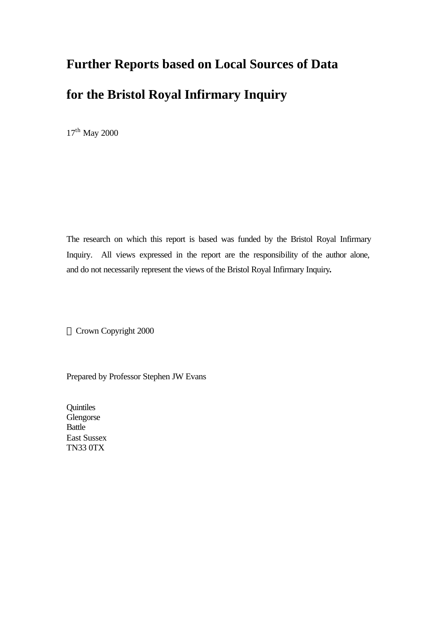# **Further Reports based on Local Sources of Data for the Bristol Royal Infirmary Inquiry**

17<sup>th</sup> May 2000

The research on which this report is based was funded by the Bristol Royal Infirmary Inquiry. All views expressed in the report are the responsibility of the author alone, and do not necessarily represent the views of the Bristol Royal Infirmary Inquiry**.**

Crown Copyright 2000

Prepared by Professor Stephen JW Evans

**Quintiles Glengorse** Battle East Sussex TN33 0TX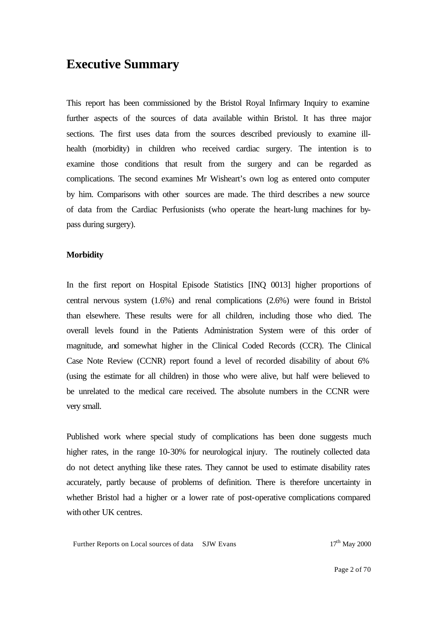# **Executive Summary**

This report has been commissioned by the Bristol Royal Infirmary Inquiry to examine further aspects of the sources of data available within Bristol. It has three major sections. The first uses data from the sources described previously to examine illhealth (morbidity) in children who received cardiac surgery. The intention is to examine those conditions that result from the surgery and can be regarded as complications. The second examines Mr Wisheart's own log as entered onto computer by him. Comparisons with other sources are made. The third describes a new source of data from the Cardiac Perfusionists (who operate the heart-lung machines for bypass during surgery).

### **Morbidity**

In the first report on Hospital Episode Statistics [INQ 0013] higher proportions of central nervous system (1.6%) and renal complications (2.6%) were found in Bristol than elsewhere. These results were for all children, including those who died. The overall levels found in the Patients Administration System were of this order of magnitude, and somewhat higher in the Clinical Coded Records (CCR). The Clinical Case Note Review (CCNR) report found a level of recorded disability of about 6% (using the estimate for all children) in those who were alive, but half were believed to be unrelated to the medical care received. The absolute numbers in the CCNR were very small.

Published work where special study of complications has been done suggests much higher rates, in the range 10-30% for neurological injury. The routinely collected data do not detect anything like these rates. They cannot be used to estimate disability rates accurately, partly because of problems of definition. There is therefore uncertainty in whether Bristol had a higher or a lower rate of post-operative complications compared with other UK centres.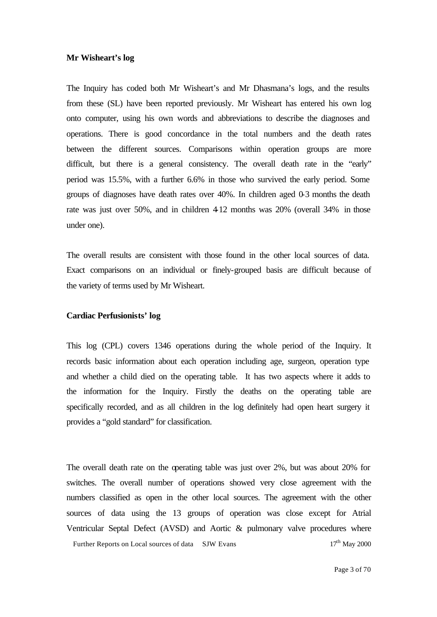#### **Mr Wisheart's log**

The Inquiry has coded both Mr Wisheart's and Mr Dhasmana's logs, and the results from these (SL) have been reported previously. Mr Wisheart has entered his own log onto computer, using his own words and abbreviations to describe the diagnoses and operations. There is good concordance in the total numbers and the death rates between the different sources. Comparisons within operation groups are more difficult, but there is a general consistency. The overall death rate in the "early" period was 15.5%, with a further 6.6% in those who survived the early period. Some groups of diagnoses have death rates over 40%. In children aged 0-3 months the death rate was just over 50%, and in children 4-12 months was 20% (overall 34% in those under one).

The overall results are consistent with those found in the other local sources of data. Exact comparisons on an individual or finely-grouped basis are difficult because of the variety of terms used by Mr Wisheart.

### **Cardiac Perfusionists' log**

This log (CPL) covers 1346 operations during the whole period of the Inquiry. It records basic information about each operation including age, surgeon, operation type and whether a child died on the operating table. It has two aspects where it adds to the information for the Inquiry. Firstly the deaths on the operating table are specifically recorded, and as all children in the log definitely had open heart surgery it provides a "gold standard" for classification.

Further Reports on Local sources of data SJW Evans 17<sup>th</sup> May 2000 The overall death rate on the operating table was just over 2%, but was about 20% for switches. The overall number of operations showed very close agreement with the numbers classified as open in the other local sources. The agreement with the other sources of data using the 13 groups of operation was close except for Atrial Ventricular Septal Defect (AVSD) and Aortic & pulmonary valve procedures where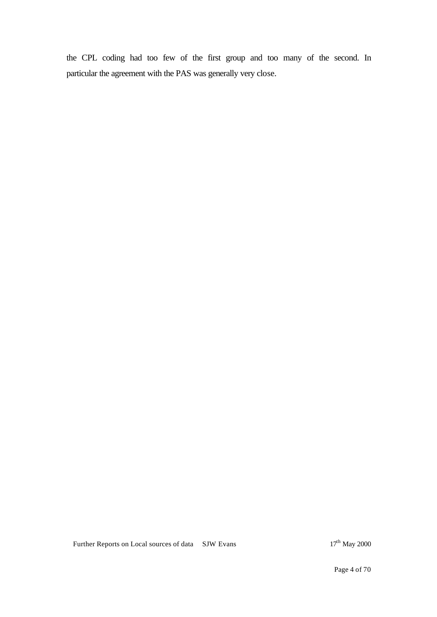the CPL coding had too few of the first group and too many of the second. In particular the agreement with the PAS was generally very close.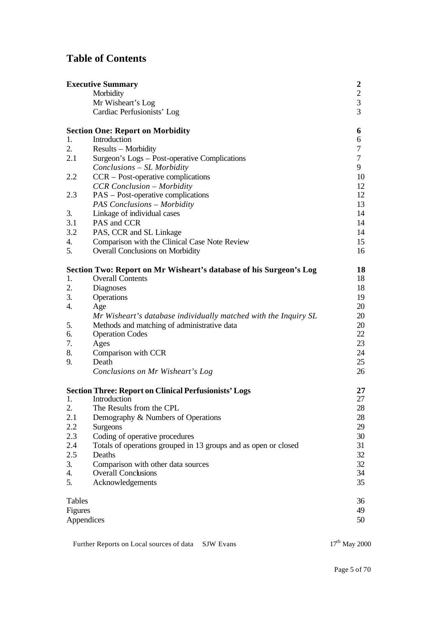# **Table of Contents**

|          | <b>Executive Summary</b>                                                     | $\boldsymbol{2}$ |
|----------|------------------------------------------------------------------------------|------------------|
|          | Morbidity                                                                    | $\overline{2}$   |
|          | Mr Wisheart's Log                                                            | $\overline{3}$   |
|          | Cardiac Perfusionists' Log                                                   | $\overline{3}$   |
|          | <b>Section One: Report on Morbidity</b>                                      | 6                |
| 1.       | Introduction                                                                 | 6                |
| 2.       | Results – Morbidity                                                          | 7                |
| 2.1      | Surgeon's Logs - Post-operative Complications                                | $\tau$           |
|          | Conclusions - SL Morbidity                                                   | 9                |
| 2.2      | $CCR - Post\text{-}operative complications$                                  | 10               |
|          | <b>CCR</b> Conclusion - Morbidity                                            | 12               |
| 2.3      | PAS – Post-operative complications                                           | 12               |
|          | PAS Conclusions - Morbidity                                                  | 13               |
| 3.       | Linkage of individual cases                                                  | 14               |
| 3.1      | PAS and CCR                                                                  | 14               |
| 3.2      | PAS, CCR and SL Linkage                                                      | 14               |
| 4.       | Comparison with the Clinical Case Note Review                                | 15               |
| 5.       | Overall Conclusions on Morbidity                                             | 16               |
|          | Section Two: Report on Mr Wisheart's database of his Surgeon's Log           | 18               |
| 1.       | <b>Overall Contents</b>                                                      | 18               |
| 2.       | <b>Diagnoses</b>                                                             | 18               |
| 3.       | Operations                                                                   | 19               |
| 4.       | Age                                                                          | 20               |
|          | Mr Wisheart's database individually matched with the Inquiry SL              | 20               |
| 5.<br>6. | Methods and matching of administrative data                                  | 20<br>22         |
| 7.       | <b>Operation Codes</b><br>Ages                                               | 23               |
| 8.       | Comparison with CCR                                                          | 24               |
| 9.       | Death                                                                        | 25               |
|          | Conclusions on Mr Wisheart's Log                                             | 26               |
|          |                                                                              |                  |
| 1.       | <b>Section Three: Report on Clinical Perfusionists' Logs</b><br>Introduction | 27<br>27         |
| 2.       | The Results from the CPL                                                     | 28               |
| 2.1      | Demography & Numbers of Operations                                           | 28               |
| 2.2      | <b>Surgeons</b>                                                              | 29               |
| 2.3      | Coding of operative procedures                                               | 30               |
| 2.4      | Totals of operations grouped in 13 groups and as open or closed              | 31               |
| 2.5      | Deaths                                                                       | 32               |
| 3.       | Comparison with other data sources                                           | 32               |
| 4.       | <b>Overall Conclusions</b>                                                   | 34               |
| 5.       | Acknowledgements                                                             | 35               |
| Tables   |                                                                              | 36               |
| Figures  |                                                                              | 49               |
|          | Appendices                                                                   | 50               |
|          |                                                                              |                  |

|  | Further Reports on Local sources of data SJW Evans |  |
|--|----------------------------------------------------|--|
|  |                                                    |  |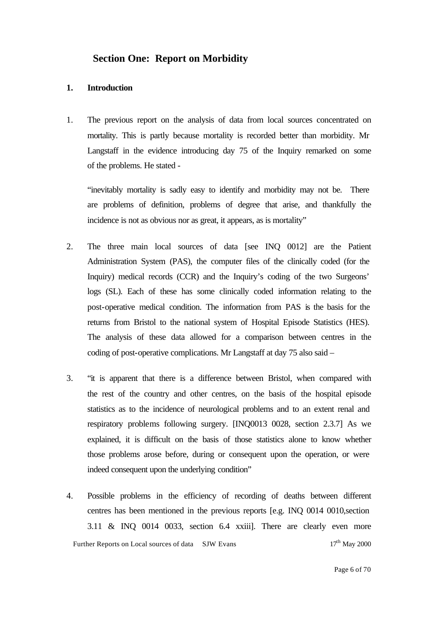# **Section One: Report on Morbidity**

#### **1. Introduction**

1. The previous report on the analysis of data from local sources concentrated on mortality. This is partly because mortality is recorded better than morbidity. Mr Langstaff in the evidence introducing day 75 of the Inquiry remarked on some of the problems. He stated -

"inevitably mortality is sadly easy to identify and morbidity may not be. There are problems of definition, problems of degree that arise, and thankfully the incidence is not as obvious nor as great, it appears, as is mortality"

- 2. The three main local sources of data [see INQ 0012] are the Patient Administration System (PAS), the computer files of the clinically coded (for the Inquiry) medical records (CCR) and the Inquiry's coding of the two Surgeons' logs (SL). Each of these has some clinically coded information relating to the post-operative medical condition. The information from PAS is the basis for the returns from Bristol to the national system of Hospital Episode Statistics (HES). The analysis of these data allowed for a comparison between centres in the coding of post-operative complications. Mr Langstaff at day 75 also said –
- 3. "it is apparent that there is a difference between Bristol, when compared with the rest of the country and other centres, on the basis of the hospital episode statistics as to the incidence of neurological problems and to an extent renal and respiratory problems following surgery. [INQ0013 0028, section 2.3.7] As we explained, it is difficult on the basis of those statistics alone to know whether those problems arose before, during or consequent upon the operation, or were indeed consequent upon the underlying condition"
- Further Reports on Local sources of data SJW Evans 17<sup>th</sup> May 2000 4. Possible problems in the efficiency of recording of deaths between different centres has been mentioned in the previous reports [e.g. INQ 0014 0010,section 3.11 & INQ 0014 0033, section 6.4 xxiii]. There are clearly even more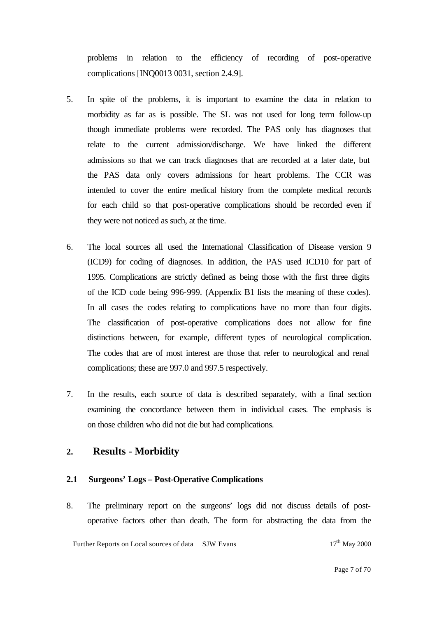problems in relation to the efficiency of recording of post-operative complications [INQ0013 0031, section 2.4.9].

- 5. In spite of the problems, it is important to examine the data in relation to morbidity as far as is possible. The SL was not used for long term follow-up though immediate problems were recorded. The PAS only has diagnoses that relate to the current admission/discharge. We have linked the different admissions so that we can track diagnoses that are recorded at a later date, but the PAS data only covers admissions for heart problems. The CCR was intended to cover the entire medical history from the complete medical records for each child so that post-operative complications should be recorded even if they were not noticed as such, at the time.
- 6. The local sources all used the International Classification of Disease version 9 (ICD9) for coding of diagnoses. In addition, the PAS used ICD10 for part of 1995. Complications are strictly defined as being those with the first three digits of the ICD code being 996-999. (Appendix B1 lists the meaning of these codes). In all cases the codes relating to complications have no more than four digits. The classification of post-operative complications does not allow for fine distinctions between, for example, different types of neurological complication. The codes that are of most interest are those that refer to neurological and renal complications; these are 997.0 and 997.5 respectively.
- 7. In the results, each source of data is described separately, with a final section examining the concordance between them in individual cases. The emphasis is on those children who did not die but had complications.

# **2. Results - Morbidity**

### **2.1 Surgeons' Logs – Post-Operative Complications**

8. The preliminary report on the surgeons' logs did not discuss details of postoperative factors other than death. The form for abstracting the data from the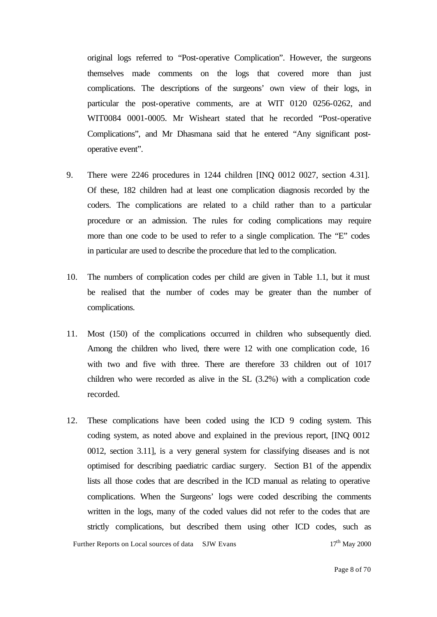original logs referred to "Post-operative Complication". However, the surgeons themselves made comments on the logs that covered more than just complications. The descriptions of the surgeons' own view of their logs, in particular the post-operative comments, are at WIT 0120 0256-0262, and WIT0084 0001-0005. Mr Wisheart stated that he recorded "Post-operative Complications", and Mr Dhasmana said that he entered "Any significant postoperative event".

- 9. There were 2246 procedures in 1244 children [INQ 0012 0027, section 4.31]. Of these, 182 children had at least one complication diagnosis recorded by the coders. The complications are related to a child rather than to a particular procedure or an admission. The rules for coding complications may require more than one code to be used to refer to a single complication. The "E" codes in particular are used to describe the procedure that led to the complication.
- 10. The numbers of complication codes per child are given in Table 1.1, but it must be realised that the number of codes may be greater than the number of complications.
- 11. Most (150) of the complications occurred in children who subsequently died. Among the children who lived, there were 12 with one complication code, 16 with two and five with three. There are therefore 33 children out of 1017 children who were recorded as alive in the SL (3.2%) with a complication code recorded.
- Further Reports on Local sources of data SJW Evans 17<sup>th</sup> May 2000 12. These complications have been coded using the ICD 9 coding system. This coding system, as noted above and explained in the previous report, [INQ 0012 0012, section 3.11], is a very general system for classifying diseases and is not optimised for describing paediatric cardiac surgery. Section B1 of the appendix lists all those codes that are described in the ICD manual as relating to operative complications. When the Surgeons' logs were coded describing the comments written in the logs, many of the coded values did not refer to the codes that are strictly complications, but described them using other ICD codes, such as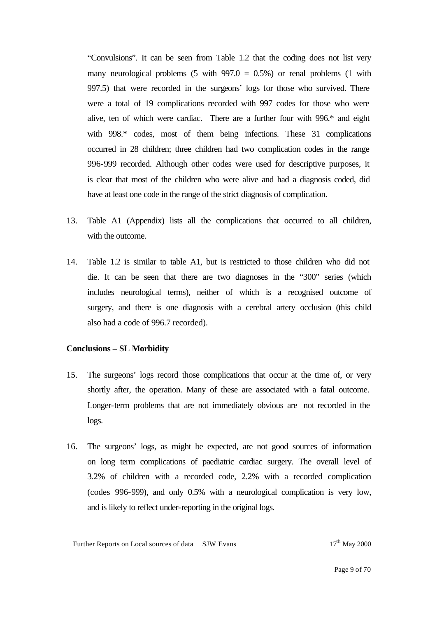"Convulsions". It can be seen from Table 1.2 that the coding does not list very many neurological problems  $(5 \text{ with } 997.0 = 0.5\%)$  or renal problems  $(1 \text{ with } 1000)$ 997.5) that were recorded in the surgeons' logs for those who survived. There were a total of 19 complications recorded with 997 codes for those who were alive, ten of which were cardiac. There are a further four with 996.\* and eight with 998.\* codes, most of them being infections. These 31 complications occurred in 28 children; three children had two complication codes in the range 996-999 recorded. Although other codes were used for descriptive purposes, it is clear that most of the children who were alive and had a diagnosis coded, did have at least one code in the range of the strict diagnosis of complication.

- 13. Table A1 (Appendix) lists all the complications that occurred to all children, with the outcome.
- 14. Table 1.2 is similar to table A1, but is restricted to those children who did not die. It can be seen that there are two diagnoses in the "300" series (which includes neurological terms), neither of which is a recognised outcome of surgery, and there is one diagnosis with a cerebral artery occlusion (this child also had a code of 996.7 recorded).

### **Conclusions – SL Morbidity**

- 15. The surgeons' logs record those complications that occur at the time of, or very shortly after, the operation. Many of these are associated with a fatal outcome. Longer-term problems that are not immediately obvious are not recorded in the logs.
- 16. The surgeons' logs, as might be expected, are not good sources of information on long term complications of paediatric cardiac surgery. The overall level of 3.2% of children with a recorded code, 2.2% with a recorded complication (codes 996-999), and only 0.5% with a neurological complication is very low, and is likely to reflect under-reporting in the original logs.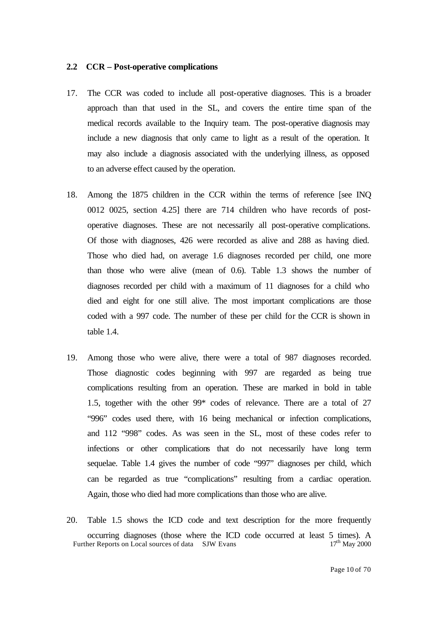#### **2.2 CCR – Post-operative complications**

- 17. The CCR was coded to include all post-operative diagnoses. This is a broader approach than that used in the SL, and covers the entire time span of the medical records available to the Inquiry team. The post-operative diagnosis may include a new diagnosis that only came to light as a result of the operation. It may also include a diagnosis associated with the underlying illness, as opposed to an adverse effect caused by the operation.
- 18. Among the 1875 children in the CCR within the terms of reference [see INQ 0012 0025, section 4.25] there are 714 children who have records of postoperative diagnoses. These are not necessarily all post-operative complications. Of those with diagnoses, 426 were recorded as alive and 288 as having died. Those who died had, on average 1.6 diagnoses recorded per child, one more than those who were alive (mean of 0.6). Table 1.3 shows the number of diagnoses recorded per child with a maximum of 11 diagnoses for a child who died and eight for one still alive. The most important complications are those coded with a 997 code. The number of these per child for the CCR is shown in table 1.4.
- 19. Among those who were alive, there were a total of 987 diagnoses recorded. Those diagnostic codes beginning with 997 are regarded as being true complications resulting from an operation. These are marked in bold in table 1.5, together with the other 99\* codes of relevance. There are a total of 27 "996" codes used there, with 16 being mechanical or infection complications, and 112 "998" codes. As was seen in the SL, most of these codes refer to infections or other complications that do not necessarily have long term sequelae. Table 1.4 gives the number of code "997" diagnoses per child, which can be regarded as true "complications" resulting from a cardiac operation. Again, those who died had more complications than those who are alive.
- Further Reports on Local sources of data SJW Evans 17<sup>th</sup> May 2000 20. Table 1.5 shows the ICD code and text description for the more frequently occurring diagnoses (those where the ICD code occurred at least 5 times). A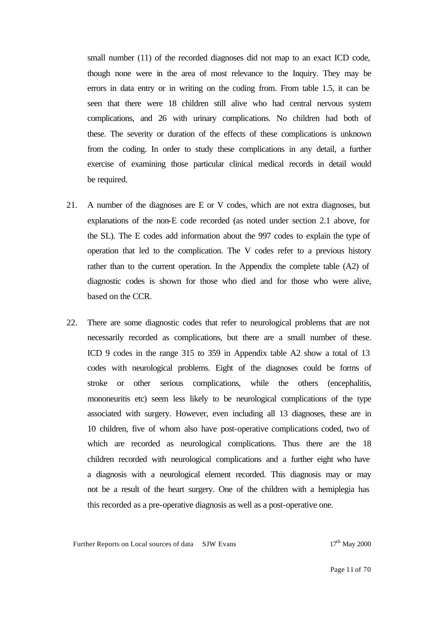small number (11) of the recorded diagnoses did not map to an exact ICD code, though none were in the area of most relevance to the Inquiry. They may be errors in data entry or in writing on the coding from. From table 1.5, it can be seen that there were 18 children still alive who had central nervous system complications, and 26 with urinary complications. No children had both of these. The severity or duration of the effects of these complications is unknown from the coding. In order to study these complications in any detail, a further exercise of examining those particular clinical medical records in detail would be required.

- 21. A number of the diagnoses are E or V codes, which are not extra diagnoses, but explanations of the non-E code recorded (as noted under section 2.1 above, for the SL). The E codes add information about the 997 codes to explain the type of operation that led to the complication. The V codes refer to a previous history rather than to the current operation. In the Appendix the complete table (A2) of diagnostic codes is shown for those who died and for those who were alive, based on the CCR.
- 22. There are some diagnostic codes that refer to neurological problems that are not necessarily recorded as complications, but there are a small number of these. ICD 9 codes in the range 315 to 359 in Appendix table A2 show a total of 13 codes with neurological problems. Eight of the diagnoses could be forms of stroke or other serious complications, while the others (encephalitis, mononeuritis etc) seem less likely to be neurological complications of the type associated with surgery. However, even including all 13 diagnoses, these are in 10 children, five of whom also have post-operative complications coded, two of which are recorded as neurological complications. Thus there are the 18 children recorded with neurological complications and a further eight who have a diagnosis with a neurological element recorded. This diagnosis may or may not be a result of the heart surgery. One of the children with a hemiplegia has this recorded as a pre-operative diagnosis as well as a post-operative one.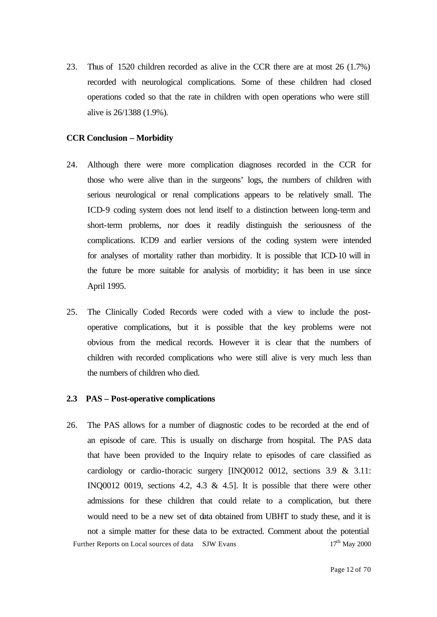23. Thus of 1520 children recorded as alive in the CCR there are at most 26 (1.7%) recorded with neurological complications. Some of these children had closed operations coded so that the rate in children with open operations who were still alive is 26/1388 (1.9%).

### **CCR Conclusion – Morbidity**

- 24. Although there were more complication diagnoses recorded in the CCR for those who were alive than in the surgeons' logs, the numbers of children with serious neurological or renal complications appears to be relatively small. The ICD-9 coding system does not lend itself to a distinction between long-term and short-term problems, nor does it readily distinguish the seriousness of the complications. ICD9 and earlier versions of the coding system were intended for analyses of mortality rather than morbidity. It is possible that ICD-10 will in the future be more suitable for analysis of morbidity; it has been in use since April 1995.
- 25. The Clinically Coded Records were coded with a view to include the postoperative complications, but it is possible that the key problems were not obvious from the medical records. However it is clear that the numbers of children with recorded complications who were still alive is very much less than the numbers of children who died.

### **2.3 PAS – Post-operative complications**

Further Reports on Local sources of data SJW Evans 17<sup>th</sup> May 2000 26. The PAS allows for a number of diagnostic codes to be recorded at the end of an episode of care. This is usually on discharge from hospital. The PAS data that have been provided to the Inquiry relate to episodes of care classified as cardiology or cardio-thoracic surgery [INQ0012 0012, sections 3.9 & 3.11: INQ0012 0019, sections 4.2, 4.3  $\&$  4.5]. It is possible that there were other admissions for these children that could relate to a complication, but there would need to be a new set of data obtained from UBHT to study these, and it is not a simple matter for these data to be extracted. Comment about the potential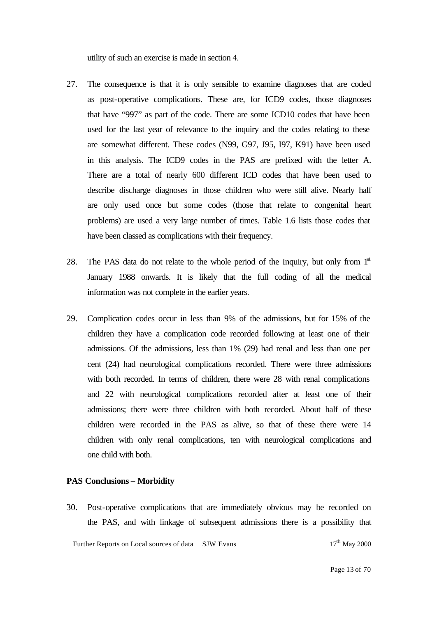utility of such an exercise is made in section 4.

- 27. The consequence is that it is only sensible to examine diagnoses that are coded as post-operative complications. These are, for ICD9 codes, those diagnoses that have "997" as part of the code. There are some ICD10 codes that have been used for the last year of relevance to the inquiry and the codes relating to these are somewhat different. These codes (N99, G97, J95, I97, K91) have been used in this analysis. The ICD9 codes in the PAS are prefixed with the letter A. There are a total of nearly 600 different ICD codes that have been used to describe discharge diagnoses in those children who were still alive. Nearly half are only used once but some codes (those that relate to congenital heart problems) are used a very large number of times. Table 1.6 lists those codes that have been classed as complications with their frequency.
- 28. The PAS data do not relate to the whole period of the Inquiry, but only from  $1<sup>st</sup>$ January 1988 onwards. It is likely that the full coding of all the medical information was not complete in the earlier years.
- 29. Complication codes occur in less than 9% of the admissions, but for 15% of the children they have a complication code recorded following at least one of their admissions. Of the admissions, less than 1% (29) had renal and less than one per cent (24) had neurological complications recorded. There were three admissions with both recorded. In terms of children, there were 28 with renal complications and 22 with neurological complications recorded after at least one of their admissions; there were three children with both recorded. About half of these children were recorded in the PAS as alive, so that of these there were 14 children with only renal complications, ten with neurological complications and one child with both.

### **PAS Conclusions – Morbidity**

30. Post-operative complications that are immediately obvious may be recorded on the PAS, and with linkage of subsequent admissions there is a possibility that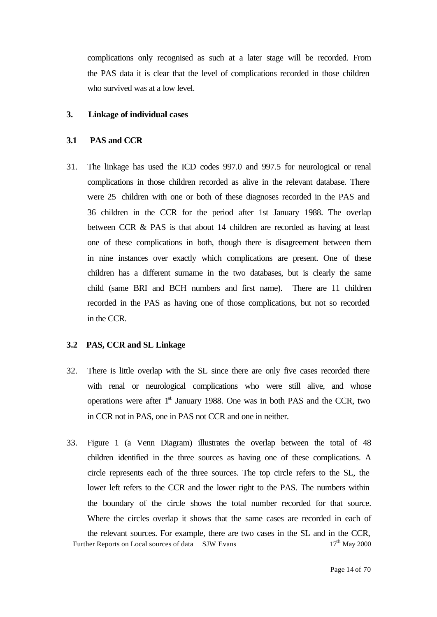complications only recognised as such at a later stage will be recorded. From the PAS data it is clear that the level of complications recorded in those children who survived was at a low level.

### **3. Linkage of individual cases**

### **3.1 PAS and CCR**

31. The linkage has used the ICD codes 997.0 and 997.5 for neurological or renal complications in those children recorded as alive in the relevant database. There were 25 children with one or both of these diagnoses recorded in the PAS and 36 children in the CCR for the period after 1st January 1988. The overlap between CCR & PAS is that about 14 children are recorded as having at least one of these complications in both, though there is disagreement between them in nine instances over exactly which complications are present. One of these children has a different surname in the two databases, but is clearly the same child (same BRI and BCH numbers and first name). There are 11 children recorded in the PAS as having one of those complications, but not so recorded in the CCR.

### **3.2 PAS, CCR and SL Linkage**

- 32. There is little overlap with the SL since there are only five cases recorded there with renal or neurological complications who were still alive, and whose operations were after  $1<sup>st</sup>$  January 1988. One was in both PAS and the CCR, two in CCR not in PAS, one in PAS not CCR and one in neither.
- Further Reports on Local sources of data SJW Evans 17<sup>th</sup> May 2000 33. Figure 1 (a Venn Diagram) illustrates the overlap between the total of 48 children identified in the three sources as having one of these complications. A circle represents each of the three sources. The top circle refers to the SL, the lower left refers to the CCR and the lower right to the PAS. The numbers within the boundary of the circle shows the total number recorded for that source. Where the circles overlap it shows that the same cases are recorded in each of the relevant sources. For example, there are two cases in the SL and in the CCR,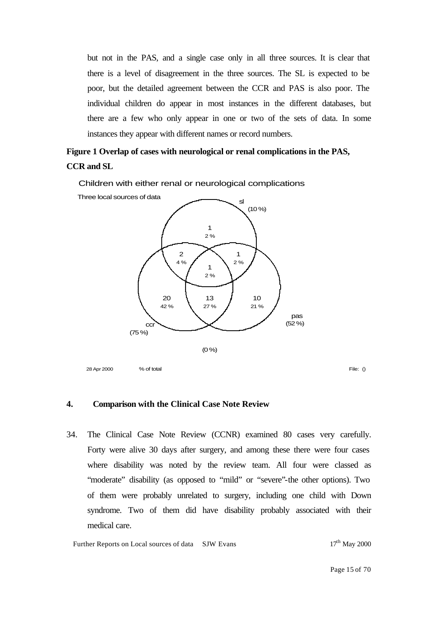but not in the PAS, and a single case only in all three sources. It is clear that there is a level of disagreement in the three sources. The SL is expected to be poor, but the detailed agreement between the CCR and PAS is also poor. The individual children do appear in most instances in the different databases, but there are a few who only appear in one or two of the sets of data. In some instances they appear with different names or record numbers.

# **Figure 1 Overlap of cases with neurological or renal complications in the PAS, CCR and SL**

Children with either renal or neurological complications



#### **4. Comparison with the Clinical Case Note Review**

34. The Clinical Case Note Review (CCNR) examined 80 cases very carefully. Forty were alive 30 days after surgery, and among these there were four cases where disability was noted by the review team. All four were classed as "moderate" disability (as opposed to "mild" or "severe"-the other options). Two of them were probably unrelated to surgery, including one child with Down syndrome. Two of them did have disability probably associated with their medical care.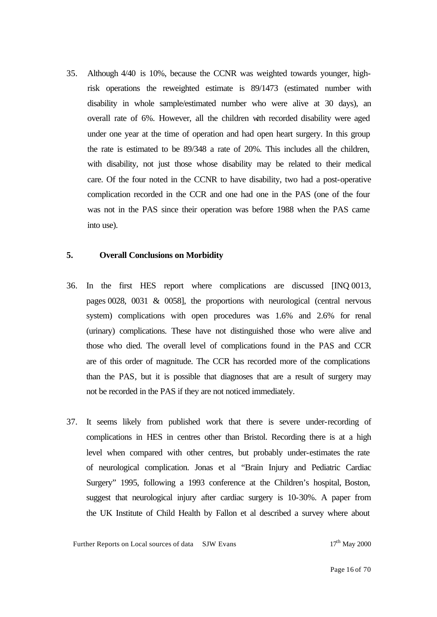35. Although 4/40 is 10%, because the CCNR was weighted towards younger, highrisk operations the reweighted estimate is 89/1473 (estimated number with disability in whole sample/estimated number who were alive at 30 days), an overall rate of 6%. However, all the children with recorded disability were aged under one year at the time of operation and had open heart surgery. In this group the rate is estimated to be 89/348 a rate of 20%. This includes all the children, with disability, not just those whose disability may be related to their medical care. Of the four noted in the CCNR to have disability, two had a post-operative complication recorded in the CCR and one had one in the PAS (one of the four was not in the PAS since their operation was before 1988 when the PAS came into use).

# **5. Overall Conclusions on Morbidity**

- 36. In the first HES report where complications are discussed [INQ 0013, pages 0028, 0031 & 0058], the proportions with neurological (central nervous system) complications with open procedures was 1.6% and 2.6% for renal (urinary) complications. These have not distinguished those who were alive and those who died. The overall level of complications found in the PAS and CCR are of this order of magnitude. The CCR has recorded more of the complications than the PAS, but it is possible that diagnoses that are a result of surgery may not be recorded in the PAS if they are not noticed immediately.
- 37. It seems likely from published work that there is severe under-recording of complications in HES in centres other than Bristol. Recording there is at a high level when compared with other centres, but probably under-estimates the rate of neurological complication. Jonas et al "Brain Injury and Pediatric Cardiac Surgery" 1995, following a 1993 conference at the Children's hospital, Boston, suggest that neurological injury after cardiac surgery is 10-30%. A paper from the UK Institute of Child Health by Fallon et al described a survey where about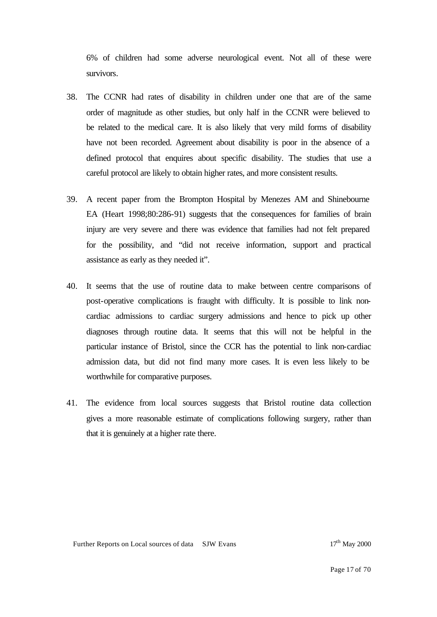6% of children had some adverse neurological event. Not all of these were survivors.

- 38. The CCNR had rates of disability in children under one that are of the same order of magnitude as other studies, but only half in the CCNR were believed to be related to the medical care. It is also likely that very mild forms of disability have not been recorded. Agreement about disability is poor in the absence of a defined protocol that enquires about specific disability. The studies that use a careful protocol are likely to obtain higher rates, and more consistent results.
- 39. A recent paper from the Brompton Hospital by Menezes AM and Shinebourne EA (Heart 1998;80:286-91) suggests that the consequences for families of brain injury are very severe and there was evidence that families had not felt prepared for the possibility, and "did not receive information, support and practical assistance as early as they needed it".
- 40. It seems that the use of routine data to make between centre comparisons of post-operative complications is fraught with difficulty. It is possible to link noncardiac admissions to cardiac surgery admissions and hence to pick up other diagnoses through routine data. It seems that this will not be helpful in the particular instance of Bristol, since the CCR has the potential to link non-cardiac admission data, but did not find many more cases. It is even less likely to be worthwhile for comparative purposes.
- 41. The evidence from local sources suggests that Bristol routine data collection gives a more reasonable estimate of complications following surgery, rather than that it is genuinely at a higher rate there.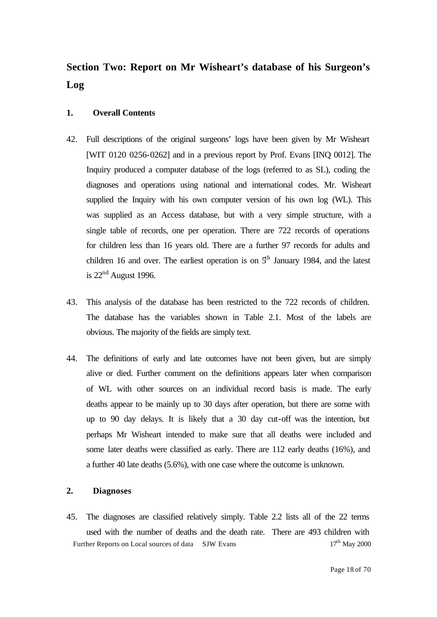# **Section Two: Report on Mr Wisheart's database of his Surgeon's Log**

#### **1. Overall Contents**

- 42. Full descriptions of the original surgeons' logs have been given by Mr Wisheart [WIT 0120 0256-0262] and in a previous report by Prof. Evans [INQ 0012]. The Inquiry produced a computer database of the logs (referred to as SL), coding the diagnoses and operations using national and international codes. Mr. Wisheart supplied the Inquiry with his own computer version of his own log (WL). This was supplied as an Access database, but with a very simple structure, with a single table of records, one per operation. There are 722 records of operations for children less than 16 years old. There are a further 97 records for adults and children 16 and over. The earliest operation is on  $5<sup>th</sup>$  January 1984, and the latest is  $22<sup>nd</sup>$  August 1996.
- 43. This analysis of the database has been restricted to the 722 records of children. The database has the variables shown in Table 2.1. Most of the labels are obvious. The majority of the fields are simply text.
- 44. The definitions of early and late outcomes have not been given, but are simply alive or died. Further comment on the definitions appears later when comparison of WL with other sources on an individual record basis is made. The early deaths appear to be mainly up to 30 days after operation, but there are some with up to 90 day delays. It is likely that a 30 day cut-off was the intention, but perhaps Mr Wisheart intended to make sure that all deaths were included and some later deaths were classified as early. There are 112 early deaths (16%), and a further 40 late deaths (5.6%), with one case where the outcome is unknown.

### **2. Diagnoses**

Further Reports on Local sources of data SJW Evans 17<sup>th</sup> May 2000 45. The diagnoses are classified relatively simply. Table 2.2 lists all of the 22 terms used with the number of deaths and the death rate. There are 493 children with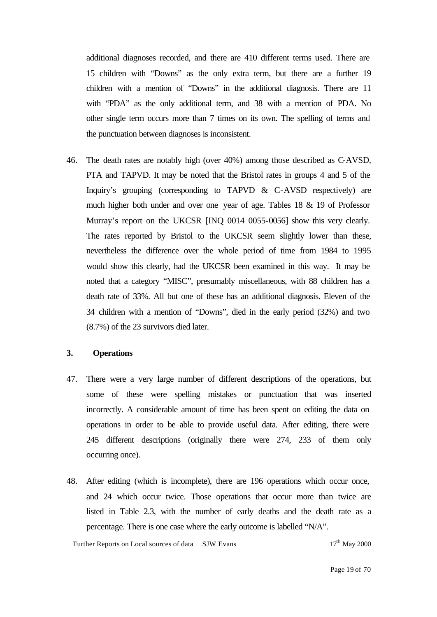additional diagnoses recorded, and there are 410 different terms used. There are 15 children with "Downs" as the only extra term, but there are a further 19 children with a mention of "Downs" in the additional diagnosis. There are 11 with "PDA" as the only additional term, and 38 with a mention of PDA. No other single term occurs more than 7 times on its own. The spelling of terms and the punctuation between diagnoses is inconsistent.

46. The death rates are notably high (over 40%) among those described as C-AVSD, PTA and TAPVD. It may be noted that the Bristol rates in groups 4 and 5 of the Inquiry's grouping (corresponding to TAPVD & C-AVSD respectively) are much higher both under and over one year of age. Tables 18 & 19 of Professor Murray's report on the UKCSR [INQ 0014 0055-0056] show this very clearly. The rates reported by Bristol to the UKCSR seem slightly lower than these, nevertheless the difference over the whole period of time from 1984 to 1995 would show this clearly, had the UKCSR been examined in this way. It may be noted that a category "MISC", presumably miscellaneous, with 88 children has a death rate of 33%. All but one of these has an additional diagnosis. Eleven of the 34 children with a mention of "Downs", died in the early period (32%) and two (8.7%) of the 23 survivors died later.

# **3. Operations**

- 47. There were a very large number of different descriptions of the operations, but some of these were spelling mistakes or punctuation that was inserted incorrectly. A considerable amount of time has been spent on editing the data on operations in order to be able to provide useful data. After editing, there were 245 different descriptions (originally there were 274, 233 of them only occurring once).
- 48. After editing (which is incomplete), there are 196 operations which occur once, and 24 which occur twice. Those operations that occur more than twice are listed in Table 2.3, with the number of early deaths and the death rate as a percentage. There is one case where the early outcome is labelled "N/A".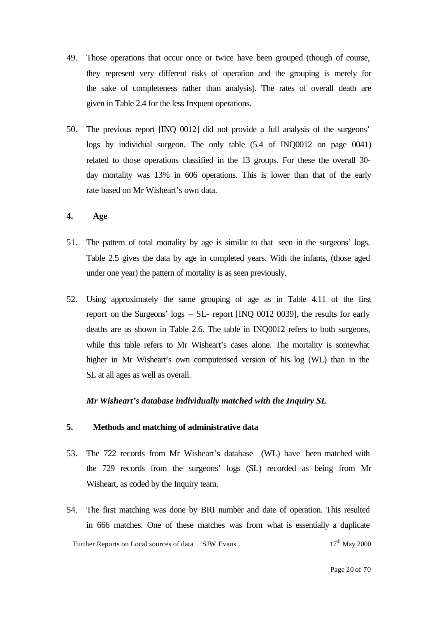- 49. Those operations that occur once or twice have been grouped (though of course, they represent very different risks of operation and the grouping is merely for the sake of completeness rather than analysis). The rates of overall death are given in Table 2.4 for the less frequent operations.
- 50. The previous report [INQ 0012] did not provide a full analysis of the surgeons' logs by individual surgeon. The only table (5.4 of INQ0012 on page 0041) related to those operations classified in the 13 groups. For these the overall 30 day mortality was 13% in 606 operations. This is lower than that of the early rate based on Mr Wisheart's own data.

### **4. Age**

- 51. The pattern of total mortality by age is similar to that seen in the surgeons' logs. Table 2.5 gives the data by age in completed years. With the infants, (those aged under one year) the pattern of mortality is as seen previously.
- 52. Using approximately the same grouping of age as in Table 4.11 of the first report on the Surgeons' logs – SL- report [INQ 0012 0039], the results for early deaths are as shown in Table 2.6. The table in INQ0012 refers to both surgeons, while this table refers to Mr Wisheart's cases alone. The mortality is somewhat higher in Mr Wisheart's own computerised version of his log (WL) than in the SL at all ages as well as overall.

### *Mr Wisheart's database individually matched with the Inquiry SL*

### **5. Methods and matching of administrative data**

- 53. The 722 records from Mr Wisheart's database (WL) have been matched with the 729 records from the surgeons' logs (SL) recorded as being from Mr Wisheart, as coded by the Inquiry team.
- Further Reports on Local sources of data SJW Evans 17<sup>th</sup> May 2000 54. The first matching was done by BRI number and date of operation. This resulted in 666 matches. One of these matches was from what is essentially a duplicate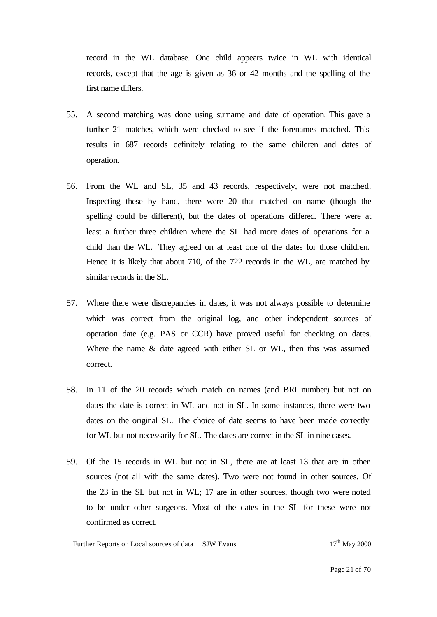record in the WL database. One child appears twice in WL with identical records, except that the age is given as 36 or 42 months and the spelling of the first name differs.

- 55. A second matching was done using surname and date of operation. This gave a further 21 matches, which were checked to see if the forenames matched. This results in 687 records definitely relating to the same children and dates of operation.
- 56. From the WL and SL, 35 and 43 records, respectively, were not matched. Inspecting these by hand, there were 20 that matched on name (though the spelling could be different), but the dates of operations differed. There were at least a further three children where the SL had more dates of operations for a child than the WL. They agreed on at least one of the dates for those children. Hence it is likely that about 710, of the 722 records in the WL, are matched by similar records in the SL.
- 57. Where there were discrepancies in dates, it was not always possible to determine which was correct from the original log, and other independent sources of operation date (e.g. PAS or CCR) have proved useful for checking on dates. Where the name & date agreed with either SL or WL, then this was assumed correct.
- 58. In 11 of the 20 records which match on names (and BRI number) but not on dates the date is correct in WL and not in SL. In some instances, there were two dates on the original SL. The choice of date seems to have been made correctly for WL but not necessarily for SL. The dates are correct in the SL in nine cases.
- 59. Of the 15 records in WL but not in SL, there are at least 13 that are in other sources (not all with the same dates). Two were not found in other sources. Of the 23 in the SL but not in WL; 17 are in other sources, though two were noted to be under other surgeons. Most of the dates in the SL for these were not confirmed as correct.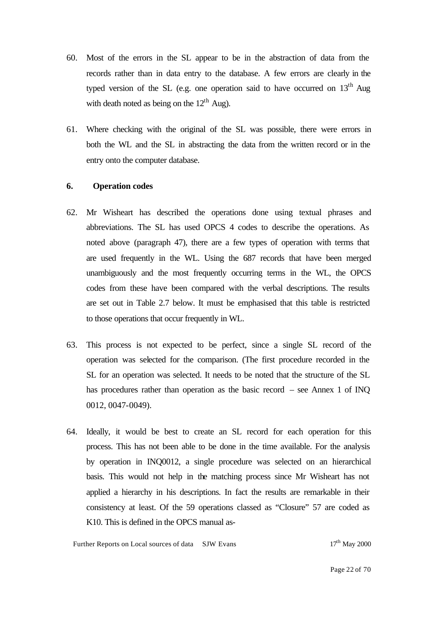- 60. Most of the errors in the SL appear to be in the abstraction of data from the records rather than in data entry to the database. A few errors are clearly in the typed version of the SL (e.g. one operation said to have occurred on  $13<sup>th</sup>$  Aug with death noted as being on the  $12<sup>th</sup>$  Aug).
- 61. Where checking with the original of the SL was possible, there were errors in both the WL and the SL in abstracting the data from the written record or in the entry onto the computer database.

### **6. Operation codes**

- 62. Mr Wisheart has described the operations done using textual phrases and abbreviations. The SL has used OPCS 4 codes to describe the operations. As noted above (paragraph 47), there are a few types of operation with terms that are used frequently in the WL. Using the 687 records that have been merged unambiguously and the most frequently occurring terms in the WL, the OPCS codes from these have been compared with the verbal descriptions. The results are set out in Table 2.7 below. It must be emphasised that this table is restricted to those operations that occur frequently in WL.
- 63. This process is not expected to be perfect, since a single SL record of the operation was selected for the comparison. (The first procedure recorded in the SL for an operation was selected. It needs to be noted that the structure of the SL has procedures rather than operation as the basic record – see Annex 1 of INQ 0012, 0047-0049).
- 64. Ideally, it would be best to create an SL record for each operation for this process. This has not been able to be done in the time available. For the analysis by operation in INQ0012, a single procedure was selected on an hierarchical basis. This would not help in the matching process since Mr Wisheart has not applied a hierarchy in his descriptions. In fact the results are remarkable in their consistency at least. Of the 59 operations classed as "Closure" 57 are coded as K<sub>10</sub>. This is defined in the OPCS manual as-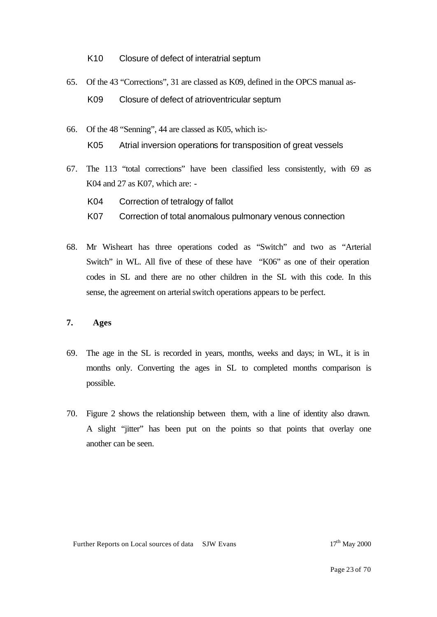K10 Closure of defect of interatrial septum

- 65. Of the 43 "Corrections", 31 are classed as K09, defined in the OPCS manual as-K09 Closure of defect of atrioventricular septum
- 66. Of the 48 "Senning", 44 are classed as K05, which is:- K05 Atrial inversion operations for transposition of great vessels
- 67. The 113 "total corrections" have been classified less consistently, with 69 as K04 and 27 as K07, which are: -
	- K04 Correction of tetralogy of fallot
	- K07 Correction of total anomalous pulmonary venous connection
- 68. Mr Wisheart has three operations coded as "Switch" and two as "Arterial Switch" in WL. All five of these of these have "K06" as one of their operation codes in SL and there are no other children in the SL with this code. In this sense, the agreement on arterial switch operations appears to be perfect.

# **7. Ages**

- 69. The age in the SL is recorded in years, months, weeks and days; in WL, it is in months only. Converting the ages in SL to completed months comparison is possible.
- 70. Figure 2 shows the relationship between them, with a line of identity also drawn. A slight "jitter" has been put on the points so that points that overlay one another can be seen.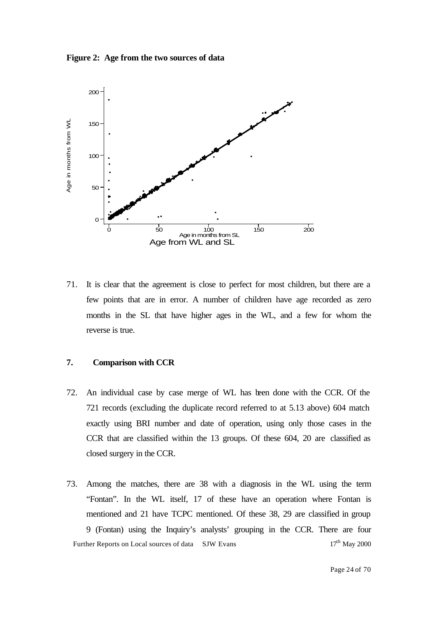**Figure 2: Age from the two sources of data**



71. It is clear that the agreement is close to perfect for most children, but there are a few points that are in error. A number of children have age recorded as zero months in the SL that have higher ages in the WL, and a few for whom the reverse is true.

### **7. Comparison with CCR**

- 72. An individual case by case merge of WL has been done with the CCR. Of the 721 records (excluding the duplicate record referred to at 5.13 above) 604 match exactly using BRI number and date of operation, using only those cases in the CCR that are classified within the 13 groups. Of these 604, 20 are classified as closed surgery in the CCR.
- Further Reports on Local sources of data SJW Evans 17<sup>th</sup> May 2000 73. Among the matches, there are 38 with a diagnosis in the WL using the term "Fontan". In the WL itself, 17 of these have an operation where Fontan is mentioned and 21 have TCPC mentioned. Of these 38, 29 are classified in group 9 (Fontan) using the Inquiry's analysts' grouping in the CCR. There are four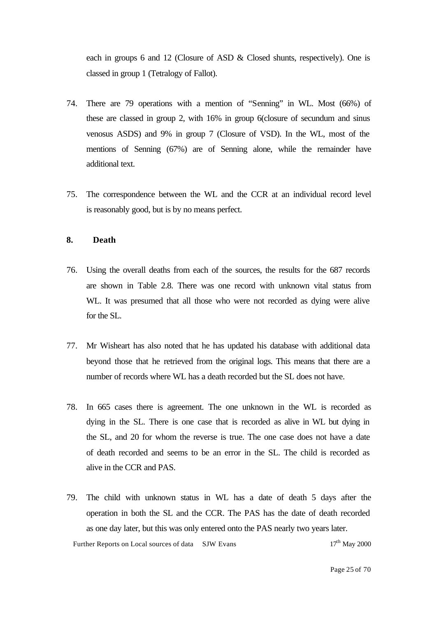each in groups 6 and 12 (Closure of ASD & Closed shunts, respectively). One is classed in group 1 (Tetralogy of Fallot).

- 74. There are 79 operations with a mention of "Senning" in WL. Most (66%) of these are classed in group 2, with 16% in group 6(closure of secundum and sinus venosus ASDS) and 9% in group 7 (Closure of VSD). In the WL, most of the mentions of Senning (67%) are of Senning alone, while the remainder have additional text.
- 75. The correspondence between the WL and the CCR at an individual record level is reasonably good, but is by no means perfect.

### **8. Death**

- 76. Using the overall deaths from each of the sources, the results for the 687 records are shown in Table 2.8. There was one record with unknown vital status from WL. It was presumed that all those who were not recorded as dying were alive for the SL.
- 77. Mr Wisheart has also noted that he has updated his database with additional data beyond those that he retrieved from the original logs. This means that there are a number of records where WL has a death recorded but the SL does not have.
- 78. In 665 cases there is agreement. The one unknown in the WL is recorded as dying in the SL. There is one case that is recorded as alive in WL but dying in the SL, and 20 for whom the reverse is true. The one case does not have a date of death recorded and seems to be an error in the SL. The child is recorded as alive in the CCR and PAS.
- 79. The child with unknown status in WL has a date of death 5 days after the operation in both the SL and the CCR. The PAS has the date of death recorded as one day later, but this was only entered onto the PAS nearly two years later.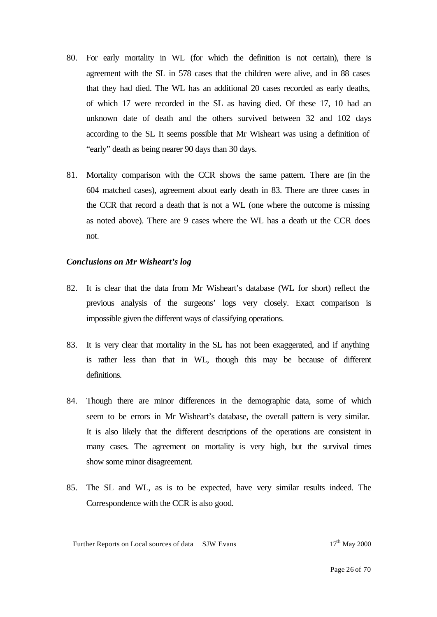- 80. For early mortality in WL (for which the definition is not certain), there is agreement with the SL in 578 cases that the children were alive, and in 88 cases that they had died. The WL has an additional 20 cases recorded as early deaths, of which 17 were recorded in the SL as having died. Of these 17, 10 had an unknown date of death and the others survived between 32 and 102 days according to the SL It seems possible that Mr Wisheart was using a definition of "early" death as being nearer 90 days than 30 days.
- 81. Mortality comparison with the CCR shows the same pattern. There are (in the 604 matched cases), agreement about early death in 83. There are three cases in the CCR that record a death that is not a WL (one where the outcome is missing as noted above). There are 9 cases where the WL has a death ut the CCR does not.

#### *Conclusions on Mr Wisheart's log*

- 82. It is clear that the data from Mr Wisheart's database (WL for short) reflect the previous analysis of the surgeons' logs very closely. Exact comparison is impossible given the different ways of classifying operations.
- 83. It is very clear that mortality in the SL has not been exaggerated, and if anything is rather less than that in WL, though this may be because of different definitions.
- 84. Though there are minor differences in the demographic data, some of which seem to be errors in Mr Wisheart's database, the overall pattern is very similar. It is also likely that the different descriptions of the operations are consistent in many cases. The agreement on mortality is very high, but the survival times show some minor disagreement.
- 85. The SL and WL, as is to be expected, have very similar results indeed. The Correspondence with the CCR is also good.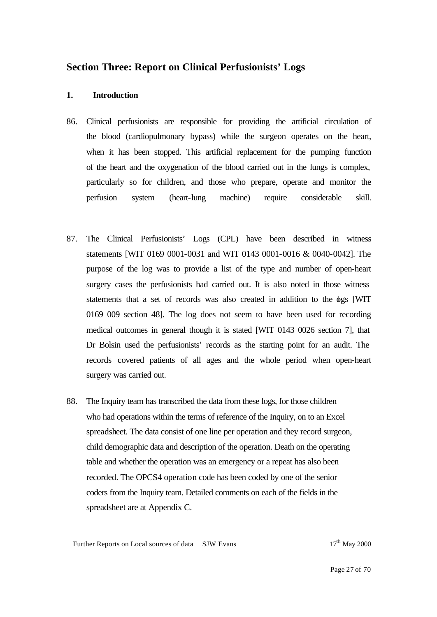# **Section Three: Report on Clinical Perfusionists' Logs**

### **1. Introduction**

- 86. Clinical perfusionists are responsible for providing the artificial circulation of the blood (cardiopulmonary bypass) while the surgeon operates on the heart, when it has been stopped. This artificial replacement for the pumping function of the heart and the oxygenation of the blood carried out in the lungs is complex, particularly so for children, and those who prepare, operate and monitor the perfusion system (heart-lung machine) require considerable skill.
- 87. The Clinical Perfusionists' Logs (CPL) have been described in witness statements [WIT 0169 0001-0031 and WIT 0143 0001-0016 & 0040-0042]. The purpose of the log was to provide a list of the type and number of open-heart surgery cases the perfusionists had carried out. It is also noted in those witness statements that a set of records was also created in addition to the bgs [WIT 0169 009 section 48]. The log does not seem to have been used for recording medical outcomes in general though it is stated [WIT 0143 0026 section 7], that Dr Bolsin used the perfusionists' records as the starting point for an audit. The records covered patients of all ages and the whole period when open-heart surgery was carried out.
- 88. The Inquiry team has transcribed the data from these logs, for those children who had operations within the terms of reference of the Inquiry, on to an Excel spreadsheet. The data consist of one line per operation and they record surgeon, child demographic data and description of the operation. Death on the operating table and whether the operation was an emergency or a repeat has also been recorded. The OPCS4 operation code has been coded by one of the senior coders from the Inquiry team. Detailed comments on each of the fields in the spreadsheet are at Appendix C.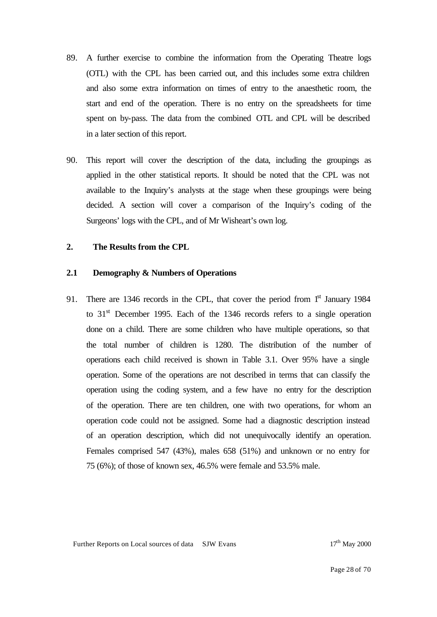- 89. A further exercise to combine the information from the Operating Theatre logs (OTL) with the CPL has been carried out, and this includes some extra children and also some extra information on times of entry to the anaesthetic room, the start and end of the operation. There is no entry on the spreadsheets for time spent on by-pass. The data from the combined OTL and CPL will be described in a later section of this report.
- 90. This report will cover the description of the data, including the groupings as applied in the other statistical reports. It should be noted that the CPL was not available to the Inquiry's analysts at the stage when these groupings were being decided. A section will cover a comparison of the Inquiry's coding of the Surgeons' logs with the CPL, and of Mr Wisheart's own log.

#### **2. The Results from the CPL**

#### **2.1 Demography & Numbers of Operations**

91. There are 1346 records in the CPL, that cover the period from 1<sup>st</sup> January 1984 to  $31<sup>st</sup>$  December 1995. Each of the 1346 records refers to a single operation done on a child. There are some children who have multiple operations, so that the total number of children is 1280. The distribution of the number of operations each child received is shown in Table 3.1. Over 95% have a single operation. Some of the operations are not described in terms that can classify the operation using the coding system, and a few have no entry for the description of the operation. There are ten children, one with two operations, for whom an operation code could not be assigned. Some had a diagnostic description instead of an operation description, which did not unequivocally identify an operation. Females comprised 547 (43%), males 658 (51%) and unknown or no entry for 75 (6%); of those of known sex, 46.5% were female and 53.5% male.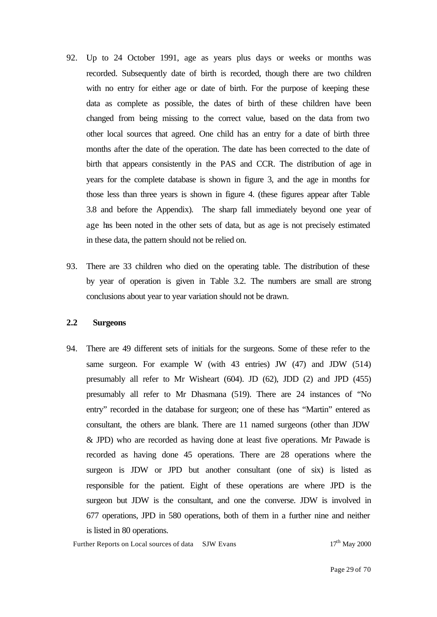- 92. Up to 24 October 1991, age as years plus days or weeks or months was recorded. Subsequently date of birth is recorded, though there are two children with no entry for either age or date of birth. For the purpose of keeping these data as complete as possible, the dates of birth of these children have been changed from being missing to the correct value, based on the data from two other local sources that agreed. One child has an entry for a date of birth three months after the date of the operation. The date has been corrected to the date of birth that appears consistently in the PAS and CCR. The distribution of age in years for the complete database is shown in figure 3, and the age in months for those less than three years is shown in figure 4. (these figures appear after Table 3.8 and before the Appendix). The sharp fall immediately beyond one year of age has been noted in the other sets of data, but as age is not precisely estimated in these data, the pattern should not be relied on.
- 93. There are 33 children who died on the operating table. The distribution of these by year of operation is given in Table 3.2. The numbers are small are strong conclusions about year to year variation should not be drawn.

### **2.2 Surgeons**

94. There are 49 different sets of initials for the surgeons. Some of these refer to the same surgeon. For example W (with 43 entries) JW (47) and JDW (514) presumably all refer to Mr Wisheart (604). JD (62), JDD (2) and JPD (455) presumably all refer to Mr Dhasmana (519). There are 24 instances of "No entry" recorded in the database for surgeon; one of these has "Martin" entered as consultant, the others are blank. There are 11 named surgeons (other than JDW & JPD) who are recorded as having done at least five operations. Mr Pawade is recorded as having done 45 operations. There are 28 operations where the surgeon is JDW or JPD but another consultant (one of six) is listed as responsible for the patient. Eight of these operations are where JPD is the surgeon but JDW is the consultant, and one the converse. JDW is involved in 677 operations, JPD in 580 operations, both of them in a further nine and neither is listed in 80 operations.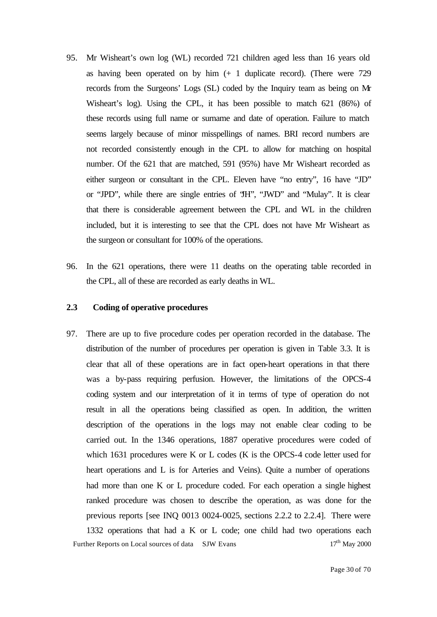- 95. Mr Wisheart's own log (WL) recorded 721 children aged less than 16 years old as having been operated on by him (+ 1 duplicate record). (There were 729 records from the Surgeons' Logs (SL) coded by the Inquiry team as being on Mr Wisheart's log). Using the CPL, it has been possible to match 621 (86%) of these records using full name or surname and date of operation. Failure to match seems largely because of minor misspellings of names. BRI record numbers are not recorded consistently enough in the CPL to allow for matching on hospital number. Of the 621 that are matched, 591 (95%) have Mr Wisheart recorded as either surgeon or consultant in the CPL. Eleven have "no entry", 16 have "JD" or "JPD", while there are single entries of "JH", "JWD" and "Mulay". It is clear that there is considerable agreement between the CPL and WL in the children included, but it is interesting to see that the CPL does not have Mr Wisheart as the surgeon or consultant for 100% of the operations.
- 96. In the 621 operations, there were 11 deaths on the operating table recorded in the CPL, all of these are recorded as early deaths in WL.

#### **2.3 Coding of operative procedures**

Further Reports on Local sources of data SJW Evans 17<sup>th</sup> May 2000 97. There are up to five procedure codes per operation recorded in the database. The distribution of the number of procedures per operation is given in Table 3.3. It is clear that all of these operations are in fact open-heart operations in that there was a by-pass requiring perfusion. However, the limitations of the OPCS-4 coding system and our interpretation of it in terms of type of operation do not result in all the operations being classified as open. In addition, the written description of the operations in the logs may not enable clear coding to be carried out. In the 1346 operations, 1887 operative procedures were coded of which 1631 procedures were K or L codes (K is the OPCS-4 code letter used for heart operations and L is for Arteries and Veins). Quite a number of operations had more than one K or L procedure coded. For each operation a single highest ranked procedure was chosen to describe the operation, as was done for the previous reports [see INQ 0013 0024-0025, sections 2.2.2 to 2.2.4]. There were 1332 operations that had a K or L code; one child had two operations each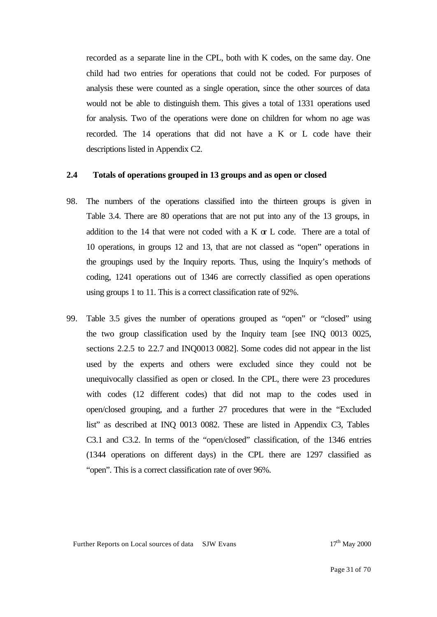recorded as a separate line in the CPL, both with K codes, on the same day. One child had two entries for operations that could not be coded. For purposes of analysis these were counted as a single operation, since the other sources of data would not be able to distinguish them. This gives a total of 1331 operations used for analysis. Two of the operations were done on children for whom no age was recorded. The 14 operations that did not have a K or L code have their descriptions listed in Appendix C2.

### **2.4 Totals of operations grouped in 13 groups and as open or closed**

- 98. The numbers of the operations classified into the thirteen groups is given in Table 3.4. There are 80 operations that are not put into any of the 13 groups, in addition to the  $14$  that were not coded with a K  $\alpha$  L code. There are a total of 10 operations, in groups 12 and 13, that are not classed as "open" operations in the groupings used by the Inquiry reports. Thus, using the Inquiry's methods of coding, 1241 operations out of 1346 are correctly classified as open operations using groups 1 to 11. This is a correct classification rate of 92%.
- 99. Table 3.5 gives the number of operations grouped as "open" or "closed" using the two group classification used by the Inquiry team [see INQ 0013 0025, sections 2.2.5 to 22.7 and INQ0013 0082]. Some codes did not appear in the list used by the experts and others were excluded since they could not be unequivocally classified as open or closed. In the CPL, there were 23 procedures with codes (12 different codes) that did not map to the codes used in open/closed grouping, and a further 27 procedures that were in the "Excluded list" as described at INQ 0013 0082. These are listed in Appendix C3, Tables C3.1 and C3.2. In terms of the "open/closed" classification, of the 1346 entries (1344 operations on different days) in the CPL there are 1297 classified as "open". This is a correct classification rate of over 96%.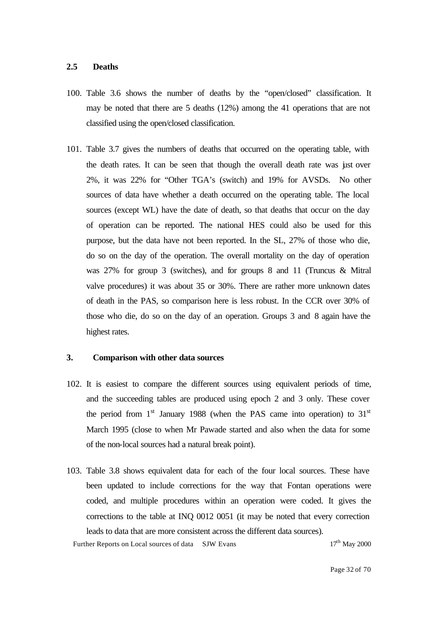#### **2.5 Deaths**

- 100. Table 3.6 shows the number of deaths by the "open/closed" classification. It may be noted that there are 5 deaths (12%) among the 41 operations that are not classified using the open/closed classification.
- 101. Table 3.7 gives the numbers of deaths that occurred on the operating table, with the death rates. It can be seen that though the overall death rate was just over 2%, it was 22% for "Other TGA's (switch) and 19% for AVSDs. No other sources of data have whether a death occurred on the operating table. The local sources (except WL) have the date of death, so that deaths that occur on the day of operation can be reported. The national HES could also be used for this purpose, but the data have not been reported. In the SL, 27% of those who die, do so on the day of the operation. The overall mortality on the day of operation was 27% for group 3 (switches), and for groups 8 and 11 (Truncus & Mitral valve procedures) it was about 35 or 30%. There are rather more unknown dates of death in the PAS, so comparison here is less robust. In the CCR over 30% of those who die, do so on the day of an operation. Groups 3 and 8 again have the highest rates.

### **3. Comparison with other data sources**

- 102. It is easiest to compare the different sources using equivalent periods of time, and the succeeding tables are produced using epoch 2 and 3 only. These cover the period from  $1<sup>st</sup>$  January 1988 (when the PAS came into operation) to  $31<sup>st</sup>$ March 1995 (close to when Mr Pawade started and also when the data for some of the non-local sources had a natural break point).
- 103. Table 3.8 shows equivalent data for each of the four local sources. These have been updated to include corrections for the way that Fontan operations were coded, and multiple procedures within an operation were coded. It gives the corrections to the table at INQ 0012 0051 (it may be noted that every correction leads to data that are more consistent across the different data sources).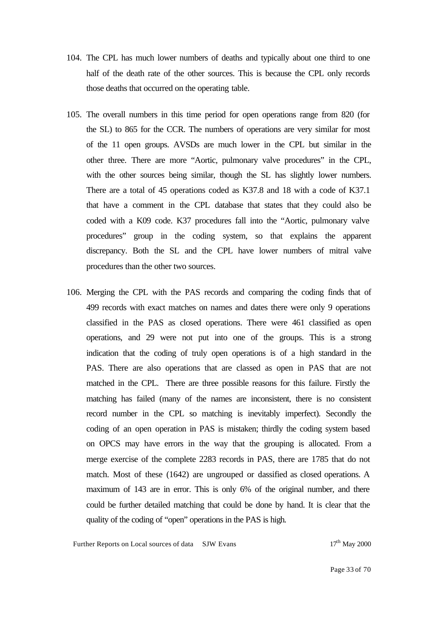- 104. The CPL has much lower numbers of deaths and typically about one third to one half of the death rate of the other sources. This is because the CPL only records those deaths that occurred on the operating table.
- 105. The overall numbers in this time period for open operations range from 820 (for the SL) to 865 for the CCR. The numbers of operations are very similar for most of the 11 open groups. AVSDs are much lower in the CPL but similar in the other three. There are more "Aortic, pulmonary valve procedures" in the CPL, with the other sources being similar, though the SL has slightly lower numbers. There are a total of 45 operations coded as K37.8 and 18 with a code of K37.1 that have a comment in the CPL database that states that they could also be coded with a K09 code. K37 procedures fall into the "Aortic, pulmonary valve procedures" group in the coding system, so that explains the apparent discrepancy. Both the SL and the CPL have lower numbers of mitral valve procedures than the other two sources.
- 106. Merging the CPL with the PAS records and comparing the coding finds that of 499 records with exact matches on names and dates there were only 9 operations classified in the PAS as closed operations. There were 461 classified as open operations, and 29 were not put into one of the groups. This is a strong indication that the coding of truly open operations is of a high standard in the PAS. There are also operations that are classed as open in PAS that are not matched in the CPL. There are three possible reasons for this failure. Firstly the matching has failed (many of the names are inconsistent, there is no consistent record number in the CPL so matching is inevitably imperfect). Secondly the coding of an open operation in PAS is mistaken; thirdly the coding system based on OPCS may have errors in the way that the grouping is allocated. From a merge exercise of the complete 2283 records in PAS, there are 1785 that do not match. Most of these (1642) are ungrouped or dassified as closed operations. A maximum of 143 are in error. This is only 6% of the original number, and there could be further detailed matching that could be done by hand. It is clear that the quality of the coding of "open" operations in the PAS is high.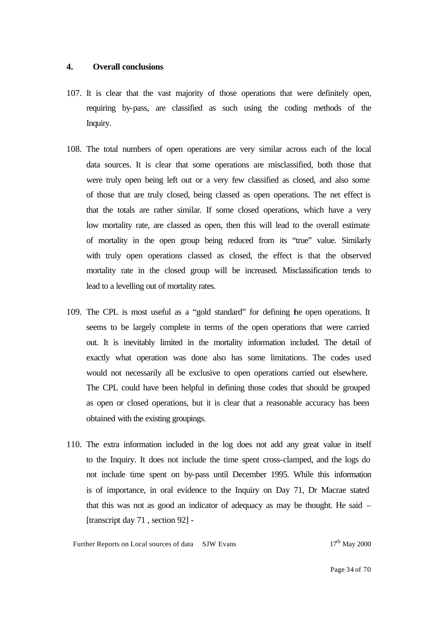#### **4. Overall conclusions**

- 107. It is clear that the vast majority of those operations that were definitely open, requiring by-pass, are classified as such using the coding methods of the Inquiry.
- 108. The total numbers of open operations are very similar across each of the local data sources. It is clear that some operations are misclassified, both those that were truly open being left out or a very few classified as closed, and also some of those that are truly closed, being classed as open operations. The net effect is that the totals are rather similar. If some closed operations, which have a very low mortality rate, are classed as open, then this will lead to the overall estimate of mortality in the open group being reduced from its "true" value. Similarly with truly open operations classed as closed, the effect is that the observed mortality rate in the closed group will be increased. Misclassification tends to lead to a levelling out of mortality rates.
- 109. The CPL is most useful as a "gold standard" for defining the open operations. It seems to be largely complete in terms of the open operations that were carried out. It is inevitably limited in the mortality information included. The detail of exactly what operation was done also has some limitations. The codes used would not necessarily all be exclusive to open operations carried out elsewhere. The CPL could have been helpful in defining those codes that should be grouped as open or closed operations, but it is clear that a reasonable accuracy has been obtained with the existing groupings.
- 110. The extra information included in the log does not add any great value in itself to the Inquiry. It does not include the time spent cross-clamped, and the logs do not include time spent on by-pass until December 1995. While this information is of importance, in oral evidence to the Inquiry on Day 71, Dr Macrae stated that this was not as good an indicator of adequacy as may be thought. He said – [transcript day 71 , section 92] -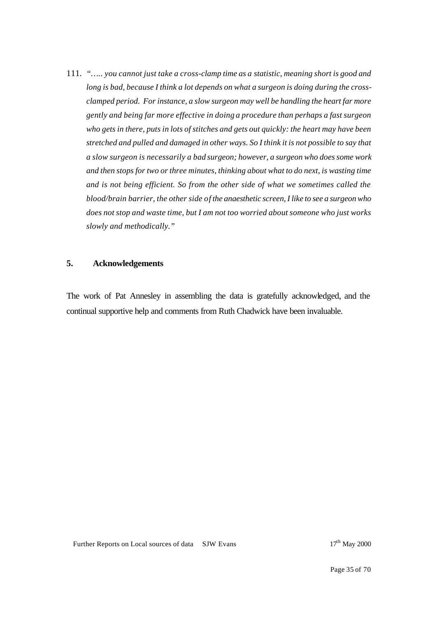111. *"….. you cannot just take a cross-clamp time as a statistic, meaning short is good and long is bad, because I think a lot depends on what a surgeon is doing during the crossclamped period. For instance, a slow surgeon may well be handling the heart far more gently and being far more effective in doing a procedure than perhaps a fast surgeon who gets in there, puts in lots of stitches and gets out quickly: the heart may have been stretched and pulled and damaged in other ways. So I think it is not possible to say that a slow surgeon is necessarily a bad surgeon; however, a surgeon who does some work and then stops for two or three minutes, thinking about what to do next, is wasting time and is not being efficient. So from the other side of what we sometimes called the blood/brain barrier, the other side of the anaesthetic screen, I like to see a surgeon who does not stop and waste time, but I am not too worried about someone who just works slowly and methodically."* 

### **5. Acknowledgements**

The work of Pat Annesley in assembling the data is gratefully acknowledged, and the continual supportive help and comments from Ruth Chadwick have been invaluable.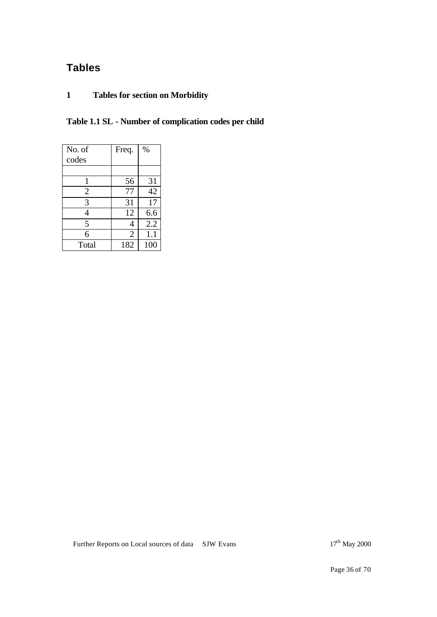# **Tables**

# **1 Tables for section on Morbidity**

**Table 1.1 SL - Number of complication codes per child**

| No. of         | Freq.          | %   |
|----------------|----------------|-----|
| codes          |                |     |
|                |                |     |
| 1              | 56             | 31  |
| $\overline{2}$ | 77             | 42  |
| 3              | 31             | 17  |
| 4              | 12             | 6.6 |
| 5              | 4              | 2.2 |
| 6              | $\overline{2}$ | 1.1 |
| Total          | 182            | 100 |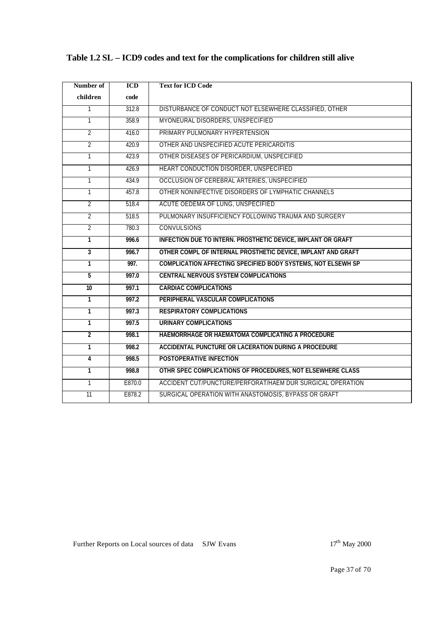|  | Table 1.2 SL – ICD9 codes and text for the complications for children still alive |
|--|-----------------------------------------------------------------------------------|
|  |                                                                                   |

| Number of       | <b>ICD</b> | <b>Text for ICD Code</b>                                     |
|-----------------|------------|--------------------------------------------------------------|
| children        | code       |                                                              |
| 1               | 312.8      | DISTURBANCE OF CONDUCT NOT ELSEWHERE CLASSIFIED, OTHER       |
| $\overline{1}$  | 358.9      | MYONEURAL DISORDERS, UNSPECIFIED                             |
| $\overline{2}$  | 416.0      | PRIMARY PULMONARY HYPERTENSION                               |
| $\overline{2}$  | 420.9      | OTHER AND UNSPECIFIED ACUTE PERICARDITIS                     |
| $\overline{1}$  | 423.9      | OTHER DISEASES OF PERICARDIUM, UNSPECIFIED                   |
| $\overline{1}$  | 426.9      | HEART CONDUCTION DISORDER, UNSPECIFIED                       |
| $\overline{1}$  | 434.9      | OCCLUSION OF CEREBRAL ARTERIES, UNSPECIFIED                  |
| 1               | 457.8      | OTHER NONINFECTIVE DISORDERS OF LYMPHATIC CHANNELS           |
| $\overline{2}$  | 518.4      | ACUTE OEDEMA OF LUNG, UNSPECIFIED                            |
| $\overline{2}$  | 518.5      | PULMONARY INSUFFICIENCY FOLLOWING TRAUMA AND SURGERY         |
| $\overline{2}$  | 780.3      | CONVULSIONS                                                  |
| T               | 996.6      | INFECTION DUE TO INTERN. PROSTHETIC DEVICE, IMPLANT OR GRAFT |
| $\overline{3}$  | 996.7      | OTHER COMPL OF INTERNAL PROSTHETIC DEVICE, IMPLANT AND GRAFT |
| $\overline{1}$  | 997.       | COMPLICATION AFFECTING SPECIFIED BODY SYSTEMS, NOT ELSEWH SP |
| $\overline{5}$  | 997.0      | <b>CENTRAL NERVOUS SYSTEM COMPLICATIONS</b>                  |
| $\overline{10}$ | 997.1      | <b>CARDIAC COMPLICATIONS</b>                                 |
| $\overline{1}$  | 997.2      | PERIPHERAL VASCULAR COMPLICATIONS                            |
| $\overline{1}$  | 997.3      | <b>RESPIRATORY COMPLICATIONS</b>                             |
| $\overline{1}$  | 997.5      | <b>URINARY COMPLICATIONS</b>                                 |
| $\overline{2}$  | 998.1      | HAEMORRHAGE OR HAEMATOMA COMPLICATING A PROCEDURE            |
| T               | 998.2      | ACCIDENTAL PUNCTURE OR LACERATION DURING A PROCEDURE         |
| 4               | 998.5      | <b>POSTOPERATIVE INFECTION</b>                               |
| T               | 998.8      | OTHR SPEC COMPLICATIONS OF PROCEDURES, NOT ELSEWHERE CLASS   |
| $\overline{1}$  | E870.0     | ACCIDENT CUT/PUNCTURE/PERFORAT/HAEM DUR SURGICAL OPERATION   |
| 11              | E878.2     | SURGICAL OPERATION WITH ANASTOMOSIS, BYPASS OR GRAFT         |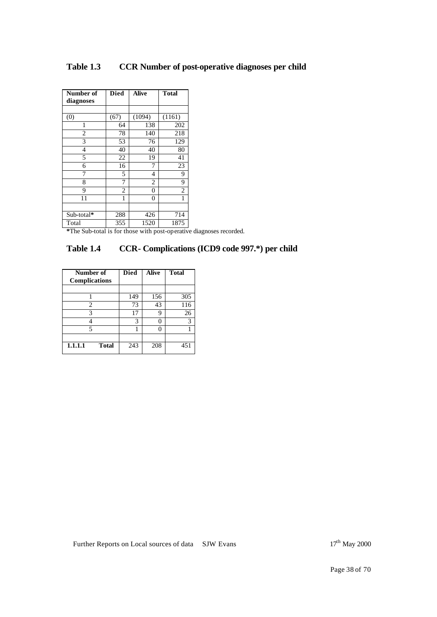| Number of<br>diagnoses | <b>Died</b> | <b>Alive</b>    | <b>Total</b> |
|------------------------|-------------|-----------------|--------------|
|                        |             |                 |              |
|                        |             |                 |              |
| (0)                    | (67)        | (1094)          | (1161)       |
| 1                      | 64          | 138             | 202          |
| $\overline{c}$         | 78          | 140             | 218          |
| $\overline{3}$         | 53          | $\overline{7}6$ | 129          |
| 4                      | 40          | 40              | 80           |
| 5                      | 22          | 19              | 41           |
| 6                      | 16          | 7               | 23           |
| 7                      | 5           | 4               | 9            |
| 8                      | 7           | $\overline{c}$  | 9            |
| 9                      | 2           | 0               | 2            |
| 11                     | 1           | 0               | 1            |
|                        |             |                 |              |
| Sub-total*             | 288         | 426             | 714          |
| Total                  | 355         | 1520            | 1875         |

**\***The Sub-total is for those with post-operative diagnoses recorded.

# **Table 1.4 CCR- Complications (ICD9 code 997.\*) per child**

| Number of<br>Complications | <b>Died</b> | <b>Alive</b> | <b>Total</b> |
|----------------------------|-------------|--------------|--------------|
|                            |             |              |              |
|                            | 149         | 156          | 305          |
| 2                          | 73          | 43           | 116          |
| 3                          | 17          | Q            | 26           |
|                            | 3           |              | 3            |
| 5                          |             |              |              |
|                            |             |              |              |
| 1.1.1.1<br><b>Total</b>    | 243         | 208          | 451          |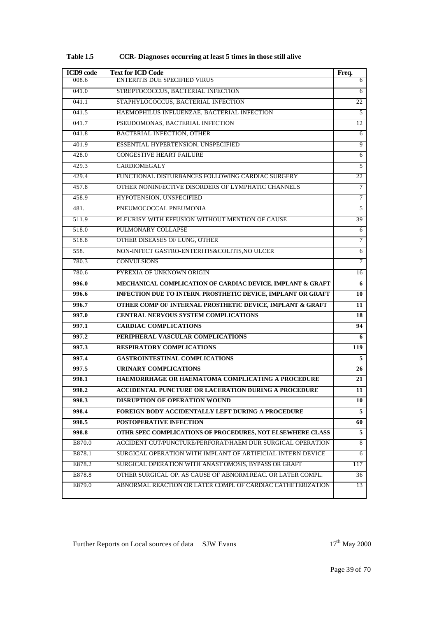| <b>ICD9</b> code | <b>Text for ICD Code</b>                                     | Freq.           |
|------------------|--------------------------------------------------------------|-----------------|
| 008.6            | <b>ENTERITIS DUE SPECIFIED VIRUS</b>                         | 6               |
| 041.0            | STREPTOCOCCUS, BACTERIAL INFECTION                           | 6               |
| 041.1            | STAPHYLOCOCCUS, BACTERIAL INFECTION                          | 22              |
| 041.5            | HAEMOPHILUS INFLUENZAE, BACTERIAL INFECTION                  | 5               |
| 041.7            | PSEUDOMONAS, BACTERIAL INFECTION                             | 12              |
| 041.8            | <b>BACTERIAL INFECTION, OTHER</b>                            | 6               |
| 401.9            | ESSENTIAL HYPERTENSION, UNSPECIFIED                          | 9               |
| 428.0            | <b>CONGESTIVE HEART FAILURE</b>                              | 6               |
| 429.3            | <b>CARDIOMEGALY</b>                                          | 5               |
| 429.4            | FUNCTIONAL DISTURBANCES FOLLOWING CARDIAC SURGERY            | $\overline{22}$ |
| 457.8            | OTHER NONINFECTIVE DISORDERS OF LYMPHATIC CHANNELS           | $\overline{7}$  |
| 458.9            | HYPOTENSION, UNSPECIFIED                                     | $\overline{7}$  |
| 481.             | PNEUMOCOCCAL PNEUMONIA                                       | 5               |
| 511.9            | PLEURISY WITH EFFUSION WITHOUT MENTION OF CAUSE              | 39              |
| 518.0            | PULMONARY COLLAPSE                                           | 6               |
| 518.8            | OTHER DISEASES OF LUNG, OTHER                                | $\overline{7}$  |
| 558.             | NON-INFECT GASTRO-ENTERITIS&COLITIS, NO ULCER                | $6\,$           |
| 780.3            | <b>CONVULSIONS</b>                                           | $\overline{7}$  |
| 780.6            | PYREXIA OF UNKNOWN ORIGIN                                    | 16              |
| 996.0            | MECHANICAL COMPLICATION OF CARDIAC DEVICE, IMPLANT & GRAFT   | 6               |
| 996.6            | INFECTION DUE TO INTERN. PROSTHETIC DEVICE, IMPLANT OR GRAFT | 10              |
| 996.7            | OTHER COMP OF INTERNAL PROSTHETIC DEVICE, IMPLANT & GRAFT    | 11              |
| 997.0            | CENTRAL NERVOUS SYSTEM COMPLICATIONS                         | 18              |
| 997.1            | <b>CARDIAC COMPLICATIONS</b>                                 | 94              |
| 997.2            | PERIPHERAL VASCULAR COMPLICATIONS                            | 6               |
| 997.3            | <b>RESPIRATORY COMPLICATIONS</b>                             | 119             |
| 997.4            | <b>GASTROINTESTINAL COMPLICATIONS</b>                        | 5               |
| 997.5            | <b>URINARY COMPLICATIONS</b>                                 | 26              |
| 998.1            | HAEMORRHAGE OR HAEMATOMA COMPLICATING A PROCEDURE            | 21              |
| 998.2            | ACCIDENTAL PUNCTURE OR LACERATION DURING A PROCEDURE         | 11              |
| 998.3            | DISRUPTION OF OPERATION WOUND                                | 10              |
| 998.4            | FOREIGN BODY ACCIDENTALLY LEFT DURING A PROCEDURE            | 5               |
| 998.5            | POSTOPERATIVE INFECTION                                      | 60              |
| 998.8            | OTHR SPEC COMPLICATIONS OF PROCEDURES, NOT ELSEWHERE CLASS   | 5               |
| E870.0           | ACCIDENT CUT/PUNCTURE/PERFORAT/HAEM DUR SURGICAL OPERATION   | 8               |
| E878.1           | SURGICAL OPERATION WITH IMPLANT OF ARTIFICIAL INTERN DEVICE  | 6               |
| E878.2           | SURGICAL OPERATION WITH ANAST OMOSIS, BYPASS OR GRAFT        | 117             |
| E878.8           | OTHER SURGICAL OP. AS CAUSE OF ABNORM.REAC. OR LATER COMPL.  | 36              |
| E879.0           | ABNORMAL REACTION OR LATER COMPL OF CARDIAC CATHETERIZATION  | 13              |
|                  |                                                              |                 |

**Table 1.5 CCR- Diagnoses occurring at least 5 times in those still alive**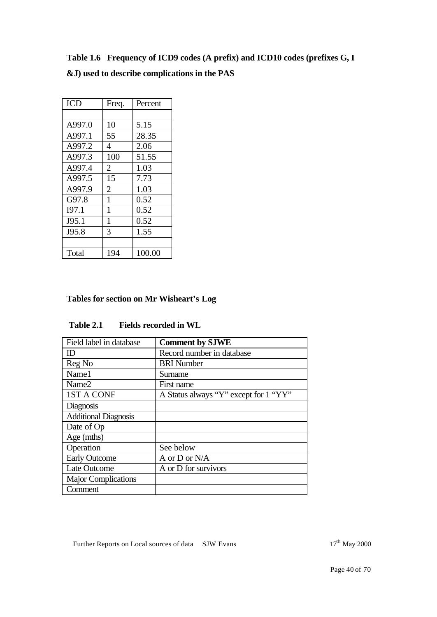**Table 1.6 Frequency of ICD9 codes (A prefix) and ICD10 codes (prefixes G, I &J) used to describe complications in the PAS**

| <b>ICD</b> | Freq.          | Percent |
|------------|----------------|---------|
|            |                |         |
| A997.0     | 10             | 5.15    |
| A997.1     | 55             | 28.35   |
| A997.2     | 4              | 2.06    |
| A997.3     | 100            | 51.55   |
| A997.4     | $\overline{2}$ | 1.03    |
| A997.5     | 15             | 7.73    |
| A997.9     | $\overline{2}$ | 1.03    |
| G97.8      | $\mathbf{1}$   | 0.52    |
| I97.1      | $\mathbf{1}$   | 0.52    |
| J95.1      | $\mathbf{1}$   | 0.52    |
| J95.8      | 3              | 1.55    |
|            |                |         |
| Total      | 194            | 100.00  |

# **Tables for section on Mr Wisheart's Log**

 **Table 2.1 Fields recorded in WL**

| Field label in database     | <b>Comment by SJWE</b>                |
|-----------------------------|---------------------------------------|
| ID                          | Record number in database             |
| Reg No                      | <b>BRI</b> Number                     |
| Name1                       | Surname                               |
| Name2                       | First name                            |
| <b>1ST A CONF</b>           | A Status always "Y" except for 1 "YY" |
| Diagnosis                   |                                       |
| <b>Additional Diagnosis</b> |                                       |
| Date of Op                  |                                       |
| Age (mths)                  |                                       |
| Operation                   | See below                             |
| <b>Early Outcome</b>        | A or D or N/A                         |
| Late Outcome                | A or D for survivors                  |
| <b>Major Complications</b>  |                                       |
| Comment                     |                                       |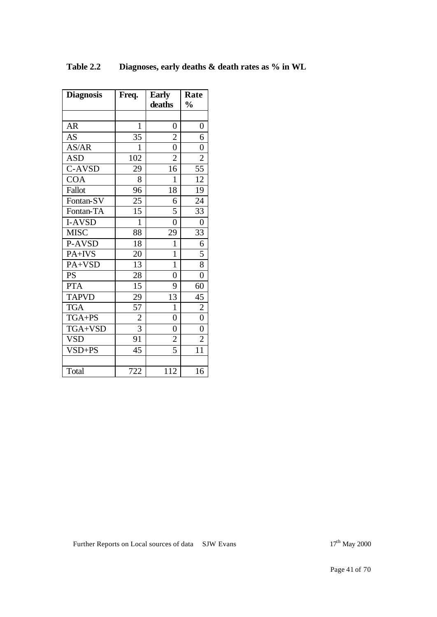| <b>Diagnosis</b> | Freq.          | <b>Early</b><br>deaths  | Rate<br>$\frac{0}{0}$ |
|------------------|----------------|-------------------------|-----------------------|
|                  |                |                         |                       |
|                  |                |                         |                       |
| <b>AR</b>        | $\mathbf{1}$   | $\overline{0}$          | $\overline{0}$        |
| <b>AS</b>        | 35             | $\overline{2}$          | 6                     |
| AS/AR            | $\mathbf{1}$   | $\overline{0}$          | $\overline{0}$        |
| <b>ASD</b>       | 102            | $\overline{2}$          | $\overline{2}$        |
| C-AVSD           | 29             | 16                      | 55                    |
| <b>COA</b>       | 8              | $\mathbf 1$             | 12                    |
| Fallot           | 96             | 18                      | 19                    |
| Fontan-SV        | 25             | 6                       | 24                    |
| Fontan-TA        | 15             | 5                       | 33                    |
| I-AVSD           | $\mathbf{1}$   | $\overline{0}$          | $\overline{0}$        |
| <b>MISC</b>      | 88             | 29                      | 33                    |
| P-AVSD           | 18             | 1                       | 6                     |
| PA+IVS           | 20             | $\mathbf 1$             | 5                     |
| PA+VSD           | 13             | $\mathbf{1}$            | 8                     |
| <b>PS</b>        | 28             | $\overline{0}$          | $\overline{0}$        |
| <b>PTA</b>       | 15             | 9                       | 60                    |
| <b>TAPVD</b>     | 29             | 13                      | 45                    |
| <b>TGA</b>       | 57             | 1                       | $\overline{c}$        |
| TGA+PS           | $\overline{c}$ | $\overline{0}$          | $\overline{0}$        |
| TGA+VSD          | 3              | $\overline{0}$          | $\overline{0}$        |
| VSD              | 91             | $\overline{\mathbf{c}}$ | $\overline{c}$        |
| VSD+PS           | 45             | 5                       | 11                    |
|                  |                |                         |                       |
| Total            | 722            | 112                     | 16                    |

**Table 2.2 Diagnoses, early deaths & death rates as % in WL**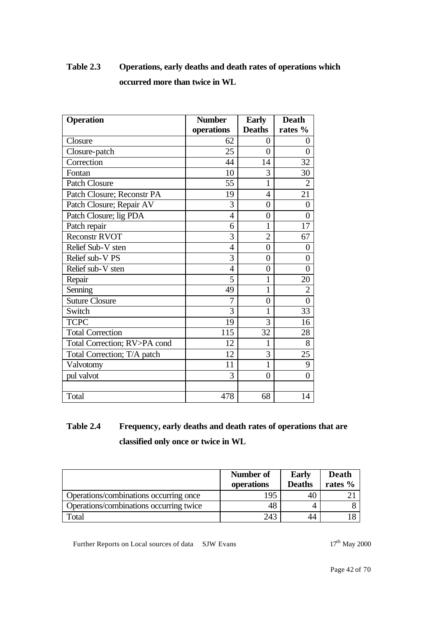| <b>Table 2.3</b> | Operations, early deaths and death rates of operations which |
|------------------|--------------------------------------------------------------|
|                  | occurred more than twice in WL                               |

| <b>Operation</b>             | <b>Number</b>   | <b>Early</b>   | <b>Death</b>   |
|------------------------------|-----------------|----------------|----------------|
|                              | operations      | <b>Deaths</b>  | rates %        |
| Closure                      | 62              | 0              | 0              |
| Closure-patch                | $\overline{25}$ | $\theta$       | $\overline{0}$ |
| Correction                   | 44              | 14             | 32             |
| Fontan                       | 10              | 3              | 30             |
| <b>Patch Closure</b>         | 55              | $\mathbf{1}$   | $\overline{2}$ |
| Patch Closure; Reconstr PA   | 19              | 4              | 21             |
| Patch Closure; Repair AV     | 3               | $\overline{0}$ | $\overline{0}$ |
| Patch Closure; lig PDA       | $\overline{4}$  | $\overline{0}$ | $\overline{0}$ |
| Patch repair                 | 6               | 1              | 17             |
| <b>Reconstr RVOT</b>         | 3               | $\overline{2}$ | 67             |
| Relief Sub-V sten            | $\overline{4}$  | $\overline{0}$ | $\overline{0}$ |
| Relief sub-V PS              | 3               | $\overline{0}$ | $\overline{0}$ |
| Relief sub-V sten            | $\overline{4}$  | $\overline{0}$ | $\overline{0}$ |
| Repair                       | 5               | 1              | 20             |
| Senning                      | 49              | 1              | $\overline{c}$ |
| <b>Suture Closure</b>        | 7               | $\overline{0}$ | $\overline{0}$ |
| Switch                       | 3               | 1              | 33             |
| <b>TCPC</b>                  | 19              | 3              | 16             |
| <b>Total Correction</b>      | 115             | 32             | 28             |
| Total Correction; RV>PA cond | 12              | 1              | 8              |
| Total Correction; T/A patch  | 12              | 3              | 25             |
| Valvotomy                    | 11              | 1              | 9              |
| pul valvot                   | 3               | $\overline{0}$ | $\overline{0}$ |
|                              |                 |                |                |
| Total                        | 478             | 68             | 14             |

# **Table 2.4 Frequency, early deaths and death rates of operations that are classified only once or twice in WL**

|                                         | Number of<br>operations | <b>Early</b><br><b>Deaths</b> | <b>Death</b><br>rates % |
|-----------------------------------------|-------------------------|-------------------------------|-------------------------|
| Operations/combinations occurring once  | 195                     |                               |                         |
| Operations/combinations occurring twice | 48                      |                               |                         |
| Total                                   | 243                     |                               |                         |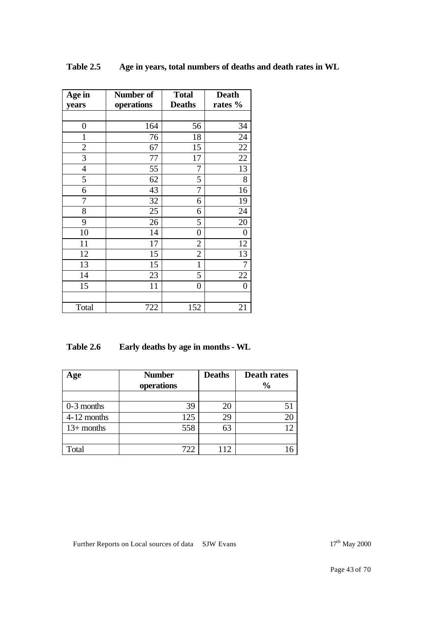| Age in           | Number of  | <b>Total</b>     | <b>Death</b>     |
|------------------|------------|------------------|------------------|
| years            | operations | <b>Deaths</b>    | rates %          |
|                  |            |                  |                  |
| $\boldsymbol{0}$ | 164        | 56               | 34               |
| $\mathbf{1}$     | 76         | 18               | 24               |
| $\overline{c}$   | 67         | 15               | 22               |
| 3                | 77         | 17               | 22               |
| 4                | 55         | 7                | 13               |
| 5                | 62         | 5                | 8                |
| 6                | 43         | 7                | 16               |
| 7                | 32         | 6                | 19               |
| 8                | 25         | 6                | 24               |
| 9                | 26         | 5                | 20               |
| 10               | 14         | $\boldsymbol{0}$ | $\boldsymbol{0}$ |
| 11               | 17         | $\overline{2}$   | 12               |
| 12               | 15         | $\overline{2}$   | 13               |
| 13               | 15         | 1                | 7                |
| 14               | 23         | 5                | $22\,$           |
| 15               | 11         | $\boldsymbol{0}$ | $\boldsymbol{0}$ |
|                  |            |                  |                  |
| Total            | 722        | 152              | 21               |

**Table 2.5 Age in years, total numbers of deaths and death rates in WL**

**Table 2.6 Early deaths by age in months - WL**

| Age          | <b>Number</b><br>operations | <b>Deaths</b> | <b>Death rates</b><br>$\frac{6}{6}$ |
|--------------|-----------------------------|---------------|-------------------------------------|
|              |                             |               |                                     |
| $0-3$ months | 39                          | 20            |                                     |
| 4-12 months  | 125                         | 29            |                                     |
| $13+$ months | 558                         | 63            | 12                                  |
|              |                             |               |                                     |
| Total        | 722                         | 112           |                                     |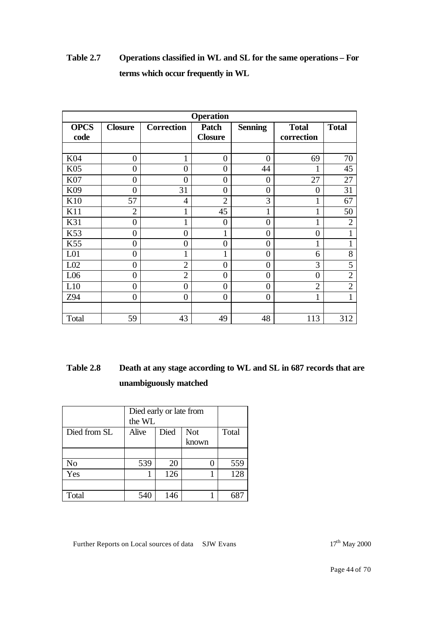| <b>Operation</b>    |                |                   |                         |                |                            |                |
|---------------------|----------------|-------------------|-------------------------|----------------|----------------------------|----------------|
| <b>OPCS</b><br>code | <b>Closure</b> | <b>Correction</b> | Patch<br><b>Closure</b> | <b>Senning</b> | <b>Total</b><br>correction | <b>Total</b>   |
|                     |                |                   |                         |                |                            |                |
| K04                 | $\overline{0}$ | $\mathbf{1}$      | $\overline{0}$          | $\overline{0}$ | 69                         | 70             |
| K05                 | $\overline{0}$ | $\theta$          | $\theta$                | 44             | 1                          | 45             |
| K07                 | $\overline{0}$ | 0                 | $\theta$                | $\overline{0}$ | 27                         | 27             |
| K09                 | $\overline{0}$ | 31                | $\theta$                | $\overline{0}$ | $\overline{0}$             | 31             |
| K10                 | 57             | $\overline{4}$    | $\overline{2}$          | 3              | 1                          | 67             |
| K11                 | $\overline{2}$ | 1                 | 45                      | $\mathbf{1}$   | 1                          | 50             |
| K31                 | $\overline{0}$ |                   | $\theta$                | $\overline{0}$ |                            | $\overline{2}$ |
| K53                 | $\overline{0}$ | $\overline{0}$    |                         | $\overline{0}$ | $\boldsymbol{0}$           | 1              |
| K55                 | $\overline{0}$ | $\overline{0}$    | $\overline{0}$          | $\overline{0}$ | 1                          |                |
| L <sub>01</sub>     | $\overline{0}$ |                   |                         | $\overline{0}$ | 6                          | 8              |
| L <sub>02</sub>     | $\overline{0}$ | $\overline{2}$    | $\overline{0}$          | $\overline{0}$ | 3                          | 5              |
| L06                 | $\overline{0}$ | $\overline{2}$    | $\overline{0}$          | $\overline{0}$ | $\overline{0}$             | $\overline{2}$ |
| L10                 | $\overline{0}$ | $\overline{0}$    | $\overline{0}$          | $\overline{0}$ | $\overline{2}$             | $\overline{2}$ |
| Z94                 | $\overline{0}$ | $\overline{0}$    | $\overline{0}$          | $\overline{0}$ | $\mathbf{1}$               | 1              |
|                     |                |                   |                         |                |                            |                |
| Total               | 59             | 43                | 49                      | 48             | 113                        | 312            |

# **Table 2.7 Operations classified in WL and SL for the same operations – For terms which occur frequently in WL**

# **Table 2.8 Death at any stage according to WL and SL in 687 records that are unambiguously matched**

|              | Died early or late from<br>the WL |      |                     |       |
|--------------|-----------------------------------|------|---------------------|-------|
| Died from SL | Alive                             | Died | <b>Not</b><br>known | Total |
|              |                                   |      |                     |       |
| No           | 539                               | 20   |                     | 559   |
| Yes          |                                   | 126  |                     | 128   |
|              |                                   |      |                     |       |
| Total        | 540                               | 146  |                     |       |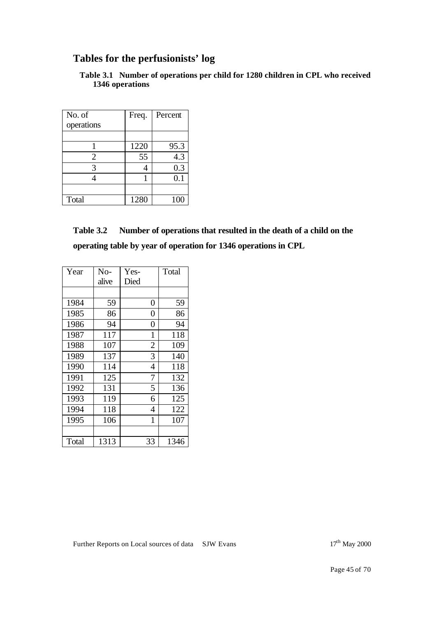# **Tables for the perfusionists' log**

**Table 3.1 Number of operations per child for 1280 children in CPL who received 1346 operations**

| No. of<br>operations | Freq. | Percent |
|----------------------|-------|---------|
|                      |       |         |
|                      | 1220  | 95.3    |
| 2                    | 55    | 4.3     |
|                      |       | 0.3     |
|                      |       | $0.1\,$ |
|                      |       |         |
| Total                | 1280  | 100     |

**Table 3.2 Number of operations that resulted in the death of a child on the operating table by year of operation for 1346 operations in CPL**

| Year  | No-   | Yes-         | Total |
|-------|-------|--------------|-------|
|       | alive | Died         |       |
|       |       |              |       |
| 1984  | 59    | 0            | 59    |
| 1985  | 86    | 0            | 86    |
| 1986  | 94    | 0            | 94    |
| 1987  | 117   | $\mathbf{1}$ | 118   |
| 1988  | 107   | 2            | 109   |
| 1989  | 137   | 3            | 140   |
| 1990  | 114   | 4            | 118   |
| 1991  | 125   | 7            | 132   |
| 1992  | 131   | 5            | 136   |
| 1993  | 119   | 6            | 125   |
| 1994  | 118   | 4            | 122   |
| 1995  | 106   | $\mathbf{1}$ | 107   |
|       |       |              |       |
| Total | 1313  | 33           | 1346  |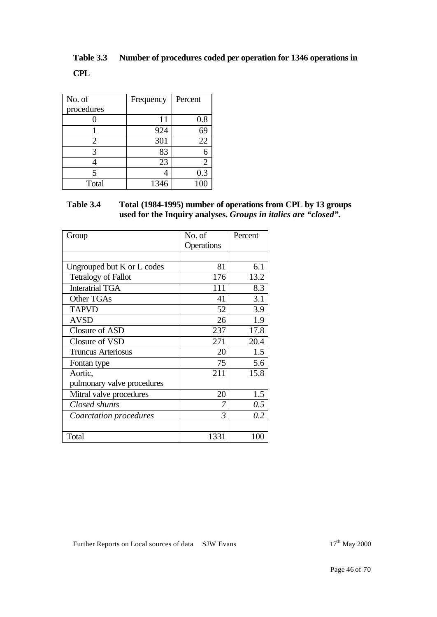**Table 3.3 Number of procedures coded per operation for 1346 operations in CPL**

| No. of     | Frequency | Percent         |
|------------|-----------|-----------------|
| procedures |           |                 |
|            | 11        | 0.8             |
|            | 924       | 69              |
| 2          | 301       | $\overline{22}$ |
| 3          | 83        | 6               |
|            | 23        | $\overline{2}$  |
| 5          |           | 0.3             |
| Total      | 1346      | 100             |

### **Table 3.4 Total (1984-1995) number of operations from CPL by 13 groups used for the Inquiry analyses.** *Groups in italics are "closed".*

| Group                      | No. of<br>Operations | Percent |
|----------------------------|----------------------|---------|
|                            |                      |         |
| Ungrouped but K or L codes | 81                   | 6.1     |
| <b>Tetralogy of Fallot</b> | 176                  | 13.2    |
| <b>Interatrial TGA</b>     | 111                  | 8.3     |
| Other TGAs                 | 41                   | 3.1     |
| <b>TAPVD</b>               | 52                   | 3.9     |
| <b>AVSD</b>                | 26                   | 1.9     |
| Closure of ASD             | 237                  | 17.8    |
| Closure of VSD             | 271                  | 20.4    |
| <b>Truncus Arteriosus</b>  | 20                   | 1.5     |
| Fontan type                | 75                   | 5.6     |
| Aortic,                    | 211                  | 15.8    |
| pulmonary valve procedures |                      |         |
| Mitral valve procedures    | 20                   | 1.5     |
| Closed shunts              | 7                    | 0.5     |
| Coarctation procedures     | 3                    | 0.2     |
|                            |                      |         |
| Total                      | 1331                 | 100     |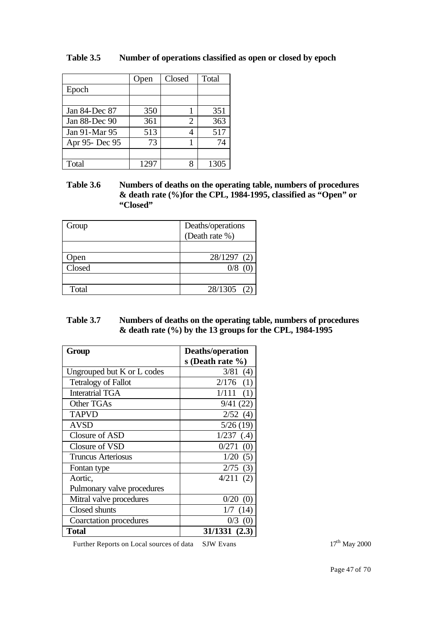|                | Open | Closed | Total |
|----------------|------|--------|-------|
| Epoch          |      |        |       |
|                |      |        |       |
| Jan 84-Dec 87  | 350  |        | 351   |
| Jan 88-Dec 90  | 361  | 2      | 363   |
| Jan 91-Mar 95  | 513  |        | 517   |
| Apr 95- Dec 95 | 73   |        | 74    |
|                |      |        |       |
| Total          | 1297 | Q      | 1305  |

**Table 3.5 Number of operations classified as open or closed by epoch**

**Table 3.6 Numbers of deaths on the operating table, numbers of procedures & death rate (%)for the CPL, 1984-1995, classified as "Open" or "Closed"**

| Group  | Deaths/operations |  |  |  |  |
|--------|-------------------|--|--|--|--|
|        | (Death rate %)    |  |  |  |  |
|        |                   |  |  |  |  |
| pen    | 28/1297 (2)       |  |  |  |  |
| Closed |                   |  |  |  |  |
|        |                   |  |  |  |  |
| Total  | 28/1305           |  |  |  |  |

| <b>Table 3.7</b> | Numbers of deaths on the operating table, numbers of procedures                    |
|------------------|------------------------------------------------------------------------------------|
|                  | $\&$ death rate $\left(\frac{9}{0}\right)$ by the 13 groups for the CPL, 1984-1995 |

| Group                      | Deaths/operation     |
|----------------------------|----------------------|
|                            | s (Death rate $\%$ ) |
| Ungrouped but K or L codes | $3/81$ (4)           |
| <b>Tetralogy of Fallot</b> | $2/176$ (1)          |
| <b>Interatrial TGA</b>     | 1/111(1)             |
| Other TGAs                 | 9/41(22)             |
| <b>TAPVD</b>               | 2/52(4)              |
| <b>AVSD</b>                | 5/26(19)             |
| Closure of ASD             | $1/237$ (.4)         |
| Closure of VSD             | 0/271(0)             |
| <b>Truncus Arteriosus</b>  | 1/20(5)              |
| Fontan type                | $2/75$ (3)           |
| Aortic,                    | 4/211(2)             |
| Pulmonary valve procedures |                      |
| Mitral valve procedures    | 0/20<br>(0)          |
| Closed shunts              | 1/7(14)              |
| Coarctation procedures     | 0/3                  |
| Total                      | 31/1331 (2.3)        |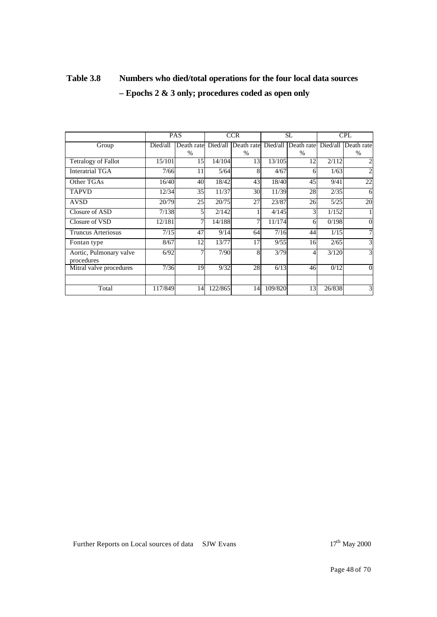| <b>Table 3.8</b> | Numbers who died/total operations for the four local data sources |
|------------------|-------------------------------------------------------------------|
|                  | $-$ Epochs 2 & 3 only; procedures coded as open only              |

| <b>PAS</b> |                | <b>CCR</b>                                                     |                                                 | <b>SL</b> |      | <b>CPL</b>                                                                             |                                                                                       |
|------------|----------------|----------------------------------------------------------------|-------------------------------------------------|-----------|------|----------------------------------------------------------------------------------------|---------------------------------------------------------------------------------------|
| Died/all   |                |                                                                |                                                 |           |      |                                                                                        | Died/all Death rate                                                                   |
|            | $\%$           |                                                                | $\%$                                            |           | $\%$ |                                                                                        | $\frac{0}{0}$                                                                         |
| 15/101     | 15             | 14/104                                                         | 13                                              |           | 12   | 2/112                                                                                  |                                                                                       |
|            | 11             | 5/64                                                           | 8                                               | 4/67      | 6    | 1/63                                                                                   | $\overline{c}$                                                                        |
|            | 40             | 18/42                                                          | 43                                              |           | 45   | 9/41                                                                                   | 22                                                                                    |
|            | 35             | 11/37                                                          | 30                                              |           | 28   | 2/35                                                                                   | 6                                                                                     |
|            | 25             | 20/75                                                          | 27                                              | 23/87     |      | 5/25                                                                                   | 20                                                                                    |
|            | 5              | 2/142                                                          |                                                 |           | 3    | 1/152                                                                                  |                                                                                       |
| 12/181     | 7 <sub>1</sub> |                                                                |                                                 |           | 6    |                                                                                        | $\overline{0}$                                                                        |
|            | 47             |                                                                | 64                                              |           | 44   | 1/15                                                                                   | 7                                                                                     |
| 8/67       | 12             | 13/77                                                          | 17                                              |           |      | 2/65                                                                                   | 3                                                                                     |
| 6/92       | 7              |                                                                | 8                                               |           | 4    |                                                                                        | 3                                                                                     |
|            | 19             | 9/32                                                           | 28                                              |           | 46   | 0/12                                                                                   | $\theta$                                                                              |
|            |                |                                                                |                                                 |           |      |                                                                                        | 3                                                                                     |
|            | 117/849        | 7/66<br>16/40<br>12/34<br>20/79<br>7/138<br>7/15<br>7/36<br>14 | Death rate<br>14/188<br>9/14<br>7/90<br>122/865 | 14        |      | 13/105<br>18/40<br>11/39<br>4/145<br>11/174<br>7/16<br>9/55<br>3/79<br>6/13<br>109/820 | Died/all Death rate Died/all Death rate<br>26<br>0/198<br>16<br>3/120<br>13<br>26/838 |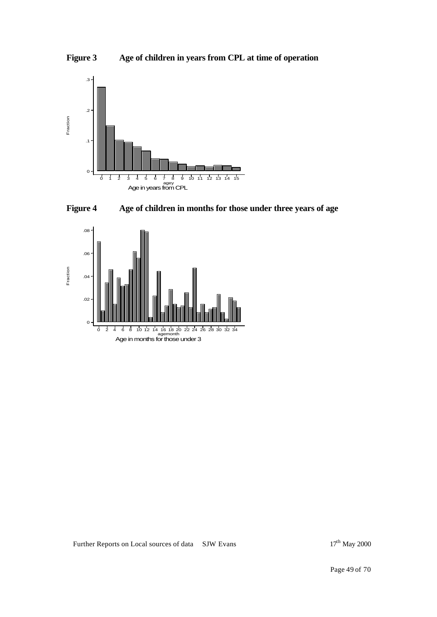**Figure 3 Age of children in years from CPL at time of operation**



**Figure 4 Age of children in months for those under three years of age**

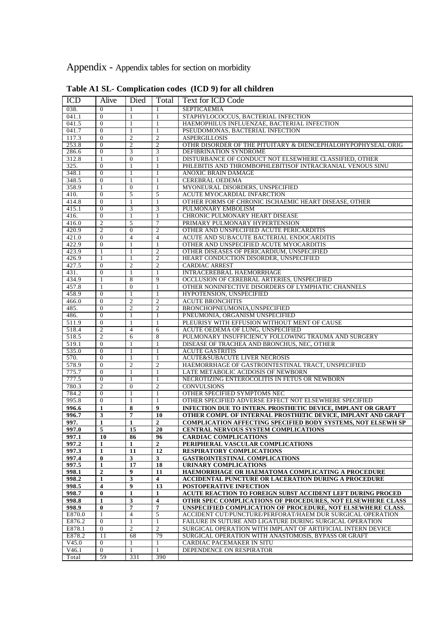Appendix - Appendix tables for section on morbidity

| <b>ICD</b>        | Alive                    | Died                             | Total                        | <b>Text for ICD Code</b>                                                                                                  |
|-------------------|--------------------------|----------------------------------|------------------------------|---------------------------------------------------------------------------------------------------------------------------|
| 038.              | $\Omega$                 | 1                                | 1                            | <b>SEPTICAEMIA</b>                                                                                                        |
| 041.1             | $\overline{0}$           | $\mathbf{1}$                     | 1                            | STAPHYLOCOCCUS, BACTERIAL INFECTION                                                                                       |
| 041.5             | $\mathbf{0}$             | 1                                | 1                            | HAEMOPHILUS INFLUENZAE, BACTERIAL INFECTION                                                                               |
| 041.7             | $\overline{0}$           | $\mathbf{1}$                     | $\mathbf{1}$                 | PSEUDOMONAS, BACTERIAL INFECTION                                                                                          |
| 117.3             | $\Omega$                 | $\overline{2}$                   | $\overline{2}$               | <b>ASPERGILLOSIS</b>                                                                                                      |
| 253.8             | $\mathbf{0}$             | $\overline{c}$                   | $\overline{2}$               | OTHR DISORDER OF THE PITUITARY & DIENCEPHALOHYPOPHYSEAL ORIG                                                              |
| 286.6             | $\overline{0}$           | $\overline{3}$                   | 3                            | DEFIBRINATION SYNDROME                                                                                                    |
| 312.8             | $\mathbf{1}$             | $\overline{0}$                   | $\mathbf{1}$                 | DISTURBANCE OF CONDUCT NOT ELSEWHERE CLASSIFIED, OTHER                                                                    |
| 325.              | $\mathbf{0}$<br>$\Omega$ | $\mathbf{1}$<br>$\mathbf{1}$     | $\mathbf{1}$<br>$\mathbf{1}$ | PHLEBITIS AND THROMBOPHLEBITISOF INTRACRANIAL VENOUS SINU<br><b>ANOXIC BRAIN DAMAGE</b>                                   |
| 348.1<br>348.5    | $\overline{0}$           | -1                               | -1                           | <b>CEREBRAL OEDEMA</b>                                                                                                    |
| 358.9             | $\mathbf{1}$             | $\theta$                         | $\mathbf{1}$                 | MYONEURAL DISORDERS, UNSPECIFIED                                                                                          |
| 410.              | $\mathbf{0}$             | 5                                | 5                            | ACUTE MYOCARDIAL INFARCTION                                                                                               |
| 414.8             | $\overline{0}$           | 1                                | 1                            | OTHER FORMS OF CHRONIC ISCHAEMIC HEART DISEASE, OTHER                                                                     |
| 415.1             | $\mathbf{0}$             | 3                                | 3                            | PULMONARY EMBOLISM                                                                                                        |
| 416.              | $\overline{0}$           | $\mathbf{1}$                     | $\mathbf{1}$                 | CHRONIC PULMONARY HEART DISEASE                                                                                           |
| 416.0             | $\mathfrak{2}$           | 5                                | $\overline{7}$               | PRIMARY PULMONARY HYPERTENSION                                                                                            |
| 420.9             | $\overline{c}$           | $\theta$                         | $\overline{2}$               | OTHER AND UNSPECIFIED ACUTE PERICARDITIS                                                                                  |
| 421.0             | $\overline{0}$           | $\overline{4}$                   | $\overline{4}$               | ACUTE AND SUBACUTE BACTERIAL ENDOCARDITIS                                                                                 |
| 422.9             | $\overline{0}$           | $\mathbf{1}$                     | $\mathbf{1}$                 | OTHER AND UNSPECIFIED ACUTE MYOCARDITIS                                                                                   |
| 423.9             | $\mathbf{1}$             | $\mathbf{1}$                     | $\overline{2}$               | OTHER DISEASES OF PERICARDIUM, UNSPECIFIED                                                                                |
| 426.9             | 1                        | $\mathbf{1}$                     | $\overline{2}$               | HEART CONDUCTION DISORDER, UNSPECIFIED                                                                                    |
| 427.5             | $\Omega$                 | $\overline{2}$                   | $\overline{2}$               | <b>CARDIAC ARREST</b>                                                                                                     |
| 431.              | $\overline{0}$           | 1                                | 1                            | <b>INTRACEREBRAL HAEMORRHAGE</b>                                                                                          |
| 434.9             | $\mathbf{1}$             | 8                                | 9                            | OCCLUSION OF CEREBRAL ARTERIES, UNSPECIFIED                                                                               |
| 457.8             | 1                        | $\mathbf{0}$                     | $\mathbf{1}$                 | OTHER NONINFECTIVE DISORDERS OF LYMPHATIC CHANNELS                                                                        |
| 458.9             | $\Omega$                 | 1                                | 1                            | HYPOTENSION, UNSPECIFIED                                                                                                  |
| 466.0             | $\mathbf{0}$             | $\overline{2}$                   | $\overline{2}$               | <b>ACUTE BRONCHITIS</b>                                                                                                   |
| 485.              | $\overline{0}$           | $\overline{c}$                   | $\overline{2}$               | BRONCHOPNEUMONIA, UNSPECIFIED                                                                                             |
| 486.              | $\mathbf{0}$             | $\mathbf{1}$                     | 1                            | PNEUMONIA, ORGANISM UNSPECIFIED                                                                                           |
| 511.9             | $\Omega$                 | $\mathbf{1}$                     | $\mathbf{1}$                 | PLEURISY WITH EFFUSION WITHOUT MENT OF CAUSE                                                                              |
| 518.4             | $\overline{2}$           | $\overline{4}$                   | 6                            | ACUTE OEDEMA OF LUNG, UNSPECIFIED                                                                                         |
| 518.5             | $\overline{c}$           | 6                                | 8                            | PULMONARY INSUFFICIENCY FOLLOWING TRAUMA AND SURGERY                                                                      |
| 519.1             | $\mathbf{0}$             | $\mathbf{1}$                     | $\mathbf{1}$                 | DISEASE OF TRACHEA AND BRONCHUS, NEC, OTHER                                                                               |
| 535.0<br>570.     | $\Omega$<br>$\mathbf{0}$ | 1<br>$\mathbf{1}$                | 1<br>1                       | <b>ACUTE GASTRITIS</b><br><b>ACUTE&amp;SUBACUTE LIVER NECROSIS</b>                                                        |
| 578.9             | $\overline{0}$           | $\overline{2}$                   | $\overline{2}$               | HAEMORRHAGE OF GASTROINTESTINAL TRACT, UNSPECIFIED                                                                        |
| 775.7             | $\overline{0}$           | $\mathbf{1}$                     | $\mathbf{1}$                 | LATE METABOLIC ACIDOSIS OF NEWBORN                                                                                        |
| 777.5             | $\mathbf{0}$             | $\mathbf{1}$                     | $\mathbf{1}$                 | NECROTIZING ENTEROCOLITIS IN FETUS OR NEWBORN                                                                             |
| 780.3             | $\overline{2}$           | $\boldsymbol{0}$                 | $\overline{2}$               | <b>CONVULSIONS</b>                                                                                                        |
| 784.2             | $\mathbf{0}$             | $\mathbf{1}$                     | 1                            | OTHER SPECIFIED SYMPTOMS NEC                                                                                              |
| 995.8             | $\overline{0}$           | $\mathbf{1}$                     | $\mathbf{1}$                 | OTHER SPECIFIED ADVERSE EFFECT NOT ELSEWHERE SPECIFIED                                                                    |
| 996.6             | $\mathbf{1}$             | 8                                | 9                            | INFECTION DUE TO INTERN. PROSTHETIC DEVICE, IMPLANT OR GRAFT                                                              |
| 996.7             | 3                        | $\overline{7}$                   | 10                           | OTHER COMPL OF INTERNAL PROSTHETIC DEVICE, IMPLANT AND GRAFT                                                              |
| 997.              | $\overline{1}$           | $\overline{1}$                   | $\boldsymbol{2}$             | <b>COMPLICATION AFFECTING SPECIFIED BODY SYSTEMS, NOT ELSEWH SP</b>                                                       |
| 997.0             | 5                        | 15                               | 20                           | CENTRAL NERVOUS SYSTEM COMPLICATIONS                                                                                      |
| 997.1             | 10                       | 86                               | 96                           | <b>CARDIAC COMPLICATIONS</b>                                                                                              |
| 997.2             | 1                        | 1                                | $\overline{2}$               | PERIPHERAL VASCULAR COMPLICATIONS                                                                                         |
| 997.3             | $\mathbf{1}$             | 11                               | 12                           | <b>RESPIRATORY COMPLICATIONS</b>                                                                                          |
| 997.4             | $\bf{0}$                 | $\mathbf{3}$                     | $\mathbf{3}$                 | <b>GASTROINTESTINAL COMPLICATIONS</b>                                                                                     |
| 997.5             | $\mathbf{1}$             | 17                               | 18                           | <b>URINARY COMPLICATIONS</b>                                                                                              |
| 998.1             | $\overline{2}$           | 9                                | 11                           | HAEMORRHAGE OR HAEMATOMA COMPLICATING A PROCEDURE                                                                         |
| 998.2             | 1                        | 3                                | 4                            | <b>ACCIDENTAL PUNCTURE OR LACERATION DURING A PROCEDURE</b>                                                               |
| 998.5             | $\overline{\mathbf{4}}$  | $\boldsymbol{9}$                 | 13                           | POSTOPERATIVE INFECTION                                                                                                   |
| 998.7             | $\bf{0}$                 | $\mathbf{1}$                     | 1                            | ACUTE REACTION TO FOREIGN SUBST ACCIDENT LEFT DURING PROCED                                                               |
| 998.8             | $\mathbf{1}$             | 3                                | $\overline{\mathbf{4}}$      | OTHR SPEC COMPLICATIONS OF PROCEDURES, NOT ELSEWHERE CLASS                                                                |
| 998.9<br>E870.0   | $\bf{0}$<br>1            | $\overline{7}$<br>$\overline{4}$ | $\overline{7}$<br>5          | UNSPECIFIED COMPLICATION OF PROCEDURE, NOT ELSEWHERE CLASS.<br>ACCIDENT CUT/PUNCTURE/PERFORAT/HAEM DUR SURGICAL OPERATION |
| E876.2            | $\overline{0}$           | $\mathbf{1}$                     | 1                            | FAILURE IN SUTURE AND LIGATURE DURING SURGICAL OPERATION                                                                  |
| E878.1            | $\mathbf{0}$             | $\overline{c}$                   | $\overline{2}$               | SURGICAL OPERATION WITH IMPLANT OF ARTIFICIAL INTERN DEVICE                                                               |
| E878.2            | 11                       | 68                               | 79                           | SURGICAL OPERATION WITH ANASTOMOSIS, BYPASS OR GRAFT                                                                      |
| V45.0             | $\mathbf{0}$             | 1                                | $\mathbf{1}$                 | CARDIAC PACEMAKER IN SITU                                                                                                 |
| V <sub>46.1</sub> | $\overline{0}$           | $\mathbf{1}$                     | $\mathbf{1}$                 | DEPENDENCE ON RESPIRATOR                                                                                                  |
| Total             | 59                       | 331                              | 390                          |                                                                                                                           |

**Table A1 SL- Complication codes (ICD 9) for all children**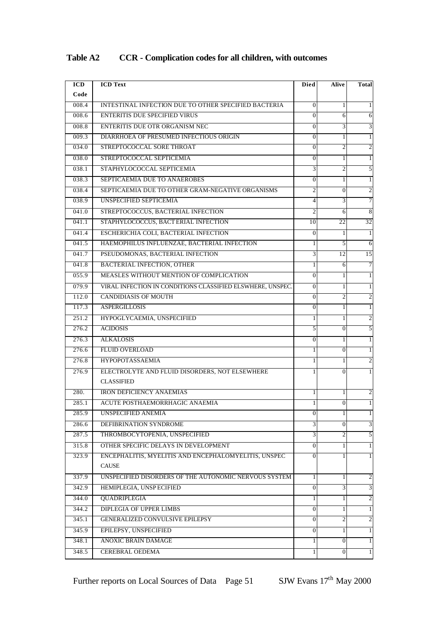| <b>ICD</b> | <b>ICD</b> Text                                            | <b>Died</b>      | Alive          | <b>Total</b>   |
|------------|------------------------------------------------------------|------------------|----------------|----------------|
| Code       |                                                            |                  |                |                |
| 008.4      | INTESTINAL INFECTION DUE TO OTHER SPECIFIED BACTERIA       | $\boldsymbol{0}$ | 1              | 1              |
| 008.6      | <b>ENTERITIS DUE SPECIFIED VIRUS</b>                       | $\mathbf{0}$     | 6              | 6              |
| 008.8      | ENTERITIS DUE OTR ORGANISM NEC                             | $\boldsymbol{0}$ | 3              | 3              |
| 009.3      | DIARRHOEA OF PRESUMED INFECTIOUS ORIGIN                    | $\boldsymbol{0}$ | 1              | 1              |
| 034.0      | STREPTOCOCCAL SORE THROAT                                  | $\mathbf{0}$     | $\overline{c}$ | $\overline{c}$ |
| 038.0      | STREPTOCOCCAL SEPTICEMIA                                   | $\boldsymbol{0}$ | 1              | 1              |
| 038.1      | STAPHYLOCOCCAL SEPTICEMIA                                  | 3                | 2              | 5              |
| 038.3      | SEPTICAEMIA DUE TO ANAEROBES                               | $\mathbf{0}$     | 1              | 1              |
| 038.4      | SEPTICAEMIA DUE TO OTHER GRAM-NEGATIVE ORGANISMS           | $\overline{c}$   | $\mathbf{0}$   | 2              |
| 038.9      | UNSPECIFIED SEPTICEMIA                                     | 4                | 3              | 7              |
| 041.0      | STREPTOCOCCUS, BACTERIAL INFECTION                         | $\overline{2}$   | 6              | 8              |
| 041.1      | STAPHYLOCOCCUS, BACT ERIAL INFECTION                       | 10               | 22             | 32             |
| 041.4      | ESCHERICHIA COLI, BACTERIAL INFECTION                      | $\boldsymbol{0}$ | 1              | 1              |
| 041.5      | HAEMOPHILUS INFLUENZAE, BACTERIAL INFECTION                | 1                | 5              | 6              |
| 041.7      | PSEUDOMONAS, BACTERIAL INFECTION                           | 3                | 12             | 15             |
| 041.8      | <b>BACTERIAL INFECTION, OTHER</b>                          | 1                | 6              | 7              |
| 055.9      | MEASLES WITHOUT MENTION OF COMPLICATION                    | $\overline{0}$   | 1              | $\mathbf{1}$   |
| 079.9      | VIRAL INFECTION IN CONDITIONS CLASSIFIED ELSWHERE, UNSPEC. | $\overline{0}$   | 1              | 1              |
| 112.0      | <b>CANDIDIASIS OF MOUTH</b>                                | $\mathbf{0}$     | $\overline{c}$ | $\overline{c}$ |
| 117.3      | <b>ASPERGILLOSIS</b>                                       | $\mathbf{0}$     | 1              | 1              |
| 251.2      | HYPOGLYCAEMIA, UNSPECIFIED                                 | $\mathbf{1}$     | 1              | $\overline{c}$ |
| 276.2      | <b>ACIDOSIS</b>                                            | 5                | $\mathbf{0}$   | 5              |
| 276.3      | <b>ALKALOSIS</b>                                           | $\mathbf{0}$     | 1              | 1              |
| 276.6      | <b>FLUID OVERLOAD</b>                                      | 1                | $\mathbf{0}$   | 1              |
| 276.8      | <b>HYPOPOTASSAEMIA</b>                                     | 1                | 1              | 2              |
| 276.9      | ELECTROLYTE AND FLUID DISORDERS, NOT ELSEWHERE             | 1                | $\theta$       |                |
|            | <b>CLASSIFIED</b>                                          |                  |                |                |
| 280.       | <b>IRON DEFICIENCY ANAEMIAS</b>                            | 1                | 1              | 2              |
| 285.1      | ACUTE POSTHAEMORRHAGIC ANAEMIA                             | 1                | $\mathbf{0}$   |                |
| 285.9      | <b>UNSPECIFIED ANEMIA</b>                                  | $\boldsymbol{0}$ | 1              |                |
| 286.6      | DEFIBRINATION SYNDROME                                     | 3                | $\theta$       | 3              |
| 287.5      | THROMBOCYTOPENIA, UNSPECIFIED                              | 3                | 2              | 5              |
| 315.8      | OTHER SPECIFIC DELAYS IN DEVELOPMENT                       | $\mathbf{0}$     | 1              | 1              |
| 323.9      | ENCEPHALITIS, MYELITIS AND ENCEPHALOMYELITIS, UNSPEC       | $\Omega$         |                |                |
|            | <b>CAUSE</b>                                               |                  |                |                |
| 337.9      | UNSPECIFIED DISORDERS OF THE AUTONOMIC NERVOUS SYSTEM      | 1                | 1              | $\overline{c}$ |
| 342.9      | HEMIPLEGIA, UNSPECIFIED                                    | $\mathbf{0}$     | 3              | 3              |
| 344.0      | QUADRIPLEGIA                                               | 1                | 1              | 2              |
| 344.2      | <b>DIPLEGIA OF UPPER LIMBS</b>                             | $\mathbf{0}$     |                | 1              |
| 345.1      | <b>GENERALIZED CONVULSIVE EPILEPSY</b>                     | $\overline{0}$   | 2              | $\mathbf{2}$   |
| 345.9      | EPILEPSY, UNSPECIFIED                                      | $\overline{0}$   | 1              | $\mathbf{1}$   |
| 348.1      | <b>ANOXIC BRAIN DAMAGE</b>                                 | 1                | $\theta$       | $\mathbf{1}$   |
| 348.5      | <b>CEREBRAL OEDEMA</b>                                     | 1                | $\Omega$       | 1              |

**Table A2 CCR - Complication codes for all children, with outcomes**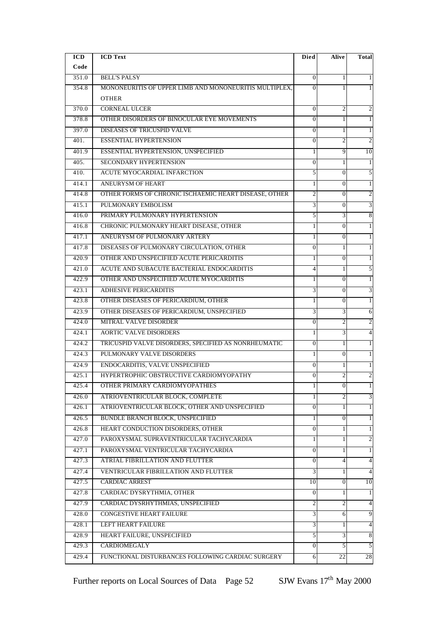| <b>ICD</b>         | <b>ICD</b> Text                                        | Died             | <b>Alive</b>     | <b>Total</b>   |
|--------------------|--------------------------------------------------------|------------------|------------------|----------------|
| Code               |                                                        |                  |                  |                |
| 351.0              | <b>BELL'S PALSY</b>                                    | $\overline{0}$   | 1                | 1              |
| 354.8              | MONONEURITIS OF UPPER LIMB AND MONONEURITIS MULTIPLEX, | $\Omega$         |                  |                |
|                    | <b>OTHER</b>                                           |                  |                  |                |
| 370.0              | <b>CORNEAL ULCER</b>                                   | $\overline{0}$   | 2                | 2              |
| 378.8              | OTHER DISORDERS OF BINOCULAR EYE MOVEMENTS             | $\overline{0}$   |                  | 1              |
| 397.0              | <b>DISEASES OF TRICUSPID VALVE</b>                     | $\overline{0}$   | 1                | 1              |
| 401.               | <b>ESSENTIAL HYPERTENSION</b>                          | $\Omega$         | $\overline{2}$   | $\overline{2}$ |
| 401.9              | ESSENTIAL HYPERTENSION, UNSPECIFIED                    | 1                | 9                | 10             |
| 405.               | SECONDARY HYPERTENSION                                 | $\overline{0}$   | 1                | 1              |
| 410.               | ACUTE MYOCARDIAL INFARCTION                            | 5                | $\Omega$         | 5              |
| 414.1              | <b>ANEURYSM OF HEART</b>                               | $\mathbf{1}$     | $\mathbf{0}$     | $\mathbf{1}$   |
| 414.8              | OTHER FORMS OF CHRONIC ISCHAEMIC HEART DISEASE, OTHER  | 2                | $\mathbf{0}$     | $\overline{c}$ |
| 415.1              | PULMONARY EMBOLISM                                     | $\overline{3}$   | $\mathbf{0}$     | 3              |
| 416.0              | PRIMARY PULMONARY HYPERTENSION                         | 5                | 3                | 8              |
| 416.8              | CHRONIC PULMONARY HEART DISEASE, OTHER                 | 1                | $\mathbf{0}$     | 1              |
| 417.1              | ANEURYSM OF PULMONARY ARTERY                           | $\mathbf{1}$     | $\mathbf{0}$     | 1              |
| 417.8              | DISEASES OF PULMONARY CIRCULATION, OTHER               | $\overline{0}$   | 1                | 1              |
| 420.9              | OTHER AND UNSPECIFIED ACUTE PERICARDITIS               | $\mathbf{1}$     | $\mathbf{0}$     | 1              |
| 421.0              | ACUTE AND SUBACUTE BACTERIAL ENDOCARDITIS              | $\overline{4}$   | 1                | 5              |
| 422.9              | OTHER AND UNSPECIFIED ACUTE MYOCARDITIS                | $\mathbf{1}$     | $\mathbf{0}$     | 1              |
| 423.1              | <b>ADHESIVE PERICARDITIS</b>                           | $\overline{3}$   | $\mathbf{0}$     | 3              |
| 423.8              | OTHER DISEASES OF PERICARDIUM, OTHER                   | 1                | $\mathbf{0}$     | 1              |
| $423.\overline{9}$ | OTHER DISEASES OF PERICARDIUM, UNSPECIFIED             | $\overline{3}$   | 3                | 6              |
| 424.0              | <b>MITRAL VALVE DISORDER</b>                           | $\overline{0}$   | 2                | $\overline{2}$ |
| 424.1              | <b>AORTIC VALVE DISORDERS</b>                          | 1                | 3                | $\overline{4}$ |
| 424.2              | TRICUSPID VALVE DISORDERS, SPECIFIED AS NONRHEUMATIC   | $\overline{0}$   | 1                | 1              |
| 424.3              | PULMONARY VALVE DISORDERS                              | $\mathbf{1}$     | $\mathbf{0}$     | 1              |
| 424.9              | ENDOCARDITIS, VALVE UNSPECIFIED                        | $\overline{0}$   | 1                | 1              |
| 425.1              | HYPERTROPHIC OBSTRUCTIVE CARDIOMYOPATHY                | $\mathbf{0}$     | 2                | 2              |
| 425.4              | OTHER PRIMARY CARDIOMYOPATHIES                         | 1                | $\boldsymbol{0}$ | $\frac{1}{2}$  |
| 426.0              | ATRIOVENTRICULAR BLOCK, COMPLETE                       | 1                | 2                | 3              |
| 426.1              | ATRIOVENTRICULAR BLOCK, OTHER AND UNSPECIFIED          | $\boldsymbol{0}$ | 1                | 1              |
| 426.5              | <b>BUNDLE BRANCH BLOCK, UNSPECIFIED</b>                | 1                | $\mathbf{0}$     | $\mathbf{1}$   |
| 426.8              | HEART CONDUCTION DISORDERS, OTHER                      | $\boldsymbol{0}$ | 1                | $\mathbf{1}$   |
| 427.0              | PAROXYSMAL SUPRAVENTRICULAR TACHYCARDIA                | 1                | 1                | $\mathfrak{2}$ |
| 427.1              | PAROXYSMAL VENTRICULAR TACHYCARDIA                     | $\overline{0}$   | 1                | 1              |
| 427.3              | ATRIAL FIBRILLATION AND FLUTTER                        | $\overline{0}$   | 4                | $\overline{4}$ |
| 427.4              | VENTRICULAR FIBRILLATION AND FLUTTER                   | $\mathbf{3}$     |                  | $\overline{4}$ |
| 427.5              | <b>CARDIAC ARREST</b>                                  | 10               | $\boldsymbol{0}$ | 10             |
| 427.8              | CARDIAC DYSRYTHMIA, OTHER                              | $\overline{0}$   | 1                | $\mathbf{1}$   |
| 427.9              | CARDIAC DYSRHYTHMIAS, UNSPECIFIED                      | $\mathbf{2}$     | 2                | $\overline{4}$ |
| 428.0              | <b>CONGESTIVE HEART FAILURE</b>                        | $\overline{3}$   | 6                | 9              |
| 428.1              | <b>LEFT HEART FAILURE</b>                              | 3                | 1                | $\overline{4}$ |
| 428.9              | HEART FAILURE, UNSPECIFIED                             | $\overline{5}$   | 3                | 8              |
| 429.3              | <b>CARDIOMEGALY</b>                                    | $\overline{0}$   | 5                | 5              |
| 429.4              | FUNCTIONAL DISTURBANCES FOLLOWING CARDIAC SURGERY      | 6                | 22               | 28             |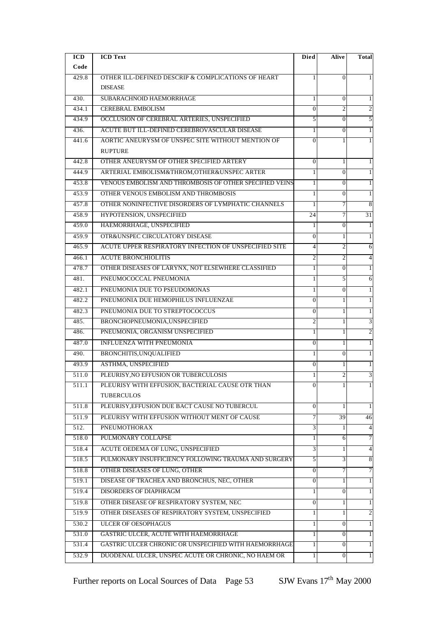| <b>ICD</b> | <b>ICD Text</b>                                         | Died           | Alive          | <b>Total</b>   |
|------------|---------------------------------------------------------|----------------|----------------|----------------|
| Code       |                                                         |                |                |                |
| 429.8      | OTHER ILL-DEFINED DESCRIP & COMPLICATIONS OF HEART      | 1              | $\mathbf{0}$   |                |
|            | <b>DISEASE</b>                                          |                |                |                |
| 430.       | SUBARACHNOID HAEMORRHAGE                                | $\mathbf{1}$   | $\mathbf{0}$   | 1              |
| 434.1      | <b>CEREBRAL EMBOLISM</b>                                | $\overline{0}$ | $\mathfrak{2}$ | 2              |
| 434.9      | OCCLUSION OF CEREBRAL ARTERIES, UNSPECIFIED             | 5              | $\overline{0}$ | 5              |
| 436.       | ACUTE BUT ILL-DEFINED CEREBROVASCULAR DISEASE           | $\mathbf{1}$   | $\mathbf{0}$   | 1              |
| 441.6      | AORTIC ANEURYSM OF UNSPEC SITE WITHOUT MENTION OF       | $\overline{0}$ |                |                |
|            | <b>RUPTURE</b>                                          |                |                |                |
| 442.8      | OTHER ANEURYSM OF OTHER SPECIFIED ARTERY                | $\overline{0}$ | 1              | 1              |
| 444.9      | ARTERIAL EMBOLISM&THROM, OTHER&UNSPEC ARTER             | $\mathbf{1}$   | $\Omega$       | 1              |
| 453.8      | VENOUS EMBOLISM AND THROMBOSIS OF OTHER SPECIFIED VEINS | $\mathbf{1}$   | $\mathbf{0}$   | 1              |
| 453.9      | OTHER VENOUS EMBOLISM AND THROMBOSIS                    | $\mathbf{1}$   | $\mathbf{0}$   | $\mathbf{1}$   |
| 457.8      | OTHER NONINFECTIVE DISORDERS OF LYMPHATIC CHANNELS      | $\mathbf{1}$   | 7              | $\overline{8}$ |
| 458.9      | HYPOTENSION, UNSPECIFIED                                | 24             | 7              | 31             |
| 459.0      | HAEMORRHAGE, UNSPECIFIED                                | $\frac{1}{2}$  | $\Omega$       | $\mathbf{1}$   |
| 459.9      | OTR&UNSPEC CIRCULATORY DISEASE                          | $\overline{0}$ | 1              | $\mathbf{1}$   |
| 465.9      | ACUTE UPPER RESPIRATORY INFECTION OF UNSPECIFIED SITE   | $\overline{4}$ | 2              | 6              |
| 466.1      | <b>ACUTE BRONCHIOLITIS</b>                              | $\mathbf{2}$   | $\overline{2}$ | $\overline{4}$ |
| 478.7      | OTHER DISEASES OF LARYNX, NOT ELSEWHERE CLASSIFIED      | $\mathbf{1}$   | $\Omega$       | $\mathbf{1}$   |
| 481.       | PNEUMOCOCCAL PNEUMONIA                                  | $\frac{1}{2}$  | 5              | 6              |
| 482.1      | PNEUMONIA DUE TO PSEUDOMONAS                            | $\mathbf{1}$   | $\mathbf{0}$   | 1              |
| 482.2      | PNEUMONIA DUE HEMOPHILUS INFLUENZAE                     | $\overline{0}$ | 1              | $\mathbf{1}$   |
| 482.3      | PNEUMONIA DUE TO STREPTOCOCCUS                          | $\overline{0}$ | 1              | $\mathbf{1}$   |
| 485.       | BRONCHOPNEUMONIA, UNSPECIFIED                           | $\overline{2}$ |                | $\overline{3}$ |
| 486.       | PNEUMONIA, ORGANISM UNSPECIFIED                         | $\frac{1}{2}$  | 1              | $\overline{c}$ |
| 487.0      | INFLUENZA WITH PNEUMONIA                                | $\overline{0}$ | 1              | $\mathbf{1}$   |
| 490.       | BRONCHITIS, UNQUALIFIED                                 | $\frac{1}{2}$  | $\mathbf{0}$   | 1              |
| 493.9      | ASTHMA, UNSPECIFIED                                     | $\overline{0}$ |                | 1              |
| 511.0      | PLEURISY, NO EFFUSION OR TUBERCULOSIS                   | $\frac{1}{2}$  | 2              | $\overline{3}$ |
| 511.1      | PLEURISY WITH EFFUSION, BACTERIAL CAUSE OTR THAN        | $\overline{0}$ | 1              | $\mathbf{1}$   |
|            | <b>TUBERCULOS</b>                                       |                |                |                |
| 511.8      | PLEURISY, EFFUSION DUE BACT CAUSE NO TUBERCUL           | $\overline{0}$ | 1              | 1              |
| 511.9      | PLEURISY WITH EFFUSION WITHOUT MENT OF CAUSE            | $\overline{7}$ | 39             | 46             |
| 512.       | <b>PNEUMOTHORAX</b>                                     | $\overline{3}$ | 1.             | $\overline{4}$ |
| 518.0      | PULMONARY COLLAPSE                                      | $\frac{1}{2}$  | 6              | 7              |
| 518.4      | ACUTE OEDEMA OF LUNG, UNSPECIFIED                       | $\overline{3}$ |                | $\overline{4}$ |
| 518.5      | PULMONARY INSUFFICIENCY FOLLOWING TRAUMA AND SURGERY    | 5              | 3              | 8              |
| 518.8      | OTHER DISEASES OF LUNG, OTHER                           | $\overline{0}$ |                | 7              |
| 519.1      | DISEASE OF TRACHEA AND BRONCHUS, NEC, OTHER             | $\overline{0}$ | 1              | 1              |
| 519.4      | DISORDERS OF DIAPHRAGM                                  | $\frac{1}{2}$  | $\Omega$       | 1              |
| 519.8      | OTHER DISEASE OF RESPIRATORY SYSTEM, NEC                | $\overline{0}$ |                | $\mathbf{1}$   |
| 519.9      | OTHER DISEASES OF RESPIRATORY SYSTEM, UNSPECIFIED       | $\frac{1}{2}$  | 1              | 2              |
| 530.2      | <b>ULCER OF OESOPHAGUS</b>                              | $\mathbf{1}$   | $\mathbf{0}$   | 1              |
| 531.0      | GASTRIC ULCER, ACUTE WITH HAEMORRHAGE                   | $\frac{1}{2}$  | $\overline{0}$ | 1              |
| 531.4      | GASTRIC ULCER CHRONIC OR UNSPECIFIED WITH HAEMORRHAGE   | 1 <sup>1</sup> | $\Omega$       | 1              |
| 532.9      | DUODENAL ULCER, UNSPEC ACUTE OR CHRONIC, NO HAEM OR     | 1 <sup>1</sup> | $\mathbf{0}$   | $\mathbf{1}$   |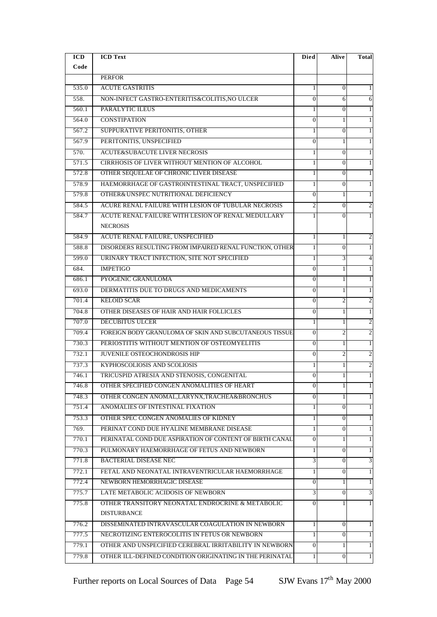| <b>ICD</b> | <b>ICD Text</b>                                          | Died             | Alive          | <b>Total</b>   |
|------------|----------------------------------------------------------|------------------|----------------|----------------|
| Code       |                                                          |                  |                |                |
|            | <b>PERFOR</b>                                            |                  |                |                |
| 535.0      | <b>ACUTE GASTRITIS</b>                                   | 1                | $\mathbf{0}$   |                |
| 558.       | NON-INFECT GASTRO-ENTERITIS&COLITIS, NO ULCER            | $\overline{0}$   | 6              | 6              |
| 560.1      | PARALYTIC ILEUS                                          |                  | $\Omega$       |                |
| 564.0      | <b>CONSTIPATION</b>                                      | $\mathbf{0}$     | 1              | 1              |
| 567.2      | SUPPURATIVE PERITONITIS, OTHER                           |                  | $\mathbf{0}$   | 1              |
| 567.9      | PERITONITIS, UNSPECIFIED                                 | 0                |                |                |
| 570.       | <b>ACUTE&amp;SUBACUTE LIVER NECROSIS</b>                 |                  | $\mathbf{0}$   |                |
| 571.5      | CIRRHOSIS OF LIVER WITHOUT MENTION OF ALCOHOL            |                  | $\mathbf{0}$   | 1              |
| 572.8      | OTHER SEQUELAE OF CHRONIC LIVER DISEASE                  | 1                | $\mathbf{0}$   |                |
| 578.9      | HAEMORRHAGE OF GASTROINTESTINAL TRACT, UNSPECIFIED       |                  | $\mathbf{0}$   |                |
| 579.8      | OTHER& UNSPEC NUTRITIONAL DEFICIENCY                     | $\Omega$         | 1              | 1              |
| 584.5      | ACURE RENAL FAILURE WITH LESION OF TUBULAR NECROSIS      | $\overline{c}$   | $\mathbf{0}$   | 2              |
| 584.7      | ACUTE RENAL FAILURE WITH LESION OF RENAL MEDULLARY       |                  | 0              |                |
|            | <b>NECROSIS</b>                                          |                  |                |                |
| 584.9      | ACUTE RENAL FAILURE, UNSPECIFIED                         |                  | 1              | 2              |
| 588.8      | DISORDERS RESULTING FROM IMPAIRED RENAL FUNCTION, OTHER  |                  | $\mathbf{0}$   | 1              |
| 599.0      | URINARY TRACT INFECTION, SITE NOT SPECIFIED              | 1                | 3              | 4              |
| 684.       | <b>IMPETIGO</b>                                          | $\mathbf{0}$     | 1              | 1              |
| 686.1      | PYOGENIC GRANULOMA                                       | $\overline{0}$   | 1              | 1              |
| 693.0      | DERMATITIS DUE TO DRUGS AND MEDICAMENTS                  | $\overline{0}$   | 1              | 1              |
| 701.4      | <b>KELOID SCAR</b>                                       | $\overline{0}$   | $\overline{c}$ | 2              |
| 704.8      | OTHER DISEASES OF HAIR AND HAIR FOLLICLES                | $\overline{0}$   |                | 1              |
| 707.0      | <b>DECUBITUS ULCER</b>                                   | 1                | 1              | 2              |
| 709.4      | FOREIGN BODY GRANULOMA OF SKIN AND SUBCUTANEOUS TISSUE   | $\overline{0}$   | $\overline{c}$ | 2              |
| 730.3      | PERIOSTITIS WITHOUT MENTION OF OSTEOMYELITIS             | $\mathbf{0}$     | 1              | 1              |
| 732.1      | JUVENILE OSTEOCHONDROSIS HIP                             | $\overline{0}$   | $\overline{c}$ | 2              |
| 737.3      | KYPHOSCOLIOSIS AND SCOLIOSIS                             |                  | 1              | $\mathfrak{2}$ |
| 746.1      | TRICUSPID ATRESIA AND STENOSIS, CONGENITAL               | $\overline{0}$   | 1              |                |
| 746.8      | OTHER SPECIFIED CONGEN ANOMALITIES OF HEART              | $\boldsymbol{0}$ | 1              | $\mathbf{1}$   |
| 748.3      | OTHER CONGEN ANOMAL, LARYNX, TRACHEA&BRONCHUS            | 0                |                |                |
| 751.4      | ANOMALIES OF INTESTINAL FIXATION                         |                  | $\mathbf{0}$   |                |
| 753.3      | OTHER SPEC CONGEN ANOMALIES OF KIDNEY                    |                  | $\theta$       | 1              |
| 769.       | PERINAT COND DUE HYALINE MEMBRANE DISEASE                | 1                | $\mathbf{0}$   | 1              |
| 770.1      | PERINATAL COND DUE ASPIRATION OF CONTENT OF BIRTH CANAL  | $\theta$         |                |                |
| 770.3      | PULMONARY HAEMORRHAGE OF FETUS AND NEWBORN               |                  | $\mathbf{0}$   | 1              |
| 771.8      | <b>BACTERIAL DISEASE NEC</b>                             | $\overline{3}$   | $\mathbf{0}$   | 3              |
| 772.1      | FETAL AND NEONATAL INTRAVENTRICULAR HAEMORRHAGE          | 1                | $\Omega$       | 1              |
| 772.4      | NEWBORN HEMORRHAGIC DISEASE                              | $\overline{0}$   | 1              | 1              |
| 775.7      | LATE METABOLIC ACIDOSIS OF NEWBORN                       | $\overline{3}$   | $\Omega$       | 3              |
| 775.8      | OTHER TRANSITORY NEONATAL ENDROCRINE & METABOLIC         | $\Omega$         |                |                |
|            | <b>DISTURBANCE</b>                                       |                  |                |                |
| 776.2      | DISSEMINATED INTRAVASCULAR COAGULATION IN NEWBORN        | 1                | $\mathbf{0}$   | 1              |
| 777.5      | NECROTIZING ENTEROCOLITIS IN FETUS OR NEWBORN            |                  | $\mathbf{0}$   | 1              |
| 779.1      | OTHER AND UNSPECIFIED CEREBRAL IRRITABILITY IN NEWBORN   | $\Omega$         |                | $\mathbf{1}$   |
| 779.8      | OTHER ILL-DEFINED CONDITION ORIGINATING IN THE PERINATAL | 1                | $\mathbf{0}$   | 1              |

PER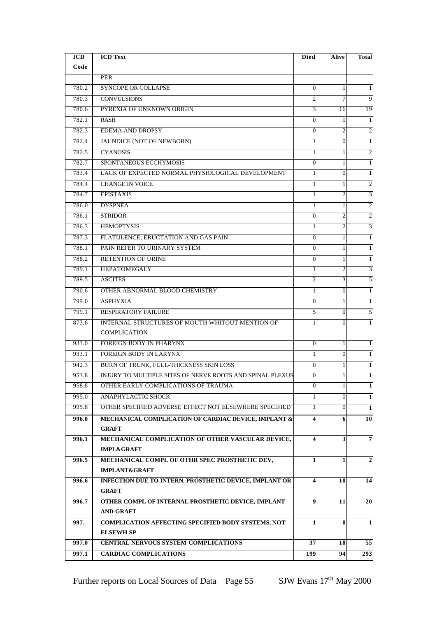| <b>ICD</b> | <b>ICD</b> Text                                           | <b>Died</b>             | Alive          | <b>Total</b>   |
|------------|-----------------------------------------------------------|-------------------------|----------------|----------------|
| Code       |                                                           |                         |                |                |
|            | <b>PER</b>                                                |                         |                |                |
| 780.2      | <b>SYNCOPE OR COLLAPSE</b>                                | $\overline{0}$          | 1              | 1              |
| 780.3      | <b>CONVULSIONS</b>                                        | $\overline{c}$          | 7              | 9              |
| 780.6      | PYREXIA OF UNKNOWN ORIGIN                                 | 3                       | 16             | 19             |
| 782.1      | <b>RASH</b>                                               | $\overline{0}$          | 1              | 1              |
| 782.3      | <b>EDEMA AND DROPSY</b>                                   | $\overline{0}$          | $\overline{2}$ | $\overline{c}$ |
| 782.4      | <b>JAUNDICE (NOT OF NEWBORN)</b>                          | $\mathbf{1}$            | $\overline{0}$ | $\mathbf{1}$   |
| 782.5      | <b>CYANOSIS</b>                                           | $\mathbf{1}$            | 1              | 2              |
| 782.7      | SPONTANEOUS ECCHYMOSIS                                    | $\overline{0}$          | 1              | 1              |
| 783.4      | LACK OF EXPECTED NORMAL PHYSIOLOGICAL DEVELOPMENT         | $\mathbf{1}$            | $\mathbf{0}$   | 1              |
| 784.4      | <b>CHANGE IN VOICE</b>                                    | $\mathbf{1}$            | 1              | $\mathfrak{2}$ |
| 784.7      | <b>EPISTAXIS</b>                                          | $\mathbf{1}$            | 2              | 3              |
| 786.0      | <b>DYSPNEA</b>                                            | $\mathbf{1}$            | 1              | $\mathfrak{2}$ |
| 786.1      | <b>STRIDOR</b>                                            | $\overline{0}$          | 2              | 2              |
| 786.3      | <b>HEMOPTYSIS</b>                                         | $\mathbf{1}$            | 2              | 3              |
| 787.3      | FLATULENCE, ERUCTATION AND GAS PAIN                       | $\mathbf{0}$            | 1              | 1              |
| 788.1      | PAIN REFER TO URINARY SYSTEM                              | $\overline{0}$          | 1              | 1              |
| 788.2      | <b>RETENTION OF URINE</b>                                 | $\overline{0}$          | 1              | 1              |
| 789.1      | <b>HEPATOMEGALY</b>                                       | $\mathbf{1}$            | 2              | 3              |
| 789.5      | <b>ASCITES</b>                                            | $\mathfrak{2}$          | 3              | 5              |
| 790.6      | OTHER ABNORMAL BLOOD CHEMISTRY                            | $\mathbf{1}$            | $\mathbf{0}$   | 1              |
| 799.0      | <b>ASPHYXIA</b>                                           | $\mathbf{0}$            | 1              | 1              |
| 799.1      | <b>RESPIRATORY FAILURE</b>                                | 5                       | $\overline{0}$ | 5              |
| 873.6      | INTERNAL STRUCTURES OF MOUTH WHITOUT MENTION OF           | 1                       | $\Omega$       |                |
|            | <b>COMPLICATION</b>                                       |                         |                |                |
| 933.0      | FOREIGN BODY IN PHARYNX                                   | $\overline{0}$          | 1              | 1              |
| 933.1      | FOREIGN BODY IN LARYNX                                    | $\mathbf{1}$            | $\mathbf{0}$   | 1              |
| 942.3      | BURN OF TRUNK, FULL-THICKNESS SKIN LOSS                   | $\mathbf{0}$            | 1              | 1              |
| 953.8      | INJURY TO MULTIPLE SITES OF NERVE ROOTS AND SPINAL PLEXUS | $\Omega$                | 1              |                |
| 958.8      | OTHER EARLY COMPLICATIONS OF TRAUMA                       | $\overline{0}$          | $\mathbf{1}$   | 11             |
| 995.0      | <b>ANAPHYLACTIC SHOCK</b>                                 | $\mathbf{1}$            | $\overline{0}$ | $\mathbf{1}$   |
| 995.8      | OTHER SPECIFIED ADVERSE EFFECT NOT ELSEWHERE SPECIFIED    | $\mathbf{1}$            | $\overline{0}$ | $\mathbf{1}$   |
|            | MECHANICAL COMPLICATION OF CARDIAC DEVICE, IMPLANT &      | $\overline{\mathbf{4}}$ |                | 10             |
| 996.0      | <b>GRAFT</b>                                              |                         | 6              |                |
| 996.1      | MECHANICAL COMPLICATION OF OTHER VASCULAR DEVICE,         | $\overline{\mathbf{4}}$ | 3              | $\overline{7}$ |
|            | <b>IMPL&amp;GRAFT</b>                                     |                         |                |                |
| 996.5      | MECHANICAL COMPL OF OTHR SPEC PROSTHETIC DEV,             | $\mathbf{1}$            | 1              | $\overline{2}$ |
|            | IMPLANT&GRAFT                                             |                         |                |                |
| 996.6      | INFECTION DUE TO INTERN. PROSTHETIC DEVICE, IMPLANT OR    | $\overline{\mathbf{4}}$ | 10             | 14             |
|            | <b>GRAFT</b>                                              |                         |                |                |
| 996.7      | OTHER COMPL OF INTERNAL PROSTHETIC DEVICE, IMPLANT        | $\boldsymbol{9}$        | 11             | 20             |
|            | <b>AND GRAFT</b>                                          |                         |                |                |
| 997.       | COMPLICATION AFFECTING SPECIFIED BODY SYSTEMS, NOT        | $\mathbf{1}$            | $\bf{0}$       | $\mathbf{1}$   |
|            | <b>ELSEWH SP</b>                                          |                         |                |                |
| 997.0      | CENTRAL NERVOUS SYSTEM COMPLICATIONS                      | 37                      | 18             | 55             |
| 997.1      | <b>CARDIAC COMPLICATIONS</b>                              | 199                     | 94             | 293            |
|            |                                                           |                         |                |                |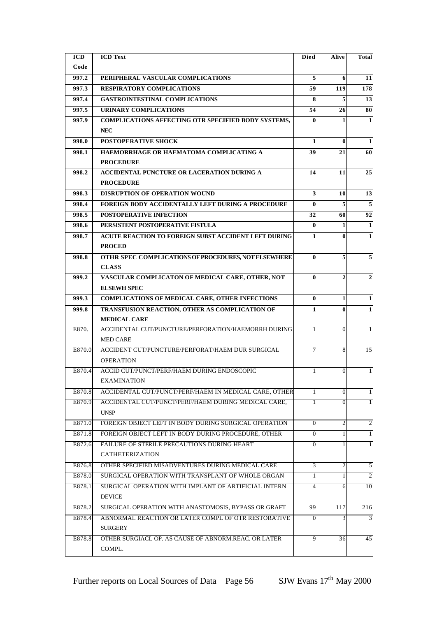| <b>ICD</b>       | <b>ICD Text</b>                                                                                              | <b>Died</b>                              | Alive          | <b>Total</b>            |
|------------------|--------------------------------------------------------------------------------------------------------------|------------------------------------------|----------------|-------------------------|
| Code             |                                                                                                              |                                          |                |                         |
| 997.2            | PERIPHERAL VASCULAR COMPLICATIONS                                                                            | 5                                        | 6              | 11                      |
| 997.3            | <b>RESPIRATORY COMPLICATIONS</b>                                                                             | 59                                       | 119            | 178                     |
| 997.4            | <b>GASTROINTESTINAL COMPLICATIONS</b>                                                                        | 8                                        | 5              | 13                      |
| 997.5            | <b>URINARY COMPLICATIONS</b>                                                                                 | 54                                       | 26             | 80                      |
| 997.9            | COMPLICATIONS AFFECTING OTR SPECIFIED BODY SYSTEMS,                                                          | 0                                        | 1              | 1                       |
|                  | <b>NEC</b>                                                                                                   |                                          |                |                         |
| 998.0            | <b>POSTOPERATIVE SHOCK</b>                                                                                   | $\mathbf{1}$                             | $\bf{0}$       | 1                       |
| 998.1            | HAEMORRHAGE OR HAEMATOMA COMPLICATING A                                                                      | 39                                       | 21             | 60                      |
|                  | <b>PROCEDURE</b>                                                                                             |                                          |                |                         |
| 998.2            | ACCIDENTAL PUNCTURE OR LACERATION DURING A                                                                   | 14                                       | 11             | 25                      |
|                  | <b>PROCEDURE</b>                                                                                             |                                          |                |                         |
| 998.3            | <b>DISRUPTION OF OPERATION WOUND</b>                                                                         | $\overline{\mathbf{3}}$                  | 10             | 13                      |
| 998.4            | FOREIGN BODY ACCIDENTALLY LEFT DURING A PROCEDURE                                                            | $\bf{0}$                                 | 5              | $\overline{\mathbf{5}}$ |
| 998.5            | POSTOPERATIVE INFECTION                                                                                      | 32                                       | 60             | 92                      |
| 998.6            | PERSISTENT POSTOPERATIVE FISTULA                                                                             | $\bf{0}$                                 | 1              | $\mathbf{1}$            |
| 998.7            | <b>ACUTE REACTION TO FOREIGN SUBST ACCIDENT LEFT DURING</b>                                                  | $\mathbf{1}$                             | $\mathbf{0}$   | $\mathbf{1}$            |
|                  | <b>PROCED</b>                                                                                                |                                          |                |                         |
| 998.8            | OTHR SPEC COMPLICATIONS OF PROCEDURES, NOT ELSEWHERE                                                         | $\bf{0}$                                 | 5              | 5                       |
|                  | <b>CLASS</b>                                                                                                 |                                          |                |                         |
| 999.2            | VASCULAR COMPLICATON OF MEDICAL CARE, OTHER, NOT                                                             | $\bf{0}$                                 | $\mathbf{2}$   | $\overline{2}$          |
|                  | <b>ELSEWH SPEC</b>                                                                                           |                                          |                |                         |
| 999.3            | <b>COMPLICATIONS OF MEDICAL CARE, OTHER INFECTIONS</b>                                                       | $\bf{0}$                                 | $\mathbf{1}$   | $\mathbf{1}$            |
| 999.8            | TRANSFUSION REACTION, OTHER AS COMPLICATION OF                                                               | 1                                        | 0              | $\mathbf{1}$            |
|                  | <b>MEDICAL CARE</b>                                                                                          |                                          |                |                         |
| E870.            | ACCIDENTAL CUT/PUNCTURE/PERFORATION/HAEMORRH DURING                                                          | $\mathbf{1}$                             | $\Omega$       | 1                       |
|                  | <b>MED CARE</b>                                                                                              |                                          |                |                         |
| E870.0           | ACCIDENT CUT/PUNCTURE/PERFORAT/HAEM DUR SURGICAL                                                             | $\overline{7}$                           | 8              | 15                      |
|                  | <b>OPERATION</b>                                                                                             |                                          |                |                         |
| E870.4           | ACCID CUT/PUNCT/PERF/HAEM DURING ENDOSCOPIC                                                                  | 1                                        | $\mathbf{0}$   | 1                       |
|                  | EXAMINATION                                                                                                  |                                          |                |                         |
| E870.8           | ACCIDENTAL CUT/PUNCT/PERF/HAEM IN MEDICAL CARE, OTHER                                                        | $\mathbf{1}$                             | $\Omega$       | $\mathbf{1}$            |
| E870.9           | ACCIDENTAL CUT/PUNCT/PERF/HAEM DURING MEDICAL CARE.                                                          | 1                                        | $\Omega$       | 1                       |
|                  | <b>UNSP</b>                                                                                                  |                                          |                |                         |
| E871.0           | FOREIGN OBJECT LEFT IN BODY DURING SURGICAL OPERATION<br>FOREIGN OBJECT LEFT IN BODY DURING PROCEDURE, OTHER | $\overline{0}$<br>$\Omega$               | 2              | $\overline{c}$          |
| E871.8           |                                                                                                              |                                          |                | 1                       |
| E872.6           | FAILURE OF STERILE PRECAUTIONS DURING HEART<br><b>CATHETERIZATION</b>                                        | $\Omega$                                 |                | 1                       |
|                  | OTHER SPECIFIED MISADVENTURES DURING MEDICAL CARE                                                            |                                          |                |                         |
| E876.8<br>E878.0 | SURGICAL OPERATION WITH TRANSPLANT OF WHOLE ORGAN                                                            | $\overline{\mathbf{3}}$<br>$\frac{1}{2}$ | $\overline{2}$ | 5<br>$\overline{2}$     |
| E878.1           | SURGICAL OPERATION WITH IMPLANT OF ARTIFICIAL INTERN                                                         | $\overline{4}$                           | 6              | 10                      |
|                  | <b>DEVICE</b>                                                                                                |                                          |                |                         |
| E878.2           | SURGICAL OPERATION WITH ANASTOMOSIS, BYPASS OR GRAFT                                                         | 99                                       | 117            | 216                     |
| E878.4           | ABNORMAL REACTION OR LATER COMPL OF OTR RESTORATIVE                                                          | $\Omega$                                 | 3              | 3                       |
|                  | <b>SURGERY</b>                                                                                               |                                          |                |                         |
| E878.8           | OTHER SURGIACL OP. AS CAUSE OF ABNORM.REAC. OR LATER                                                         | 9                                        | 36             | 45                      |
|                  | COMPL.                                                                                                       |                                          |                |                         |
|                  |                                                                                                              |                                          |                |                         |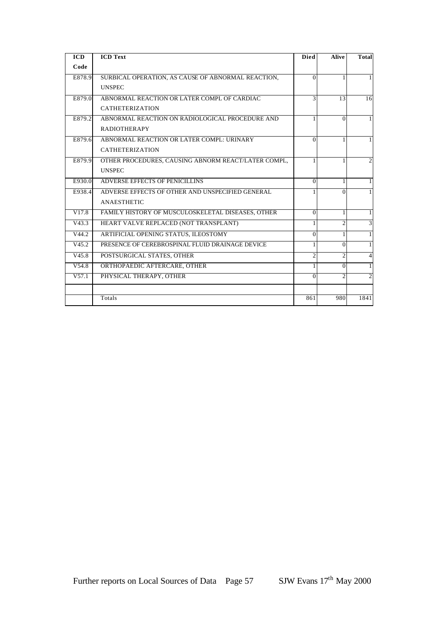| <b>ICD</b>        | <b>ICD Text</b>                                     | <b>Died</b> | <b>Alive</b>   | <b>Total</b>   |
|-------------------|-----------------------------------------------------|-------------|----------------|----------------|
| Code              |                                                     |             |                |                |
| E878.9            | SURBICAL OPERATION, AS CAUSE OF ABNORMAL REACTION,  | 0           |                |                |
|                   | <b>UNSPEC</b>                                       |             |                |                |
| E879.0            | ABNORMAL REACTION OR LATER COMPL OF CARDIAC         | 3           | 13             | 16             |
|                   | <b>CATHETERIZATION</b>                              |             |                |                |
| E879.2            | ABNORMAL REACTION ON RADIOLOGICAL PROCEDURE AND     |             | $\Omega$       |                |
|                   | <b>RADIOTHERAPY</b>                                 |             |                |                |
| E879.6            | ABNORMAL REACTION OR LATER COMPL: URINARY           | $\Omega$    |                |                |
|                   | <b>CATHETERIZATION</b>                              |             |                |                |
| E879.9            | OTHER PROCEDURES, CAUSING ABNORM REACT/LATER COMPL, |             |                |                |
|                   | <b>UNSPEC</b>                                       |             |                |                |
| E930.0            | ADVERSE EFFECTS OF PENICILLINS                      | $\Omega$    |                |                |
| E938.4            | ADVERSE EFFECTS OF OTHER AND UNSPECIFIED GENERAL    |             | $\Omega$       |                |
|                   | <b>ANAESTHETIC</b>                                  |             |                |                |
| V17.8             | FAMILY HISTORY OF MUSCULOSKELETAL DISEASES, OTHER   | $\Omega$    |                |                |
| V43.3             | HEART VALVE REPLACED (NOT TRANSPLANT)               | 1           | $\overline{2}$ | 3              |
| V44.2             | ARTIFICIAL OPENING STATUS, ILEOSTOMY                | $\Omega$    |                |                |
| V <sub>45.2</sub> | PRESENCE OF CEREBROSPINAL FLUID DRAINAGE DEVICE     |             | $\Omega$       |                |
| V45.8             | POSTSURGICAL STATES, OTHER                          | 2           | 2              | 4              |
| V54.8             | ORTHOPAEDIC AFTERCARE, OTHER                        |             | $\Omega$       |                |
| V57.1             | PHYSICAL THERAPY, OTHER                             | $\Omega$    | $\mathfrak{D}$ | $\overline{2}$ |
|                   |                                                     |             |                |                |
|                   | Totals                                              | 861         | 980            | 1841           |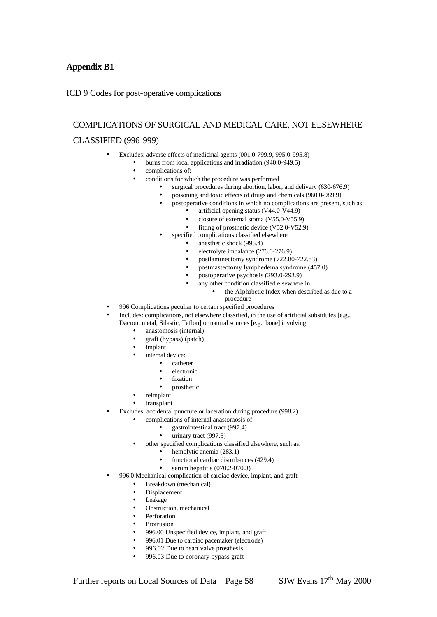# **Appendix B1**

ICD 9 Codes for post-operative complications

# COMPLICATIONS OF SURGICAL AND MEDICAL CARE, NOT ELSEWHERE CLASSIFIED (996-999)

- Excludes: adverse effects of medicinal agents (001.0-799.9, 995.0-995.8)
	- burns from local applications and irradiation (940.0-949.5)
		- complications of:
		- conditions for which the procedure was performed
			- surgical procedures during abortion, labor, and delivery (630-676.9)
			- poisoning and toxic effects of drugs and chemicals (960.0-989.9)
				- postoperative conditions in which no complications are present, such as:
					- artificial opening status (V44.0-V44.9)
						- closure of external stoma (V55.0-V55.9)
					- fitting of prosthetic device (V52.0-V52.9)
				- specified complications classified elsewhere
					- anesthetic shock (995.4)
					- electrolyte imbalance (276.0-276.9)
					- postlaminectomy syndrome (722.80-722.83)
					- postmastectomy lymphedema syndrome (457.0)
					- postoperative psychosis (293.0-293.9)
						- any other condition classified elsewhere in
							- the Alphabetic Index when described as due to a procedure
- 996 Complications peculiar to certain specified procedures
- Includes: complications, not elsewhere classified, in the use of artificial substitutes [e.g., Dacron, metal, Silastic, Teflon] or natural sources [e.g., bone] involving:
	- anastomosis (internal)
	- graft (bypass) (patch)
	- implant
		- internal device:
			- catheter
			- electronic
			- **fixation**
			- prosthetic
	- reimplant
	- transplant
- Excludes: accidental puncture or laceration during procedure (998.2)
	- complications of internal anastomosis of:
		- gastrointestinal tract (997.4)
		- urinary tract (997.5)
	- other specified complications classified elsewhere, such as:
		- hemolytic anemia (283.1)
		- functional cardiac disturbances (429.4)
		- serum hepatitis (070.2-070.3)
- 996.0 Mechanical complication of cardiac device, implant, and graft
	- Breakdown (mechanical)
	- Displacement
	- Leakage
	- Obstruction, mechanical
	- **Perforation**
	- **Protrusion**
	- 996.00 Unspecified device, implant, and graft
	- 996.01 Due to cardiac pacemaker (electrode)
	- 996.02 Due to heart valve prosthesis
	- 996.03 Due to coronary bypass graft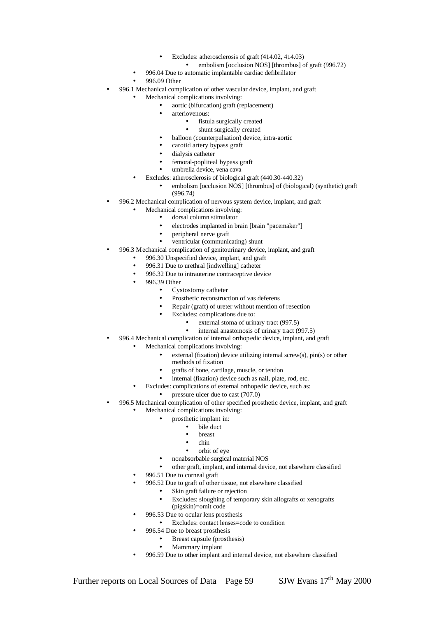- Excludes: atherosclerosis of graft (414.02, 414.03)
	- embolism [occlusion NOS] [thrombus] of graft (996.72)
- 996.04 Due to automatic implantable cardiac defibrillator
- 996.09 Other
- 996.1 Mechanical complication of other vascular device, implant, and graft
	- Mechanical complications involving:
		- aortic (bifurcation) graft (replacement)
			- arteriovenous:
				- fistula surgically created
				- shunt surgically created
		- balloon (counterpulsation) device, intra-aortic
			- carotid artery bypass graft
		- dialysis catheter
		- femoral-popliteal bypass graft
		- umbrella device, vena cava
		- Excludes: atherosclerosis of biological graft (440.30-440.32)
		- embolism [occlusion NOS] [thrombus] of (biological) (synthetic) graft (996.74)
- 996.2 Mechanical complication of nervous system device, implant, and graft
	- Mechanical complications involving:
		- dorsal column stimulator
		- electrodes implanted in brain [brain "pacemaker"]
		- peripheral nerve graft
		- ventricular (communicating) shunt
- 996.3 Mechanical complication of genitourinary device, implant, and graft
	- 996.30 Unspecified device, implant, and graft
	- 996.31 Due to urethral [indwelling] catheter
	- 996.32 Due to intrauterine contraceptive device
	- 996.39 Other
		- Cystostomy catheter
		- Prosthetic reconstruction of vas deferens
		- Repair (graft) of ureter without mention of resection
			- Excludes: complications due to:
				- external stoma of urinary tract (997.5)
				- internal anastomosis of urinary tract (997.5)
- 996.4 Mechanical complication of internal orthopedic device, implant, and graft
	- Mechanical complications involving:
		- external (fixation) device utilizing internal screw(s), pin(s) or other methods of fixation
			- grafts of bone, cartilage, muscle, or tendon
		- internal (fixation) device such as nail, plate, rod, etc.
		- Excludes: complications of external orthopedic device, such as:
			- pressure ulcer due to cast (707.0)
- 996.5 Mechanical complication of other specified prosthetic device, implant, and graft
	- Mechanical complications involving:
		- prosthetic implant in:
			- bile duct
			- breast
			- chin
			- orbit of eye
		- nonabsorbable surgical material NOS
		- other graft, implant, and internal device, not elsewhere classified
	- 996.51 Due to corneal graft
	- 996.52 Due to graft of other tissue, not elsewhere classified
		- Skin graft failure or rejection
		- Excludes: sloughing of temporary skin allografts or xenografts (pigskin)=omit code
	- 996.53 Due to ocular lens prosthesis
		- Excludes: contact lenses=code to condition
	- 996.54 Due to breast prosthesis
		- Breast capsule (prosthesis)
		- Mammary implant
	- 996.59 Due to other implant and internal device, not elsewhere classified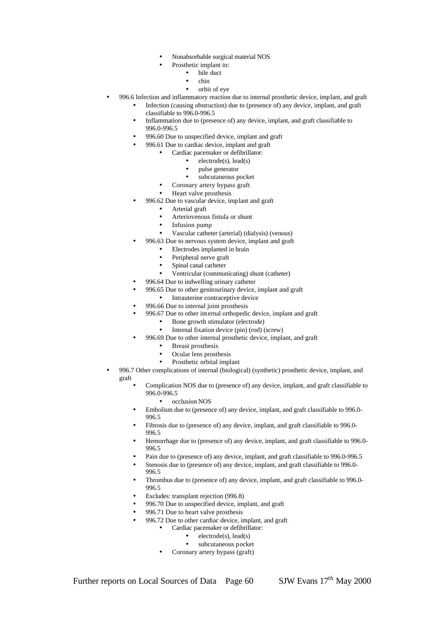- Nonabsorbable surgical material NOS
	- Prosthetic implant in:
	- bile duct
		- chin
		- orbit of eye
- 996.6 Infection and inflammatory reaction due to internal prosthetic device, implant, and graft
	- Infection (causing obstruction) due to (presence of) any device, implant, and graft classifiable to 996.0-996.5
	- Inflammation due to (presence of) any device, implant, and graft classifiable to 996.0-996.5
	- 996.60 Due to unspecified device, implant and graft
	- 996.61 Due to cardiac device, implant and graft
		- Cardiac pacemaker or defibrillator:
			- electrode(s), lead(s)
				- pulse generator
				- subcutaneous pocket
			- Coronary artery bypass graft
			- Heart valve prosthesis
	- 996.62 Due to vascular device, implant and graft
		- Arterial graft
			- Arteriovenous fistula or shunt
		- Infusion pump
		- Vascular catheter (arterial) (dialysis) (venous)
		- 996.63 Due to nervous system device, implant and graft
			- Electrodes implanted in brain
			- Peripheral nerve graft
			- Spinal canal catheter
			- Ventricular (communicating) shunt (catheter)
	- 996.64 Due to indwelling urinary catheter
	- 996.65 Due to other genitourinary device, implant and graft
		- Intrauterine contraceptive device
	- 996.66 Due to internal joint prosthesis
		- 996.67 Due to other internal orthopedic device, implant and graft
			- Bone growth stimulator (electrode)
			- Internal fixation device (pin) (rod) (screw)
		- 996.69 Due to other internal prosthetic device, implant, and graft
			- Breast prosthesis
			- Ocular lens prosthesis
			- Prosthetic orbital implant
- 996.7 Other complications of internal (biological) (synthetic) prosthetic device, implant, and graft
	- Complication NOS due to (presence of) any device, implant, and graft classifiable to 996.0-996.5
		- occlusion NOS
	- Embolism due to (presence of) any device, implant, and graft classifiable to 996.0- 996.5
	- Fibrosis due to (presence of) any device, implant, and graft classifiable to 996.0- 996.5
	- Hemorrhage due to (presence of) any device, implant, and graft classifiable to 996.0- 996.5
	- Pain due to (presence of) any device, implant, and graft classifiable to 996.0-996.5
	- Stenosis due to (presence of) any device, implant, and graft classifiable to 996.0- 996.5
	- Thrombus due to (presence of) any device, implant, and graft classifiable to 996.0- 996.5
	- Excludes: transplant rejection (996.8)
	- 996.70 Due to unspecified device, implant, and graft
	- 996.71 Due to heart valve prosthesis
	- 996.72 Due to other cardiac device, implant, and graft
		- Cardiac pacemaker or defibrillator:
			- $\bullet$  electrode(s), lead(s)
				- subcutaneous pocket
		- Coronary artery bypass (graft)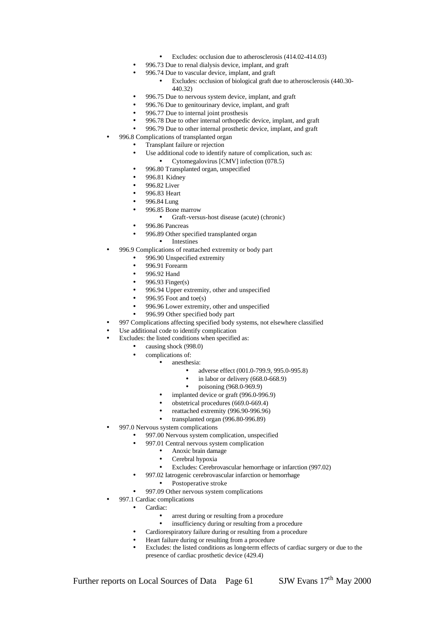- Excludes: occlusion due to atherosclerosis  $(414.02-414.03)$
- 996.73 Due to renal dialysis device, implant, and graft
- 996.74 Due to vascular device, implant, and graft
	- Excludes: occlusion of biological graft due to atherosclerosis (440.30- 440.32)
- 996.75 Due to nervous system device, implant, and graft
- 996.76 Due to genitourinary device, implant, and graft
- 996.77 Due to internal joint prosthesis
- 996.78 Due to other internal orthopedic device, implant, and graft
- 996.79 Due to other internal prosthetic device, implant, and graft
- 996.8 Complications of transplanted organ
	- Transplant failure or rejection
		- Use additional code to identify nature of complication, such as:
		- Cytomegalovirus [CMV] infection (078.5)
	- 996.80 Transplanted organ, unspecified
	- 996.81 Kidney
	- 996.82 Liver
	- 996.83 Heart
	- 996.84 Lung
	- 996.85 Bone marrow
		- Graft-versus-host disease (acute) (chronic)
	- 996.86 Pancreas
	- 996.89 Other specified transplanted organ
		- Intestines
- 996.9 Complications of reattached extremity or body part
	- 996.90 Unspecified extremity
	- 996.91 Forearm
	- 996.92 Hand
	- 996.93 Finger(s)
	- 996.94 Upper extremity, other and unspecified
	- 996.95 Foot and toe $(s)$
	- 996.96 Lower extremity, other and unspecified
	- 996.99 Other specified body part
- 997 Complications affecting specified body systems, not elsewhere classified
	- Use additional code to identify complication
- Excludes: the listed conditions when specified as:
	- causing shock (998.0)
		- complications of:
			- anesthesia:
				- adverse effect (001.0-799.9, 995.0-995.8)
				- in labor or delivery  $(668.0-668.9)$
				- poisoning (968.0-969.9)
				- implanted device or graft (996.0-996.9)
				- obstetrical procedures (669.0-669.4)
				- reattached extremity (996.90-996.96)
				- transplanted organ (996.80-996.89)
- 997.0 Nervous system complications
	- 997.00 Nervous system complication, unspecified
		- 997.01 Central nervous system complication
			- Anoxic brain damage
			- Cerebral hypoxia
			- Excludes: Cerebrovascular hemorrhage or infarction (997.02)
			- 997.02 Iatrogenic cerebrovascular infarction or hemorrhage
				- Postoperative stroke
		- 997.09 Other nervous system complications
	- 997.1 Cardiac complications
		- Cardiac:
			- arrest during or resulting from a procedure
			- insufficiency during or resulting from a procedure
		- Cardiorespiratory failure during or resulting from a procedure
		- Heart failure during or resulting from a procedure
		- Excludes: the listed conditions as long-term effects of cardiac surgery or due to the presence of cardiac prosthetic device (429.4)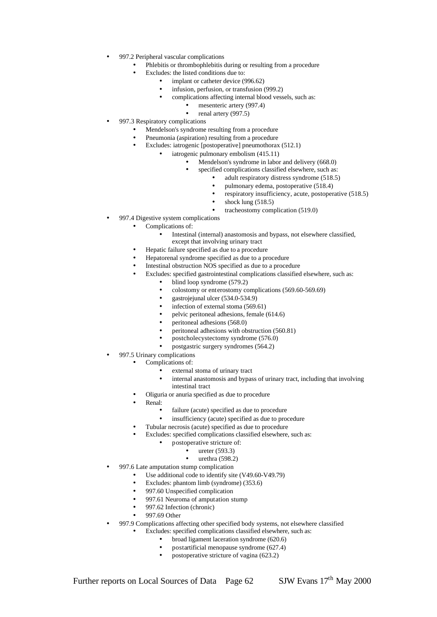- 997.2 Peripheral vascular complications
	- Phlebitis or thrombophlebitis during or resulting from a procedure
		- Excludes: the listed conditions due to:
			- implant or catheter device (996.62)
			- infusion, perfusion, or transfusion (999.2)
			- complications affecting internal blood vessels, such as:
				- mesenteric artery (997.4)
				- renal artery (997.5)
- 997.3 Respiratory complications
	- Mendelson's syndrome resulting from a procedure
	- Pneumonia (aspiration) resulting from a procedure
	- Excludes: iatrogenic [postoperative] pneumothorax (512.1)
		- iatrogenic pulmonary embolism (415.11)
			- Mendelson's syndrome in labor and delivery (668.0)
				- specified complications classified elsewhere, such as:
					- adult respiratory distress syndrome (518.5)
					- pulmonary edema, postoperative (518.4)
					- respiratory insufficiency, acute, postoperative (518.5)
						- shock lung (518.5)
					- tracheostomy complication (519.0)
	- 997.4 Digestive system complications
		- Complications of:
			- Intestinal (internal) anastomosis and bypass, not elsewhere classified, except that involving urinary tract
		- Hepatic failure specified as due to a procedure
		- Hepatorenal syndrome specified as due to a procedure
		- Intestinal obstruction NOS specified as due to a procedure
		- Excludes: specified gastrointestinal complications classified elsewhere, such as:
			- blind loop syndrome (579.2)
			- colostomy or enterostomy complications (569.60-569.69)
			- gastrojejunal ulcer (534.0-534.9)
			- infection of external stoma (569.61)
			- pelvic peritoneal adhesions, female (614.6)
			- peritoneal adhesions (568.0)
			- peritoneal adhesions with obstruction (560.81)
			- postcholecystectomy syndrome (576.0)
			- postgastric surgery syndromes (564.2)
- 997.5 Urinary complications
	- Complications of:
		- external stoma of urinary tract
		- internal anastomosis and bypass of urinary tract, including that involving intestinal tract
	- Oliguria or anuria specified as due to procedure
	- Renal:
		- failure (acute) specified as due to procedure
		- insufficiency (acute) specified as due to procedure
	- Tubular necrosis (acute) specified as due to procedure
	- Excludes: specified complications classified elsewhere, such as:
		- postoperative stricture of:
			- ureter (593.3)
			- urethra (598.2)
- 997.6 Late amputation stump complication
	- Use additional code to identify site (V49.60-V49.79)
	- Excludes: phantom limb (syndrome) (353.6)
	- 997.60 Unspecified complication
	- 997.61 Neuroma of amputation stump
	- 997.62 Infection (chronic)
	- 997.69 Other
- 997.9 Complications affecting other specified body systems, not elsewhere classified
	- Excludes: specified complications classified elsewhere, such as:
		- broad ligament laceration syndrome (620.6)
		- postartificial menopause syndrome (627.4)
		- postoperative stricture of vagina (623.2)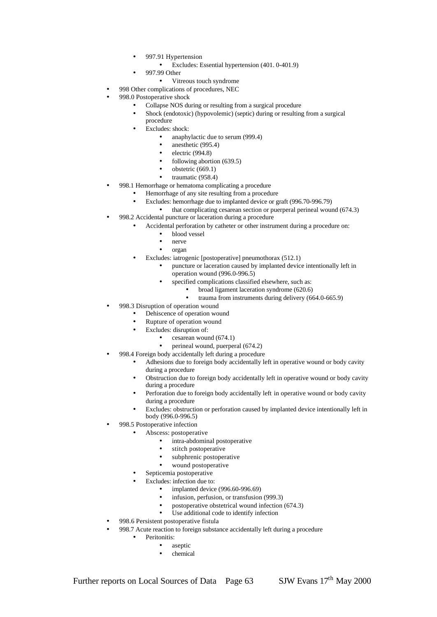- 997.91 Hypertension
	- Excludes: Essential hypertension (401. 0-401.9)
	- 997.99 Other
		- Vitreous touch syndrome
- 998 Other complications of procedures, NEC
- 998.0 Postoperative shock
	- Collapse NOS during or resulting from a surgical procedure
	- Shock (endotoxic) (hypovolemic) (septic) during or resulting from a surgical procedure
	- Excludes: shock:
		- anaphylactic due to serum (999.4)
		- anesthetic (995.4)
		- electric (994.8)
		- following abortion (639.5)
		- obstetric (669.1)
		- traumatic (958.4)
- 998.1 Hemorrhage or hematoma complicating a procedure
	- Hemorrhage of any site resulting from a procedure
	- Excludes: hemorrhage due to implanted device or graft (996.70-996.79)
		- that complicating cesarean section or puerperal perineal wound (674.3)
- 998.2 Accidental puncture or laceration during a procedure
	- Accidental perforation by catheter or other instrument during a procedure on:
		- blood vessel
		- nerve
		- organ
		- Excludes: iatrogenic [postoperative] pneumothorax (512.1)
			- puncture or laceration caused by implanted device intentionally left in operation wound (996.0-996.5)
				- specified complications classified elsewhere, such as:
					- broad ligament laceration syndrome (620.6)
						- trauma from instruments during delivery (664.0-665.9)
- 998.3 Disruption of operation wound
	- Dehiscence of operation wound
	- Rupture of operation wound
	- Excludes: disruption of:
		- cesarean wound (674.1)
		- perineal wound, puerperal (674.2)
- 998.4 Foreign body accidentally left during a procedure
	- Adhesions due to foreign body accidentally left in operative wound or body cavity during a procedure
	- Obstruction due to foreign body accidentally left in operative wound or body cavity during a procedure
	- Perforation due to foreign body accidentally left in operative wound or body cavity during a procedure
		- Excludes: obstruction or perforation caused by implanted device intentionally left in body (996.0-996.5)
- 998.5 Postoperative infection
	- Abscess: postoperative
		- intra-abdominal postoperative
		- stitch postoperative
		- subphrenic postoperative
		- wound postoperative
		- Septicemia postoperative
		- Excludes: infection due to:
			- implanted device (996.60-996.69)
			- infusion, perfusion, or transfusion (999.3)
			- postoperative obstetrical wound infection (674.3)
			- Use additional code to identify infection
- 998.6 Persistent postoperative fistula
	- 998.7 Acute reaction to foreign substance accidentally left during a procedure
		- Peritonitis:
			- aseptic
			- chemical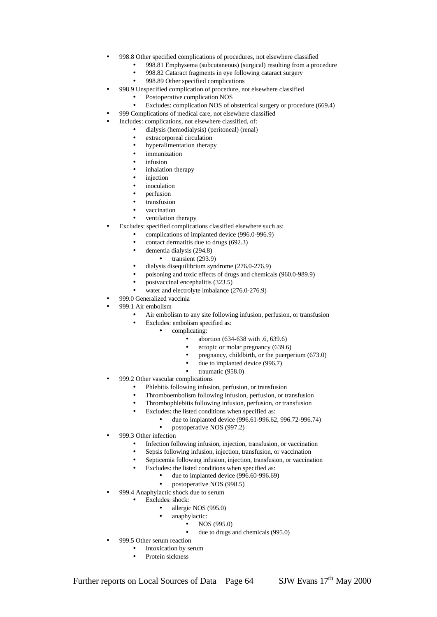- 998.8 Other specified complications of procedures, not elsewhere classified
	- 998.81 Emphysema (subcutaneous) (surgical) resulting from a procedure
	- 998.82 Cataract fragments in eye following cataract surgery
	- 998.89 Other specified complications
	- 998.9 Unspecified complication of procedure, not elsewhere classified
		- Postoperative complication NOS
			- Excludes: complication NOS of obstetrical surgery or procedure (669.4)
- 999 Complications of medical care, not elsewhere classified
- Includes: complications, not elsewhere classified, of:
	- dialysis (hemodialysis) (peritoneal) (renal)
	- extracorporeal circulation
	- hyperalimentation therapy
	- *immunization*
	- *infusion*
	- inhalation therapy
	- *injection*
	- *inoculation*
	- perfusion
	- transfusion
	- vaccination
- ventilation therapy
	- Excludes: specified complications classified elsewhere such as:
		- complications of implanted device (996.0-996.9)
		- contact dermatitis due to drugs (692.3)
		- dementia dialysis (294.8)
			- $\bullet$  transient (293.9)
		- dialysis disequilibrium syndrome (276.0-276.9)
		- poisoning and toxic effects of drugs and chemicals (960.0-989.9)
		- postvaccinal encephalitis (323.5)
		- water and electrolyte imbalance (276.0-276.9)
- 999.0 Generalized vaccinia
- 999.1 Air embolism
	- Air embolism to any site following infusion, perfusion, or transfusion
	- Excludes: embolism specified as:
		- complicating:
			- abortion (634-638 with .6, 639.6)
			- ectopic or molar pregnancy (639.6)
			- pregnancy, childbirth, or the puerperium (673.0)
			- due to implanted device (996.7)
			- traumatic (958.0)
- 999.2 Other vascular complications
	- Phlebitis following infusion, perfusion, or transfusion
	- Thromboembolism following infusion, perfusion, or transfusion
	- Thrombophlebitis following infusion, perfusion, or transfusion
	- Excludes: the listed conditions when specified as:
		- due to implanted device (996.61-996.62, 996.72-996.74)
			- postoperative NOS (997.2)
- 999.3 Other infection
	- Infection following infusion, injection, transfusion, or vaccination
	- Sepsis following infusion, injection, transfusion, or vaccination
	- Septicemia following infusion, injection, transfusion, or vaccination
	- Excludes: the listed conditions when specified as:
		- due to implanted device (996.60-996.69)
		- postoperative NOS (998.5)
- 999.4 Anaphylactic shock due to serum
	- Excludes: shock:
		- allergic NOS (995.0)
		- anaphylactic:
			- NOS (995.0)
				- due to drugs and chemicals (995.0)
- 999.5 Other serum reaction
	- Intoxication by serum
		- Protein sickness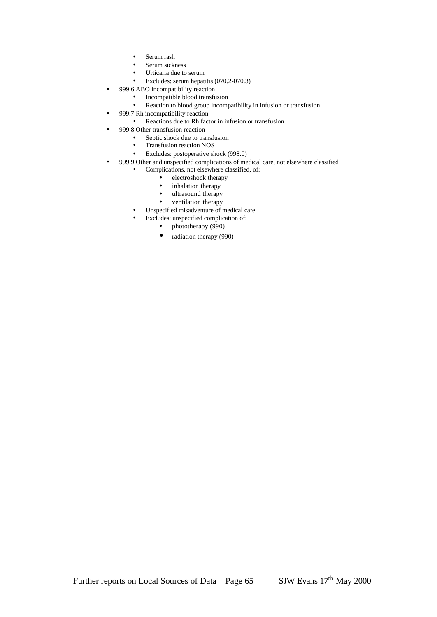- Serum rash
- Serum sickness
- Urticaria due to serum
	- Excludes: serum hepatitis (070.2-070.3)
- 999.6 ABO incompatibility reaction
	- Incompatible blood transfusion
	- Reaction to blood group incompatibility in infusion or transfusion
- 999.7 Rh incompatibility reaction
	- Reactions due to Rh factor in infusion or transfusion
- 999.8 Other transfusion reaction
	- Septic shock due to transfusion
	- Transfusion reaction NOS
	- Excludes: postoperative shock (998.0)
- 999.9 Other and unspecified complications of medical care, not elsewhere classified
	- Complications, not elsewhere classified, of:
		- electroshock therapy
		- inhalation therapy
		- ultrasound therapy
		- ventilation therapy
	- Unspecified misadventure of medical care
		- Excludes: unspecified complication of:
			- phototherapy (990)
			- radiation therapy (990)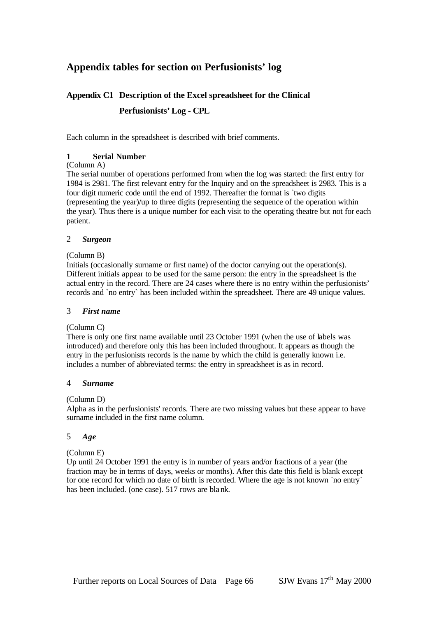# **Appendix tables for section on Perfusionists' log**

# **Appendix C1 Description of the Excel spreadsheet for the Clinical Perfusionists' Log - CPL**

Each column in the spreadsheet is described with brief comments.

# **1 Serial Number**

### (Column A)

The serial number of operations performed from when the log was started: the first entry for 1984 is 2981. The first relevant entry for the Inquiry and on the spreadsheet is 2983. This is a four digit numeric code until the end of 1992. Thereafter the format is `two digits (representing the year)/up to three digits (representing the sequence of the operation within the year). Thus there is a unique number for each visit to the operating theatre but not for each patient.

### 2 *Surgeon*

# (Column B)

Initials (occasionally surname or first name) of the doctor carrying out the operation(s). Different initials appear to be used for the same person: the entry in the spreadsheet is the actual entry in the record. There are 24 cases where there is no entry within the perfusionists' records and `no entry` has been included within the spreadsheet. There are 49 unique values.

### 3 *First name*

# (Column C)

There is only one first name available until 23 October 1991 (when the use of labels was introduced) and therefore only this has been included throughout. It appears as though the entry in the perfusionists records is the name by which the child is generally known i.e. includes a number of abbreviated terms: the entry in spreadsheet is as in record.

### 4 *Surname*

# (Column D)

Alpha as in the perfusionists' records. There are two missing values but these appear to have surname included in the first name column.

### 5 *Age*

# (Column E)

Up until 24 October 1991 the entry is in number of years and/or fractions of a year (the fraction may be in terms of days, weeks or months). After this date this field is blank except for one record for which no date of birth is recorded. Where the age is not known `no entry` has been included. (one case). 517 rows are blank.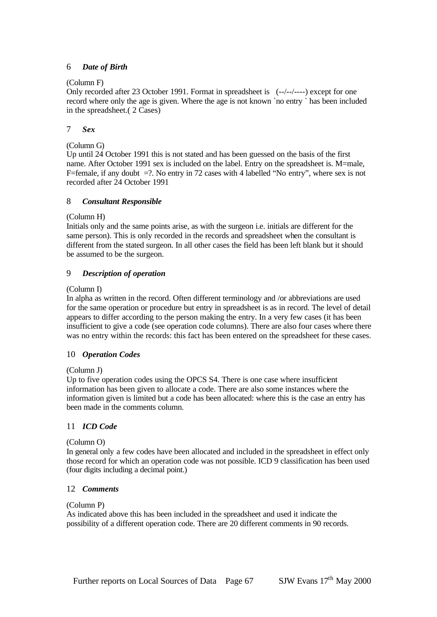# 6 *Date of Birth*

### (Column F)

Only recorded after 23 October 1991. Format in spreadsheet is (--/--/----) except for one record where only the age is given. Where the age is not known `no entry ` has been included in the spreadsheet.( 2 Cases)

### 7 *Sex*

(Column G)

Up until 24 October 1991 this is not stated and has been guessed on the basis of the first name. After October 1991 sex is included on the label. Entry on the spreadsheet is. M=male, F=female, if any doubt  $=$ ?. No entry in 72 cases with 4 labelled "No entry", where sex is not recorded after 24 October 1991

### 8 *Consultant Responsible*

### (Column H)

Initials only and the same points arise, as with the surgeon i.e. initials are different for the same person). This is only recorded in the records and spreadsheet when the consultant is different from the stated surgeon. In all other cases the field has been left blank but it should be assumed to be the surgeon.

# 9 *Description of operation*

### (Column I)

In alpha as written in the record. Often different terminology and /or abbreviations are used for the same operation or procedure but entry in spreadsheet is as in record. The level of detail appears to differ according to the person making the entry. In a very few cases (it has been insufficient to give a code (see operation code columns). There are also four cases where there was no entry within the records: this fact has been entered on the spreadsheet for these cases.

# 10 *Operation Codes*

# (Column J)

Up to five operation codes using the OPCS S4. There is one case where insufficient information has been given to allocate a code. There are also some instances where the information given is limited but a code has been allocated: where this is the case an entry has been made in the comments column.

# 11 *ICD Code*

### (Column O)

In general only a few codes have been allocated and included in the spreadsheet in effect only those record for which an operation code was not possible. ICD 9 classification has been used (four digits including a decimal point.)

### 12 *Comments*

### (Column P)

As indicated above this has been included in the spreadsheet and used it indicate the possibility of a different operation code. There are 20 different comments in 90 records.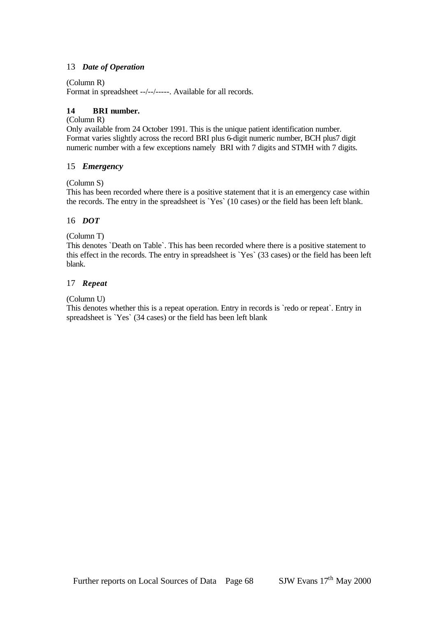# 13 *Date of Operation*

### (Column R)

Format in spreadsheet --/--/-----. Available for all records.

# **14 BRI number.**

# (Column R)

Only available from 24 October 1991. This is the unique patient identification number. Format varies slightly across the record BRI plus 6-digit numeric number, BCH plus7 digit numeric number with a few exceptions namely BRI with 7 digits and STMH with 7 digits.

# 15 *Emergency*

# (Column S)

This has been recorded where there is a positive statement that it is an emergency case within the records. The entry in the spreadsheet is `Yes` (10 cases) or the field has been left blank.

# 16 *DOT*

(Column T)

This denotes `Death on Table`. This has been recorded where there is a positive statement to this effect in the records. The entry in spreadsheet is `Yes` (33 cases) or the field has been left blank.

# 17 *Repeat*

(Column U)

This denotes whether this is a repeat operation. Entry in records is `redo or repeat`. Entry in spreadsheet is `Yes` (34 cases) or the field has been left blank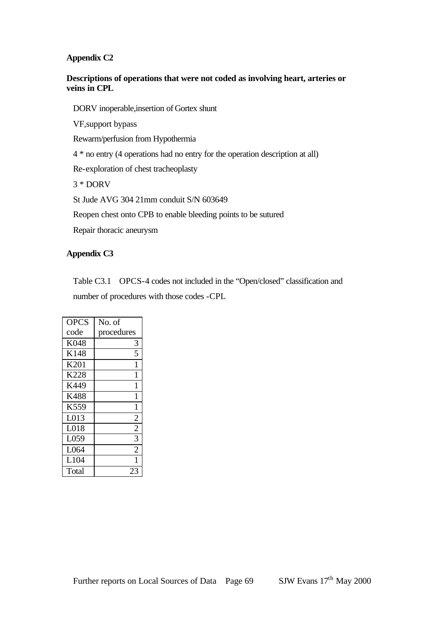# **Appendix C2**

# **Descriptions of operations that were not coded as involving heart, arteries or veins in CPL**

DORV inoperable,insertion of Gortex shunt VF,support bypass Rewarm/perfusion from Hypothermia 4 \* no entry (4 operations had no entry for the operation description at all) Re-exploration of chest tracheoplasty 3 \* DORV St Jude AVG 304 21mm conduit S/N 603649 Reopen chest onto CPB to enable bleeding points to be sutured Repair thoracic aneurysm

# **Appendix C3**

Table C3.1 OPCS-4 codes not included in the "Open/closed" classification and number of procedures with those codes -CPL

| <b>OPCS</b>      | No. of         |
|------------------|----------------|
| code             | procedures     |
| K048             | 3              |
| K148             | 5              |
| K201             | 1              |
| K228             | 1              |
| K449             | 1              |
| K488             | 1              |
| K559             | 1              |
| L013             | $\overline{2}$ |
| L018             | $\overline{2}$ |
| L059             | 3              |
| L064             | $\overline{2}$ |
| L <sub>104</sub> | 1              |
| Total            | 23             |